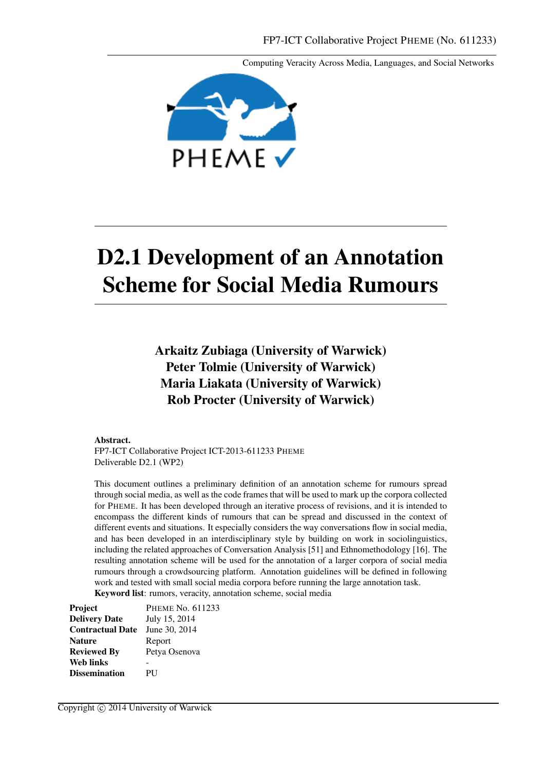Computing Veracity Across Media, Languages, and Social Networks



# D2.1 Development of an Annotation Scheme for Social Media Rumours

Arkaitz Zubiaga (University of Warwick) Peter Tolmie (University of Warwick) Maria Liakata (University of Warwick) Rob Procter (University of Warwick)

#### Abstract.

FP7-ICT Collaborative Project ICT-2013-611233 PHEME Deliverable D2.1 (WP2)

This document outlines a preliminary definition of an annotation scheme for rumours spread through social media, as well as the code frames that will be used to mark up the corpora collected for PHEME. It has been developed through an iterative process of revisions, and it is intended to encompass the different kinds of rumours that can be spread and discussed in the context of different events and situations. It especially considers the way conversations flow in social media, and has been developed in an interdisciplinary style by building on work in sociolinguistics, including the related approaches of Conversation Analysis [51] and Ethnomethodology [16]. The resulting annotation scheme will be used for the annotation of a larger corpora of social media rumours through a crowdsourcing platform. Annotation guidelines will be defined in following work and tested with small social media corpora before running the large annotation task.

Keyword list: rumors, veracity, annotation scheme, social media

| Project                 | PHEME No. 611233 |
|-------------------------|------------------|
| <b>Delivery Date</b>    | July 15, 2014    |
| <b>Contractual Date</b> | June 30, 2014    |
| Nature                  | Report           |
| <b>Reviewed By</b>      | Petya Osenova    |
| Web links               |                  |
| <b>Dissemination</b>    | PU               |
|                         |                  |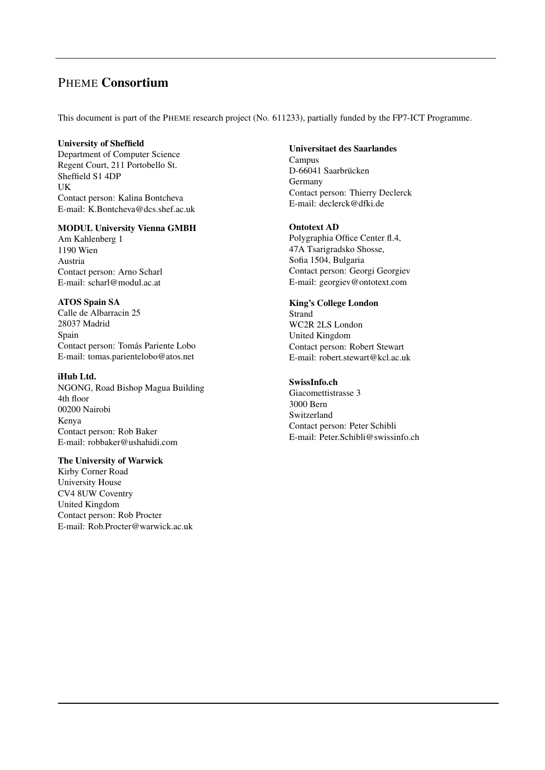### PHEME Consortium

This document is part of the PHEME research project (No. 611233), partially funded by the FP7-ICT Programme.

#### University of Sheffield

Department of Computer Science Regent Court, 211 Portobello St. Sheffield S1 4DP UK Contact person: Kalina Bontcheva E-mail: K.Bontcheva@dcs.shef.ac.uk

#### MODUL University Vienna GMBH

Am Kahlenberg 1 1190 Wien Austria Contact person: Arno Scharl E-mail: scharl@modul.ac.at

#### ATOS Spain SA

Calle de Albarracin 25 28037 Madrid Spain Contact person: Tomás Pariente Lobo E-mail: tomas.parientelobo@atos.net

#### iHub Ltd.

NGONG, Road Bishop Magua Building 4th floor 00200 Nairobi Kenya Contact person: Rob Baker E-mail: robbaker@ushahidi.com

#### The University of Warwick

Kirby Corner Road University House CV4 8UW Coventry United Kingdom Contact person: Rob Procter E-mail: Rob.Procter@warwick.ac.uk

### Universitaet des Saarlandes

Campus D-66041 Saarbrücken Germany Contact person: Thierry Declerck E-mail: declerck@dfki.de

#### Ontotext AD

Polygraphia Office Center fl.4, 47A Tsarigradsko Shosse, Sofia 1504, Bulgaria Contact person: Georgi Georgiev E-mail: georgiev@ontotext.com

#### King's College London

Strand WC2R 2LS London United Kingdom Contact person: Robert Stewart E-mail: robert.stewart@kcl.ac.uk

#### SwissInfo.ch

Giacomettistrasse 3 3000 Bern Switzerland Contact person: Peter Schibli E-mail: Peter.Schibli@swissinfo.ch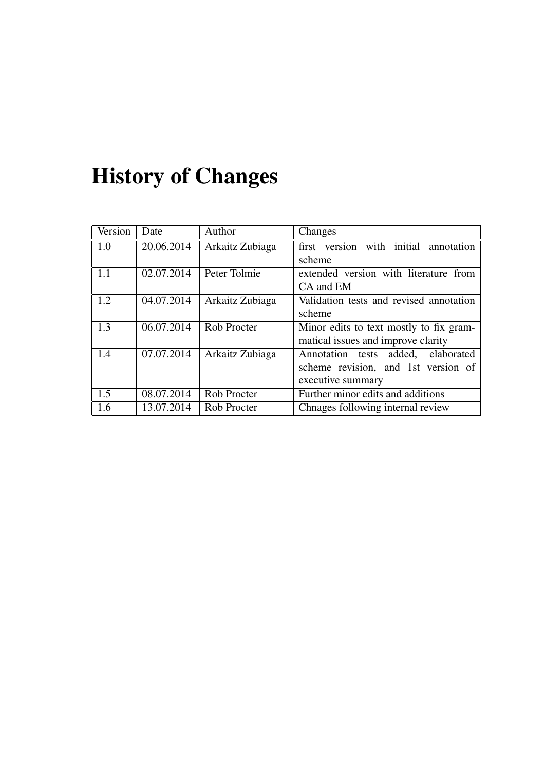# History of Changes

| Version | Date       | Author          | Changes                                  |  |  |
|---------|------------|-----------------|------------------------------------------|--|--|
| 1.0     | 20.06.2014 | Arkaitz Zubiaga | first version with initial<br>annotation |  |  |
|         |            |                 | scheme                                   |  |  |
| 1.1     | 02.07.2014 | Peter Tolmie    | extended version with literature from    |  |  |
|         |            |                 | CA and EM                                |  |  |
| 1.2     | 04.07.2014 | Arkaitz Zubiaga | Validation tests and revised annotation  |  |  |
|         |            |                 | scheme                                   |  |  |
| 1.3     | 06.07.2014 | Rob Procter     | Minor edits to text mostly to fix gram-  |  |  |
|         |            |                 | matical issues and improve clarity       |  |  |
| 1.4     | 07.07.2014 | Arkaitz Zubiaga | Annotation tests added, elaborated       |  |  |
|         |            |                 | scheme revision, and 1st version of      |  |  |
|         |            |                 | executive summary                        |  |  |
| 1.5     | 08.07.2014 | Rob Procter     | Further minor edits and additions        |  |  |
| 1.6     | 13.07.2014 | Rob Procter     | Chnages following internal review        |  |  |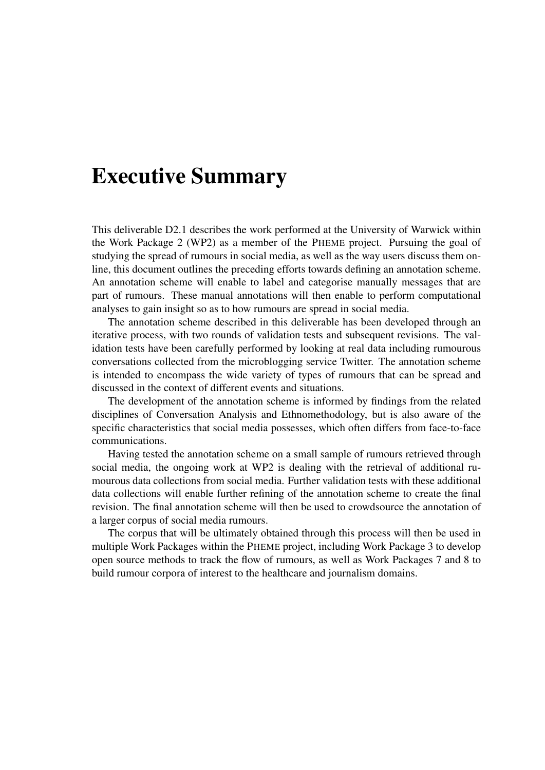# Executive Summary

This deliverable D2.1 describes the work performed at the University of Warwick within the Work Package 2 (WP2) as a member of the PHEME project. Pursuing the goal of studying the spread of rumours in social media, as well as the way users discuss them online, this document outlines the preceding efforts towards defining an annotation scheme. An annotation scheme will enable to label and categorise manually messages that are part of rumours. These manual annotations will then enable to perform computational analyses to gain insight so as to how rumours are spread in social media.

The annotation scheme described in this deliverable has been developed through an iterative process, with two rounds of validation tests and subsequent revisions. The validation tests have been carefully performed by looking at real data including rumourous conversations collected from the microblogging service Twitter. The annotation scheme is intended to encompass the wide variety of types of rumours that can be spread and discussed in the context of different events and situations.

The development of the annotation scheme is informed by findings from the related disciplines of Conversation Analysis and Ethnomethodology, but is also aware of the specific characteristics that social media possesses, which often differs from face-to-face communications.

Having tested the annotation scheme on a small sample of rumours retrieved through social media, the ongoing work at WP2 is dealing with the retrieval of additional rumourous data collections from social media. Further validation tests with these additional data collections will enable further refining of the annotation scheme to create the final revision. The final annotation scheme will then be used to crowdsource the annotation of a larger corpus of social media rumours.

The corpus that will be ultimately obtained through this process will then be used in multiple Work Packages within the PHEME project, including Work Package 3 to develop open source methods to track the flow of rumours, as well as Work Packages 7 and 8 to build rumour corpora of interest to the healthcare and journalism domains.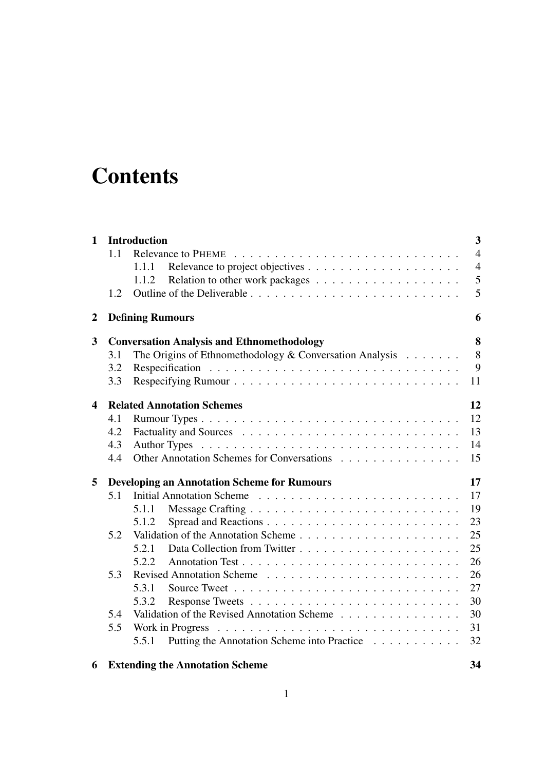# **Contents**

| $\mathbf{1}$   |     | 3<br><b>Introduction</b>                                                   |
|----------------|-----|----------------------------------------------------------------------------|
|                | 1.1 | $\overline{4}$                                                             |
|                |     | $\overline{4}$<br>1.1.1                                                    |
|                |     | 5<br>1.1.2                                                                 |
|                | 1.2 | 5                                                                          |
| $\overline{2}$ |     | <b>Defining Rumours</b><br>6                                               |
| $\mathbf{3}$   |     | 8<br><b>Conversation Analysis and Ethnomethodology</b>                     |
|                | 3.1 | 8<br>The Origins of Ethnomethodology & Conversation Analysis $\dots \dots$ |
|                | 3.2 | 9                                                                          |
|                | 3.3 | 11                                                                         |
| 4              |     | 12<br><b>Related Annotation Schemes</b>                                    |
|                | 4.1 | 12                                                                         |
|                | 4.2 | 13                                                                         |
|                | 4.3 | 14                                                                         |
|                | 4.4 | Other Annotation Schemes for Conversations<br>15                           |
|                |     | 17                                                                         |
| 5              | 5.1 | <b>Developing an Annotation Scheme for Rumours</b><br>17                   |
|                |     | 19                                                                         |
|                |     | 5.1.1                                                                      |
|                |     | 23<br>5.1.2                                                                |
|                | 5.2 | 25                                                                         |
|                |     | 25<br>5.2.1                                                                |
|                |     | 26<br>5.2.2                                                                |
|                | 5.3 | 26                                                                         |
|                |     | 27<br>5.3.1                                                                |
|                |     | 30<br>5.3.2                                                                |
|                | 5.4 | Validation of the Revised Annotation Scheme<br>30                          |
|                | 5.5 | 31                                                                         |
|                |     | 32<br>Putting the Annotation Scheme into Practice<br>5.5.1                 |

## 6 Extending the Annotation Scheme 34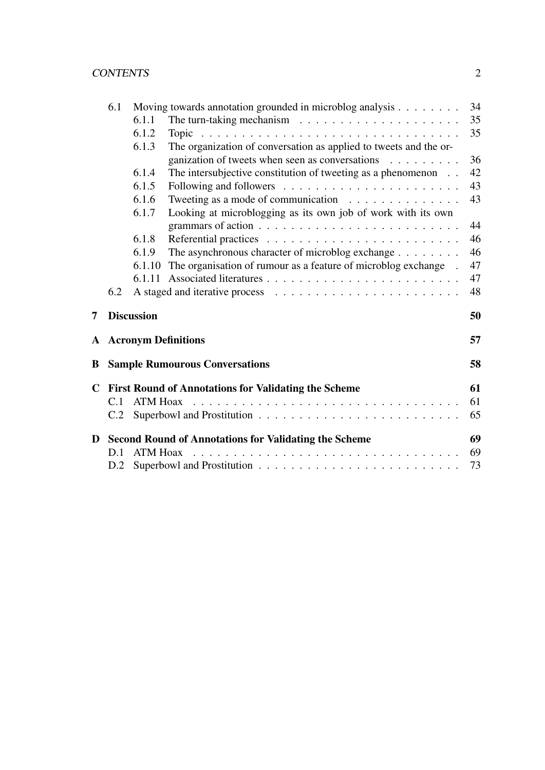### CONTENTS 2

|             | 6.1 |                   | Moving towards annotation grounded in microblog analysis                     | 34       |
|-------------|-----|-------------------|------------------------------------------------------------------------------|----------|
|             |     | 6.1.1             | The turn-taking mechanism $\ldots \ldots \ldots \ldots \ldots \ldots \ldots$ | 35       |
|             |     | 6.1.2             |                                                                              | 35       |
|             |     | 6.1.3             | The organization of conversation as applied to tweets and the or-            |          |
|             |     |                   | ganization of tweets when seen as conversations                              | 36       |
|             |     | 6.1.4             | The intersubjective constitution of tweeting as a phenomenon                 | 42       |
|             |     | 6.1.5             |                                                                              | 43       |
|             |     | 6.1.6             | Tweeting as a mode of communication $\ldots \ldots \ldots \ldots$            | 43       |
|             |     | 6.1.7             | Looking at microblogging as its own job of work with its own                 |          |
|             |     |                   |                                                                              | 44       |
|             |     | 6.1.8             |                                                                              | 46       |
|             |     | 6.1.9             | The asynchronous character of microblog exchange                             | 46       |
|             |     | 6.1.10            | The organisation of rumour as a feature of microblog exchange .              | 47       |
|             |     |                   |                                                                              | 47       |
|             | 6.2 |                   |                                                                              | 48       |
|             |     |                   |                                                                              |          |
| 7           |     | <b>Discussion</b> |                                                                              | 50       |
|             |     |                   | <b>A</b> Acronym Definitions                                                 | 57       |
| B           |     |                   | <b>Sample Rumourous Conversations</b>                                        | 58       |
| $\mathbf C$ |     |                   |                                                                              | 61       |
|             | C.1 |                   | <b>First Round of Annotations for Validating the Scheme</b>                  | 61       |
|             |     |                   |                                                                              | 65       |
|             |     |                   | D Second Round of Annotations for Validating the Scheme                      | 69       |
|             | D.1 | <b>ATM Hoax</b>   |                                                                              | 69<br>73 |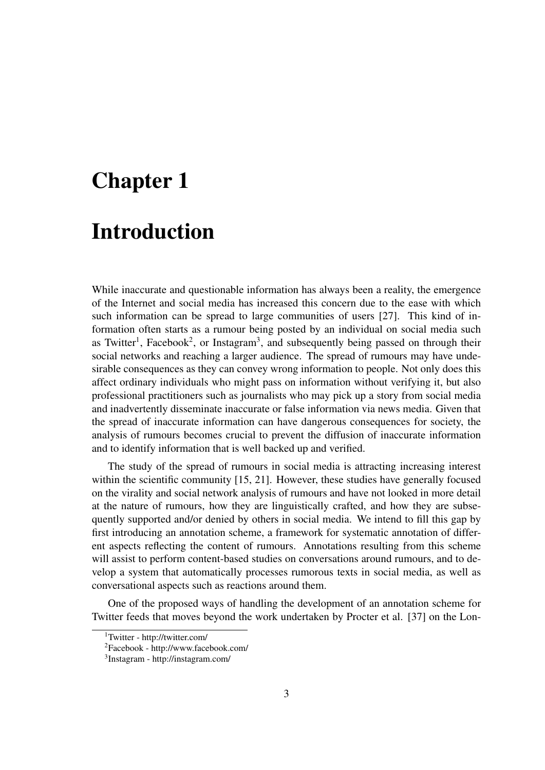# Chapter 1 Introduction

While inaccurate and questionable information has always been a reality, the emergence of the Internet and social media has increased this concern due to the ease with which such information can be spread to large communities of users [27]. This kind of information often starts as a rumour being posted by an individual on social media such as Twitter<sup>1</sup>, Facebook<sup>2</sup>, or Instagram<sup>3</sup>, and subsequently being passed on through their social networks and reaching a larger audience. The spread of rumours may have undesirable consequences as they can convey wrong information to people. Not only does this affect ordinary individuals who might pass on information without verifying it, but also professional practitioners such as journalists who may pick up a story from social media and inadvertently disseminate inaccurate or false information via news media. Given that the spread of inaccurate information can have dangerous consequences for society, the analysis of rumours becomes crucial to prevent the diffusion of inaccurate information and to identify information that is well backed up and verified.

The study of the spread of rumours in social media is attracting increasing interest within the scientific community [15, 21]. However, these studies have generally focused on the virality and social network analysis of rumours and have not looked in more detail at the nature of rumours, how they are linguistically crafted, and how they are subsequently supported and/or denied by others in social media. We intend to fill this gap by first introducing an annotation scheme, a framework for systematic annotation of different aspects reflecting the content of rumours. Annotations resulting from this scheme will assist to perform content-based studies on conversations around rumours, and to develop a system that automatically processes rumorous texts in social media, as well as conversational aspects such as reactions around them.

One of the proposed ways of handling the development of an annotation scheme for Twitter feeds that moves beyond the work undertaken by Procter et al. [37] on the Lon-

<sup>1</sup>Twitter - http://twitter.com/

<sup>2</sup>Facebook - http://www.facebook.com/

<sup>3</sup> Instagram - http://instagram.com/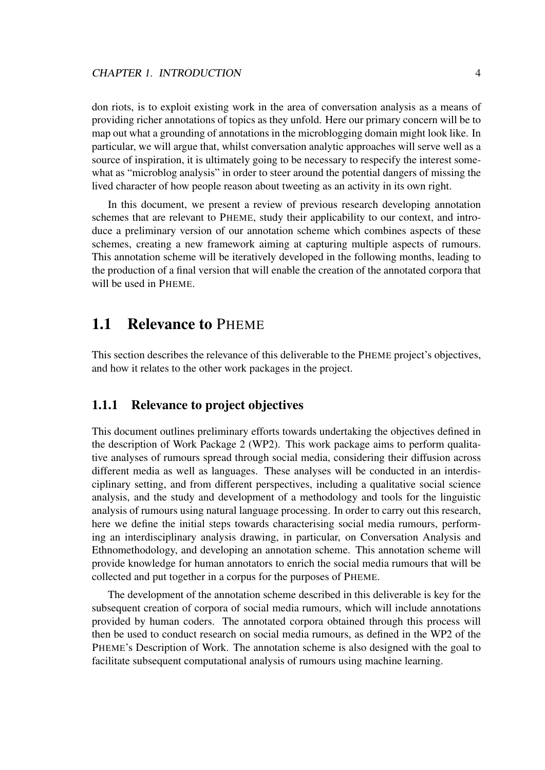don riots, is to exploit existing work in the area of conversation analysis as a means of providing richer annotations of topics as they unfold. Here our primary concern will be to map out what a grounding of annotations in the microblogging domain might look like. In particular, we will argue that, whilst conversation analytic approaches will serve well as a source of inspiration, it is ultimately going to be necessary to respecify the interest somewhat as "microblog analysis" in order to steer around the potential dangers of missing the lived character of how people reason about tweeting as an activity in its own right.

In this document, we present a review of previous research developing annotation schemes that are relevant to PHEME, study their applicability to our context, and introduce a preliminary version of our annotation scheme which combines aspects of these schemes, creating a new framework aiming at capturing multiple aspects of rumours. This annotation scheme will be iteratively developed in the following months, leading to the production of a final version that will enable the creation of the annotated corpora that will be used in PHEME.

### 1.1 Relevance to PHEME

This section describes the relevance of this deliverable to the PHEME project's objectives, and how it relates to the other work packages in the project.

### 1.1.1 Relevance to project objectives

This document outlines preliminary efforts towards undertaking the objectives defined in the description of Work Package 2 (WP2). This work package aims to perform qualitative analyses of rumours spread through social media, considering their diffusion across different media as well as languages. These analyses will be conducted in an interdisciplinary setting, and from different perspectives, including a qualitative social science analysis, and the study and development of a methodology and tools for the linguistic analysis of rumours using natural language processing. In order to carry out this research, here we define the initial steps towards characterising social media rumours, performing an interdisciplinary analysis drawing, in particular, on Conversation Analysis and Ethnomethodology, and developing an annotation scheme. This annotation scheme will provide knowledge for human annotators to enrich the social media rumours that will be collected and put together in a corpus for the purposes of PHEME.

The development of the annotation scheme described in this deliverable is key for the subsequent creation of corpora of social media rumours, which will include annotations provided by human coders. The annotated corpora obtained through this process will then be used to conduct research on social media rumours, as defined in the WP2 of the PHEME's Description of Work. The annotation scheme is also designed with the goal to facilitate subsequent computational analysis of rumours using machine learning.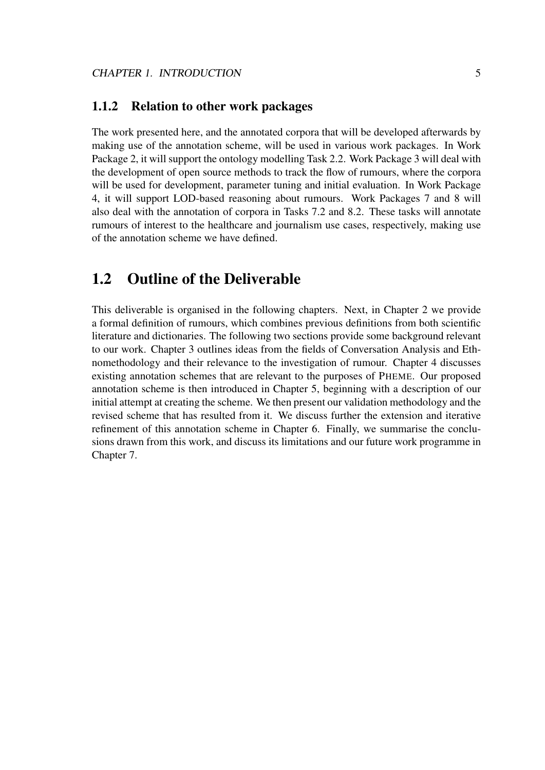### 1.1.2 Relation to other work packages

The work presented here, and the annotated corpora that will be developed afterwards by making use of the annotation scheme, will be used in various work packages. In Work Package 2, it will support the ontology modelling Task 2.2. Work Package 3 will deal with the development of open source methods to track the flow of rumours, where the corpora will be used for development, parameter tuning and initial evaluation. In Work Package 4, it will support LOD-based reasoning about rumours. Work Packages 7 and 8 will also deal with the annotation of corpora in Tasks 7.2 and 8.2. These tasks will annotate rumours of interest to the healthcare and journalism use cases, respectively, making use of the annotation scheme we have defined.

### 1.2 Outline of the Deliverable

This deliverable is organised in the following chapters. Next, in Chapter 2 we provide a formal definition of rumours, which combines previous definitions from both scientific literature and dictionaries. The following two sections provide some background relevant to our work. Chapter 3 outlines ideas from the fields of Conversation Analysis and Ethnomethodology and their relevance to the investigation of rumour. Chapter 4 discusses existing annotation schemes that are relevant to the purposes of PHEME. Our proposed annotation scheme is then introduced in Chapter 5, beginning with a description of our initial attempt at creating the scheme. We then present our validation methodology and the revised scheme that has resulted from it. We discuss further the extension and iterative refinement of this annotation scheme in Chapter 6. Finally, we summarise the conclusions drawn from this work, and discuss its limitations and our future work programme in Chapter 7.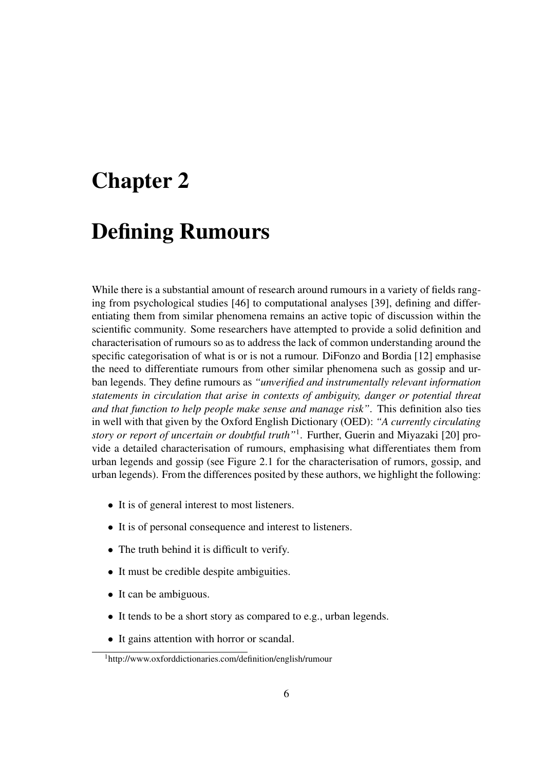# Chapter 2

# Defining Rumours

While there is a substantial amount of research around rumours in a variety of fields ranging from psychological studies [46] to computational analyses [39], defining and differentiating them from similar phenomena remains an active topic of discussion within the scientific community. Some researchers have attempted to provide a solid definition and characterisation of rumours so as to address the lack of common understanding around the specific categorisation of what is or is not a rumour. DiFonzo and Bordia [12] emphasise the need to differentiate rumours from other similar phenomena such as gossip and urban legends. They define rumours as *"unverified and instrumentally relevant information statements in circulation that arise in contexts of ambiguity, danger or potential threat and that function to help people make sense and manage risk"*. This definition also ties in well with that given by the Oxford English Dictionary (OED): *"A currently circulating story or report of uncertain or doubtful truth"*<sup>1</sup> . Further, Guerin and Miyazaki [20] provide a detailed characterisation of rumours, emphasising what differentiates them from urban legends and gossip (see Figure 2.1 for the characterisation of rumors, gossip, and urban legends). From the differences posited by these authors, we highlight the following:

- It is of general interest to most listeners.
- It is of personal consequence and interest to listeners.
- The truth behind it is difficult to verify.
- It must be credible despite ambiguities.
- It can be ambiguous.
- It tends to be a short story as compared to e.g., urban legends.
- It gains attention with horror or scandal.

<sup>1</sup>http://www.oxforddictionaries.com/definition/english/rumour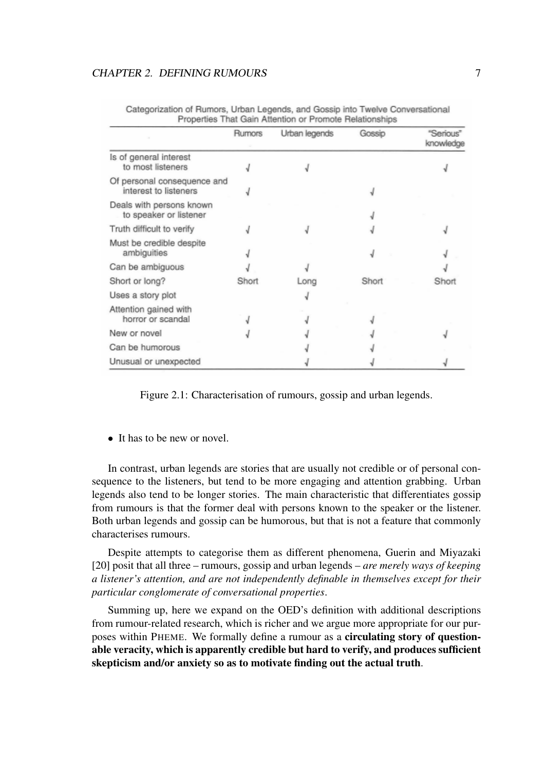|                                                      | Rumors | Urban legends | Gossip | "Serious"<br>knowledge |
|------------------------------------------------------|--------|---------------|--------|------------------------|
| Is of general interest<br>to most listeners          |        |               |        |                        |
| Of personal consequence and<br>interest to listeners |        |               |        |                        |
| Deals with persons known<br>to speaker or listener   |        |               |        |                        |
| Truth difficult to verify                            |        |               |        |                        |
| Must be credible despite<br>ambiguities              |        |               |        |                        |
| Can be ambiguous                                     |        |               |        |                        |
| Short or long?                                       | Short  | Long          | Short  | Short                  |
| Uses a story plot                                    |        |               |        |                        |
| Attention gained with<br>horror or scandal           |        |               |        |                        |
| New or novel                                         |        |               |        |                        |
| Can be humorous                                      |        |               |        |                        |
| Unusual or unexpected                                |        |               |        |                        |

Categorization of Rumors, Urban Legends, and Gossip into Twelve Conversational Properties That Gain Attention or Promote Relationships

Figure 2.1: Characterisation of rumours, gossip and urban legends.

• It has to be new or novel.

In contrast, urban legends are stories that are usually not credible or of personal consequence to the listeners, but tend to be more engaging and attention grabbing. Urban legends also tend to be longer stories. The main characteristic that differentiates gossip from rumours is that the former deal with persons known to the speaker or the listener. Both urban legends and gossip can be humorous, but that is not a feature that commonly characterises rumours.

Despite attempts to categorise them as different phenomena, Guerin and Miyazaki [20] posit that all three – rumours, gossip and urban legends – *are merely ways of keeping a listener's attention, and are not independently definable in themselves except for their particular conglomerate of conversational properties*.

Summing up, here we expand on the OED's definition with additional descriptions from rumour-related research, which is richer and we argue more appropriate for our purposes within PHEME. We formally define a rumour as a circulating story of questionable veracity, which is apparently credible but hard to verify, and produces sufficient skepticism and/or anxiety so as to motivate finding out the actual truth.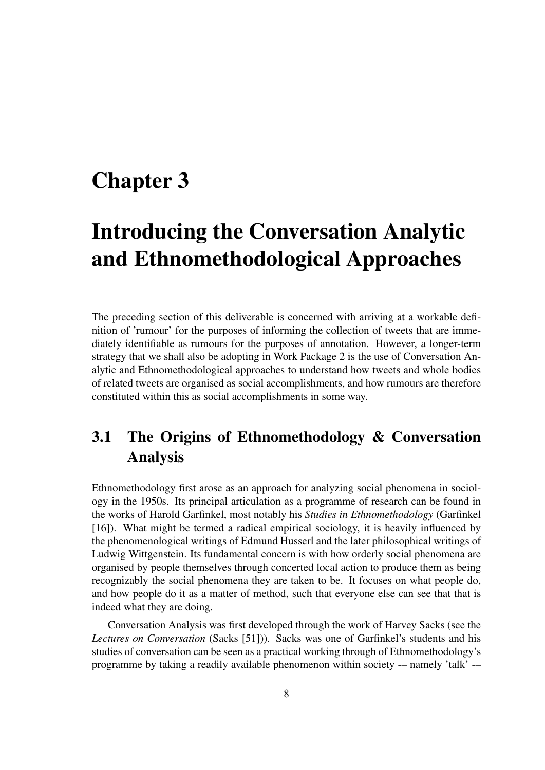# Chapter 3

# Introducing the Conversation Analytic and Ethnomethodological Approaches

The preceding section of this deliverable is concerned with arriving at a workable definition of 'rumour' for the purposes of informing the collection of tweets that are immediately identifiable as rumours for the purposes of annotation. However, a longer-term strategy that we shall also be adopting in Work Package 2 is the use of Conversation Analytic and Ethnomethodological approaches to understand how tweets and whole bodies of related tweets are organised as social accomplishments, and how rumours are therefore constituted within this as social accomplishments in some way.

# 3.1 The Origins of Ethnomethodology & Conversation Analysis

Ethnomethodology first arose as an approach for analyzing social phenomena in sociology in the 1950s. Its principal articulation as a programme of research can be found in the works of Harold Garfinkel, most notably his *Studies in Ethnomethodology* (Garfinkel [16]). What might be termed a radical empirical sociology, it is heavily influenced by the phenomenological writings of Edmund Husserl and the later philosophical writings of Ludwig Wittgenstein. Its fundamental concern is with how orderly social phenomena are organised by people themselves through concerted local action to produce them as being recognizably the social phenomena they are taken to be. It focuses on what people do, and how people do it as a matter of method, such that everyone else can see that that is indeed what they are doing.

Conversation Analysis was first developed through the work of Harvey Sacks (see the *Lectures on Conversation* (Sacks [51])). Sacks was one of Garfinkel's students and his studies of conversation can be seen as a practical working through of Ethnomethodology's programme by taking a readily available phenomenon within society -– namely 'talk' -–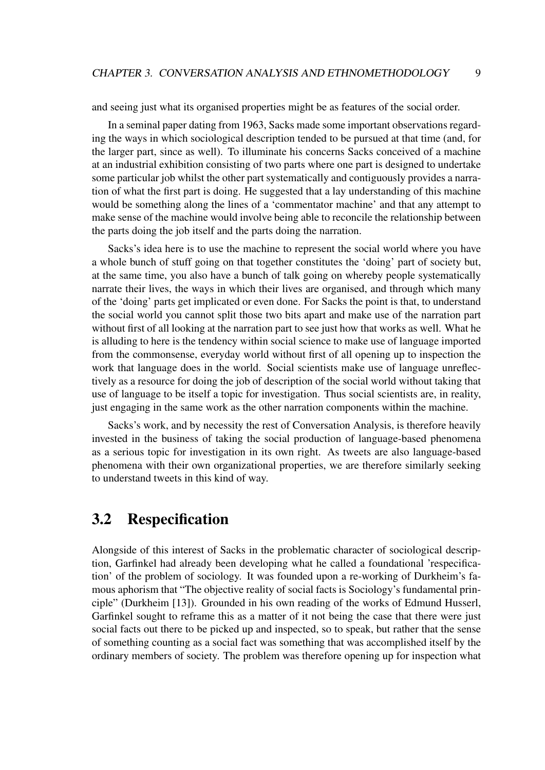and seeing just what its organised properties might be as features of the social order.

In a seminal paper dating from 1963, Sacks made some important observations regarding the ways in which sociological description tended to be pursued at that time (and, for the larger part, since as well). To illuminate his concerns Sacks conceived of a machine at an industrial exhibition consisting of two parts where one part is designed to undertake some particular job whilst the other part systematically and contiguously provides a narration of what the first part is doing. He suggested that a lay understanding of this machine would be something along the lines of a 'commentator machine' and that any attempt to make sense of the machine would involve being able to reconcile the relationship between the parts doing the job itself and the parts doing the narration.

Sacks's idea here is to use the machine to represent the social world where you have a whole bunch of stuff going on that together constitutes the 'doing' part of society but, at the same time, you also have a bunch of talk going on whereby people systematically narrate their lives, the ways in which their lives are organised, and through which many of the 'doing' parts get implicated or even done. For Sacks the point is that, to understand the social world you cannot split those two bits apart and make use of the narration part without first of all looking at the narration part to see just how that works as well. What he is alluding to here is the tendency within social science to make use of language imported from the commonsense, everyday world without first of all opening up to inspection the work that language does in the world. Social scientists make use of language unreflectively as a resource for doing the job of description of the social world without taking that use of language to be itself a topic for investigation. Thus social scientists are, in reality, just engaging in the same work as the other narration components within the machine.

Sacks's work, and by necessity the rest of Conversation Analysis, is therefore heavily invested in the business of taking the social production of language-based phenomena as a serious topic for investigation in its own right. As tweets are also language-based phenomena with their own organizational properties, we are therefore similarly seeking to understand tweets in this kind of way.

# 3.2 Respecification

Alongside of this interest of Sacks in the problematic character of sociological description, Garfinkel had already been developing what he called a foundational 'respecification' of the problem of sociology. It was founded upon a re-working of Durkheim's famous aphorism that "The objective reality of social facts is Sociology's fundamental principle" (Durkheim [13]). Grounded in his own reading of the works of Edmund Husserl, Garfinkel sought to reframe this as a matter of it not being the case that there were just social facts out there to be picked up and inspected, so to speak, but rather that the sense of something counting as a social fact was something that was accomplished itself by the ordinary members of society. The problem was therefore opening up for inspection what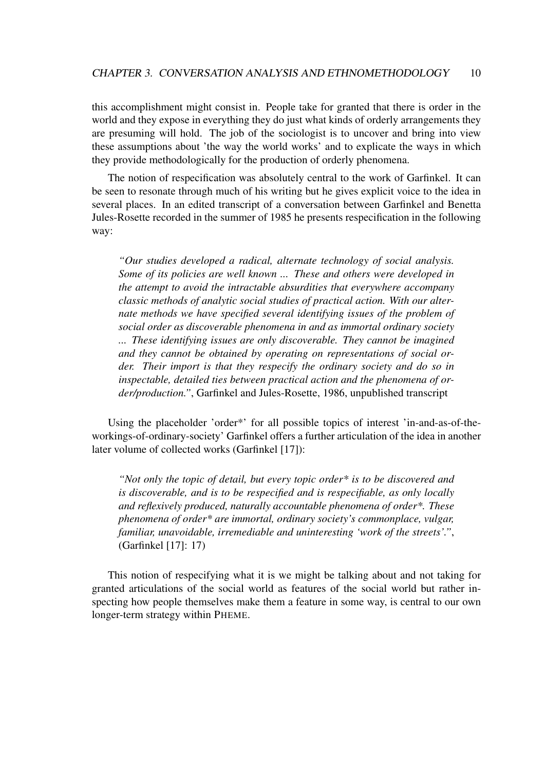this accomplishment might consist in. People take for granted that there is order in the world and they expose in everything they do just what kinds of orderly arrangements they are presuming will hold. The job of the sociologist is to uncover and bring into view these assumptions about 'the way the world works' and to explicate the ways in which they provide methodologically for the production of orderly phenomena.

The notion of respecification was absolutely central to the work of Garfinkel. It can be seen to resonate through much of his writing but he gives explicit voice to the idea in several places. In an edited transcript of a conversation between Garfinkel and Benetta Jules-Rosette recorded in the summer of 1985 he presents respecification in the following way:

*"Our studies developed a radical, alternate technology of social analysis. Some of its policies are well known ... These and others were developed in the attempt to avoid the intractable absurdities that everywhere accompany classic methods of analytic social studies of practical action. With our alternate methods we have specified several identifying issues of the problem of social order as discoverable phenomena in and as immortal ordinary society ... These identifying issues are only discoverable. They cannot be imagined and they cannot be obtained by operating on representations of social order. Their import is that they respecify the ordinary society and do so in inspectable, detailed ties between practical action and the phenomena of order/production."*, Garfinkel and Jules-Rosette, 1986, unpublished transcript

Using the placeholder 'order\*' for all possible topics of interest 'in-and-as-of-theworkings-of-ordinary-society' Garfinkel offers a further articulation of the idea in another later volume of collected works (Garfinkel [17]):

*"Not only the topic of detail, but every topic order\* is to be discovered and is discoverable, and is to be respecified and is respecifiable, as only locally and reflexively produced, naturally accountable phenomena of order\*. These phenomena of order\* are immortal, ordinary society's commonplace, vulgar, familiar, unavoidable, irremediable and uninteresting 'work of the streets'."*, (Garfinkel [17]: 17)

This notion of respecifying what it is we might be talking about and not taking for granted articulations of the social world as features of the social world but rather inspecting how people themselves make them a feature in some way, is central to our own longer-term strategy within PHEME.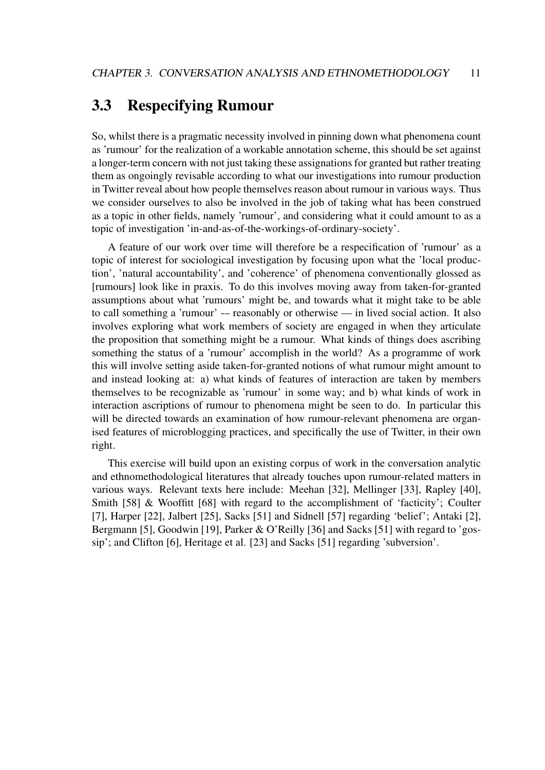## 3.3 Respecifying Rumour

So, whilst there is a pragmatic necessity involved in pinning down what phenomena count as 'rumour' for the realization of a workable annotation scheme, this should be set against a longer-term concern with not just taking these assignations for granted but rather treating them as ongoingly revisable according to what our investigations into rumour production in Twitter reveal about how people themselves reason about rumour in various ways. Thus we consider ourselves to also be involved in the job of taking what has been construed as a topic in other fields, namely 'rumour', and considering what it could amount to as a topic of investigation 'in-and-as-of-the-workings-of-ordinary-society'.

A feature of our work over time will therefore be a respecification of 'rumour' as a topic of interest for sociological investigation by focusing upon what the 'local production', 'natural accountability', and 'coherence' of phenomena conventionally glossed as [rumours] look like in praxis. To do this involves moving away from taken-for-granted assumptions about what 'rumours' might be, and towards what it might take to be able to call something a 'rumour' -– reasonably or otherwise — in lived social action. It also involves exploring what work members of society are engaged in when they articulate the proposition that something might be a rumour. What kinds of things does ascribing something the status of a 'rumour' accomplish in the world? As a programme of work this will involve setting aside taken-for-granted notions of what rumour might amount to and instead looking at: a) what kinds of features of interaction are taken by members themselves to be recognizable as 'rumour' in some way; and b) what kinds of work in interaction ascriptions of rumour to phenomena might be seen to do. In particular this will be directed towards an examination of how rumour-relevant phenomena are organised features of microblogging practices, and specifically the use of Twitter, in their own right.

This exercise will build upon an existing corpus of work in the conversation analytic and ethnomethodological literatures that already touches upon rumour-related matters in various ways. Relevant texts here include: Meehan [32], Mellinger [33], Rapley [40], Smith [58] & Wooffitt [68] with regard to the accomplishment of 'facticity'; Coulter [7], Harper [22], Jalbert [25], Sacks [51] and Sidnell [57] regarding 'belief'; Antaki [2], Bergmann [5], Goodwin [19], Parker & O'Reilly [36] and Sacks [51] with regard to 'gossip'; and Clifton [6], Heritage et al. [23] and Sacks [51] regarding 'subversion'.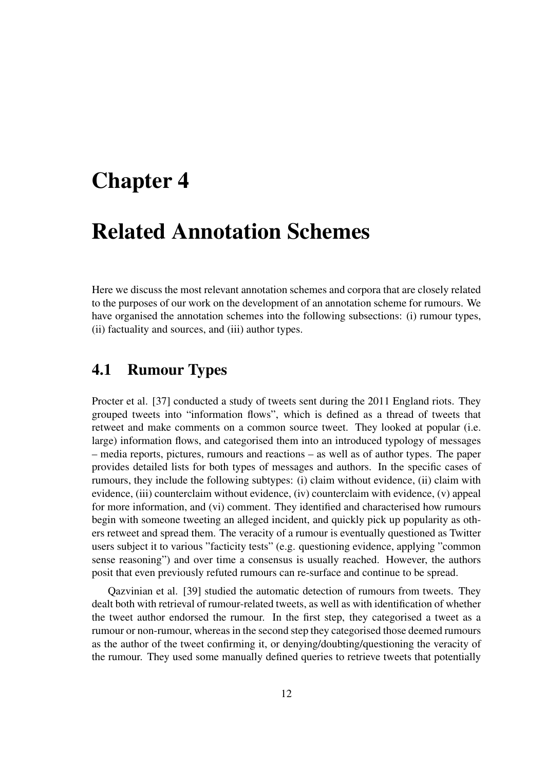# Chapter 4

# Related Annotation Schemes

Here we discuss the most relevant annotation schemes and corpora that are closely related to the purposes of our work on the development of an annotation scheme for rumours. We have organised the annotation schemes into the following subsections: (i) rumour types, (ii) factuality and sources, and (iii) author types.

## 4.1 Rumour Types

Procter et al. [37] conducted a study of tweets sent during the 2011 England riots. They grouped tweets into "information flows", which is defined as a thread of tweets that retweet and make comments on a common source tweet. They looked at popular (i.e. large) information flows, and categorised them into an introduced typology of messages – media reports, pictures, rumours and reactions – as well as of author types. The paper provides detailed lists for both types of messages and authors. In the specific cases of rumours, they include the following subtypes: (i) claim without evidence, (ii) claim with evidence, (iii) counterclaim without evidence, (iv) counterclaim with evidence, (v) appeal for more information, and (vi) comment. They identified and characterised how rumours begin with someone tweeting an alleged incident, and quickly pick up popularity as others retweet and spread them. The veracity of a rumour is eventually questioned as Twitter users subject it to various "facticity tests" (e.g. questioning evidence, applying "common sense reasoning") and over time a consensus is usually reached. However, the authors posit that even previously refuted rumours can re-surface and continue to be spread.

Qazvinian et al. [39] studied the automatic detection of rumours from tweets. They dealt both with retrieval of rumour-related tweets, as well as with identification of whether the tweet author endorsed the rumour. In the first step, they categorised a tweet as a rumour or non-rumour, whereas in the second step they categorised those deemed rumours as the author of the tweet confirming it, or denying/doubting/questioning the veracity of the rumour. They used some manually defined queries to retrieve tweets that potentially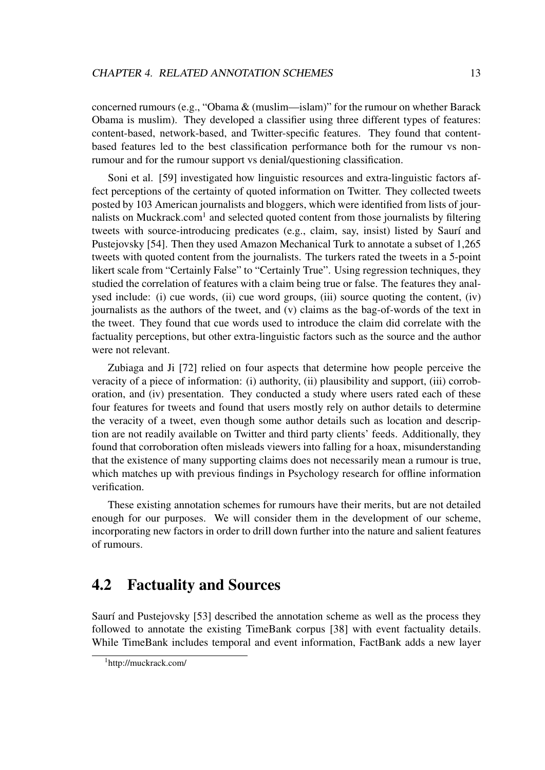concerned rumours (e.g., "Obama & (muslim—islam)" for the rumour on whether Barack Obama is muslim). They developed a classifier using three different types of features: content-based, network-based, and Twitter-specific features. They found that contentbased features led to the best classification performance both for the rumour vs nonrumour and for the rumour support vs denial/questioning classification.

Soni et al. [59] investigated how linguistic resources and extra-linguistic factors affect perceptions of the certainty of quoted information on Twitter. They collected tweets posted by 103 American journalists and bloggers, which were identified from lists of journalists on Muckrack.com<sup>1</sup> and selected quoted content from those journalists by filtering tweets with source-introducing predicates (e.g., claim, say, insist) listed by Saurí and Pustejovsky [54]. Then they used Amazon Mechanical Turk to annotate a subset of 1,265 tweets with quoted content from the journalists. The turkers rated the tweets in a 5-point likert scale from "Certainly False" to "Certainly True". Using regression techniques, they studied the correlation of features with a claim being true or false. The features they analysed include: (i) cue words, (ii) cue word groups, (iii) source quoting the content, (iv) journalists as the authors of the tweet, and (v) claims as the bag-of-words of the text in the tweet. They found that cue words used to introduce the claim did correlate with the factuality perceptions, but other extra-linguistic factors such as the source and the author were not relevant.

Zubiaga and Ji [72] relied on four aspects that determine how people perceive the veracity of a piece of information: (i) authority, (ii) plausibility and support, (iii) corroboration, and (iv) presentation. They conducted a study where users rated each of these four features for tweets and found that users mostly rely on author details to determine the veracity of a tweet, even though some author details such as location and description are not readily available on Twitter and third party clients' feeds. Additionally, they found that corroboration often misleads viewers into falling for a hoax, misunderstanding that the existence of many supporting claims does not necessarily mean a rumour is true, which matches up with previous findings in Psychology research for offline information verification.

These existing annotation schemes for rumours have their merits, but are not detailed enough for our purposes. We will consider them in the development of our scheme, incorporating new factors in order to drill down further into the nature and salient features of rumours.

## 4.2 Factuality and Sources

Saurí and Pustejovsky [53] described the annotation scheme as well as the process they followed to annotate the existing TimeBank corpus [38] with event factuality details. While TimeBank includes temporal and event information, FactBank adds a new layer

<sup>1</sup>http://muckrack.com/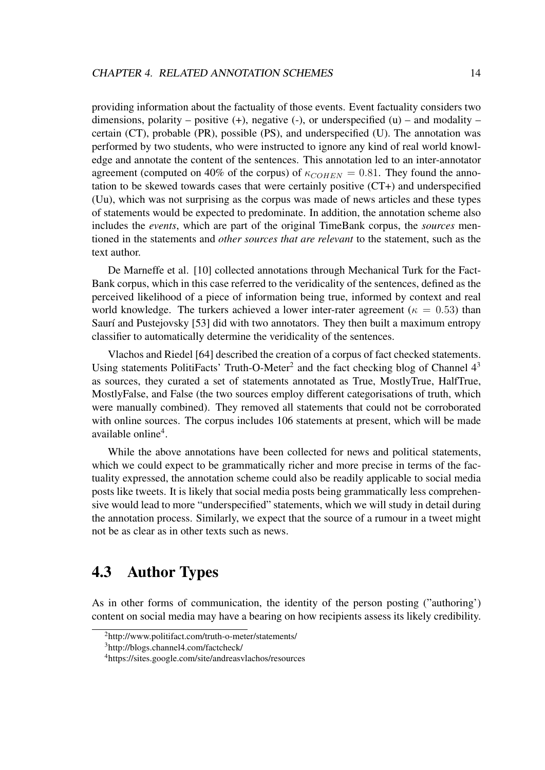providing information about the factuality of those events. Event factuality considers two dimensions, polarity – positive  $(+)$ , negative  $(-)$ , or underspecified  $(u)$  – and modality – certain (CT), probable (PR), possible (PS), and underspecified (U). The annotation was performed by two students, who were instructed to ignore any kind of real world knowledge and annotate the content of the sentences. This annotation led to an inter-annotator agreement (computed on 40% of the corpus) of  $\kappa_{COHER} = 0.81$ . They found the annotation to be skewed towards cases that were certainly positive (CT+) and underspecified (Uu), which was not surprising as the corpus was made of news articles and these types of statements would be expected to predominate. In addition, the annotation scheme also includes the *events*, which are part of the original TimeBank corpus, the *sources* mentioned in the statements and *other sources that are relevant* to the statement, such as the text author.

De Marneffe et al. [10] collected annotations through Mechanical Turk for the Fact-Bank corpus, which in this case referred to the veridicality of the sentences, defined as the perceived likelihood of a piece of information being true, informed by context and real world knowledge. The turkers achieved a lower inter-rater agreement ( $\kappa = 0.53$ ) than Saurí and Pustejovsky [53] did with two annotators. They then built a maximum entropy classifier to automatically determine the veridicality of the sentences.

Vlachos and Riedel [64] described the creation of a corpus of fact checked statements. Using statements PolitiFacts' Truth-O-Meter<sup>2</sup> and the fact checking blog of Channel  $4<sup>3</sup>$ as sources, they curated a set of statements annotated as True, MostlyTrue, HalfTrue, MostlyFalse, and False (the two sources employ different categorisations of truth, which were manually combined). They removed all statements that could not be corroborated with online sources. The corpus includes 106 statements at present, which will be made available online<sup>4</sup>.

While the above annotations have been collected for news and political statements, which we could expect to be grammatically richer and more precise in terms of the factuality expressed, the annotation scheme could also be readily applicable to social media posts like tweets. It is likely that social media posts being grammatically less comprehensive would lead to more "underspecified" statements, which we will study in detail during the annotation process. Similarly, we expect that the source of a rumour in a tweet might not be as clear as in other texts such as news.

# 4.3 Author Types

As in other forms of communication, the identity of the person posting ("authoring') content on social media may have a bearing on how recipients assess its likely credibility.

<sup>2</sup>http://www.politifact.com/truth-o-meter/statements/

<sup>3</sup>http://blogs.channel4.com/factcheck/

<sup>4</sup>https://sites.google.com/site/andreasvlachos/resources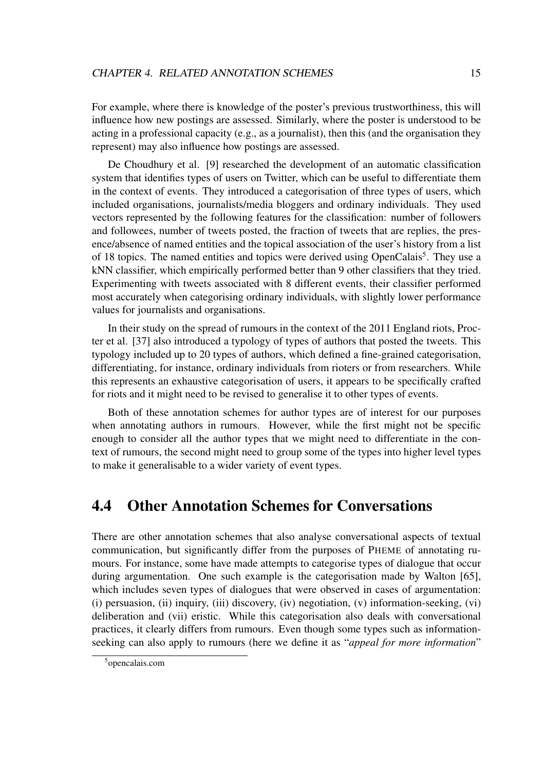For example, where there is knowledge of the poster's previous trustworthiness, this will influence how new postings are assessed. Similarly, where the poster is understood to be acting in a professional capacity (e.g., as a journalist), then this (and the organisation they represent) may also influence how postings are assessed.

De Choudhury et al. [9] researched the development of an automatic classification system that identifies types of users on Twitter, which can be useful to differentiate them in the context of events. They introduced a categorisation of three types of users, which included organisations, journalists/media bloggers and ordinary individuals. They used vectors represented by the following features for the classification: number of followers and followees, number of tweets posted, the fraction of tweets that are replies, the presence/absence of named entities and the topical association of the user's history from a list of 18 topics. The named entities and topics were derived using OpenCalais<sup>5</sup>. They use a kNN classifier, which empirically performed better than 9 other classifiers that they tried. Experimenting with tweets associated with 8 different events, their classifier performed most accurately when categorising ordinary individuals, with slightly lower performance values for journalists and organisations.

In their study on the spread of rumours in the context of the 2011 England riots, Procter et al. [37] also introduced a typology of types of authors that posted the tweets. This typology included up to 20 types of authors, which defined a fine-grained categorisation, differentiating, for instance, ordinary individuals from rioters or from researchers. While this represents an exhaustive categorisation of users, it appears to be specifically crafted for riots and it might need to be revised to generalise it to other types of events.

Both of these annotation schemes for author types are of interest for our purposes when annotating authors in rumours. However, while the first might not be specific enough to consider all the author types that we might need to differentiate in the context of rumours, the second might need to group some of the types into higher level types to make it generalisable to a wider variety of event types.

# 4.4 Other Annotation Schemes for Conversations

There are other annotation schemes that also analyse conversational aspects of textual communication, but significantly differ from the purposes of PHEME of annotating rumours. For instance, some have made attempts to categorise types of dialogue that occur during argumentation. One such example is the categorisation made by Walton [65], which includes seven types of dialogues that were observed in cases of argumentation: (i) persuasion, (ii) inquiry, (iii) discovery, (iv) negotiation, (v) information-seeking, (vi) deliberation and (vii) eristic. While this categorisation also deals with conversational practices, it clearly differs from rumours. Even though some types such as informationseeking can also apply to rumours (here we define it as "*appeal for more information*"

<sup>5</sup>opencalais.com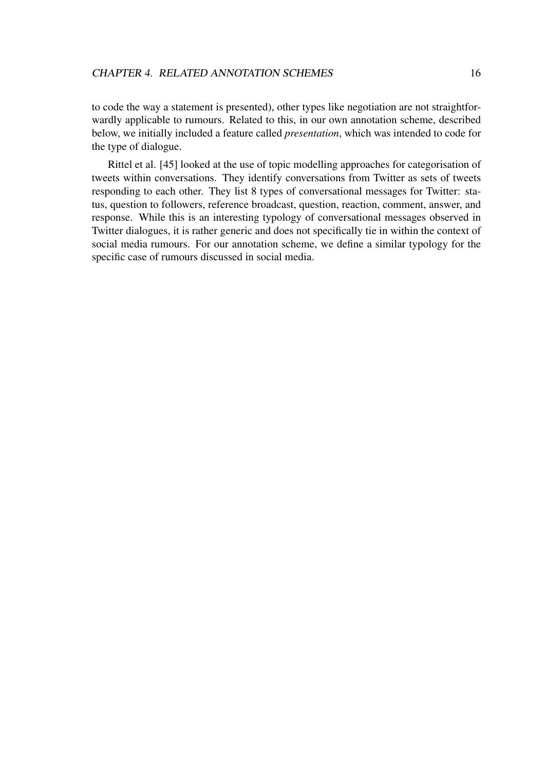to code the way a statement is presented), other types like negotiation are not straightforwardly applicable to rumours. Related to this, in our own annotation scheme, described below, we initially included a feature called *presentation*, which was intended to code for the type of dialogue.

Rittel et al. [45] looked at the use of topic modelling approaches for categorisation of tweets within conversations. They identify conversations from Twitter as sets of tweets responding to each other. They list 8 types of conversational messages for Twitter: status, question to followers, reference broadcast, question, reaction, comment, answer, and response. While this is an interesting typology of conversational messages observed in Twitter dialogues, it is rather generic and does not specifically tie in within the context of social media rumours. For our annotation scheme, we define a similar typology for the specific case of rumours discussed in social media.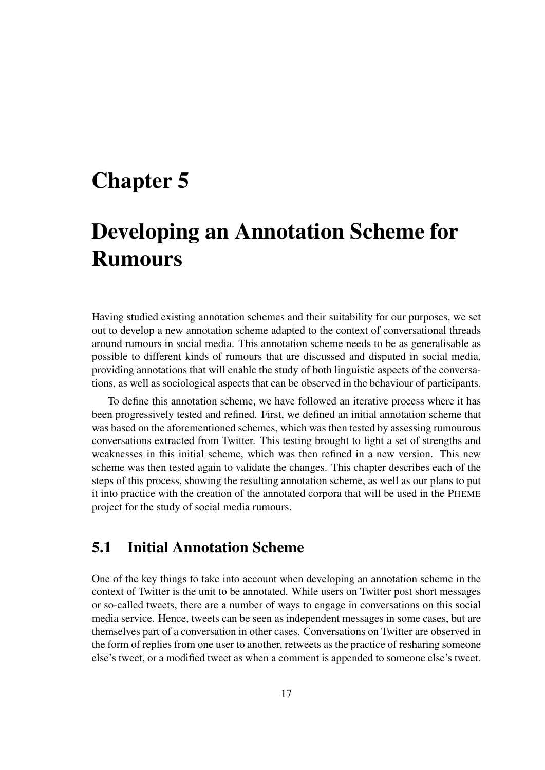# Chapter 5

# Developing an Annotation Scheme for Rumours

Having studied existing annotation schemes and their suitability for our purposes, we set out to develop a new annotation scheme adapted to the context of conversational threads around rumours in social media. This annotation scheme needs to be as generalisable as possible to different kinds of rumours that are discussed and disputed in social media, providing annotations that will enable the study of both linguistic aspects of the conversations, as well as sociological aspects that can be observed in the behaviour of participants.

To define this annotation scheme, we have followed an iterative process where it has been progressively tested and refined. First, we defined an initial annotation scheme that was based on the aforementioned schemes, which was then tested by assessing rumourous conversations extracted from Twitter. This testing brought to light a set of strengths and weaknesses in this initial scheme, which was then refined in a new version. This new scheme was then tested again to validate the changes. This chapter describes each of the steps of this process, showing the resulting annotation scheme, as well as our plans to put it into practice with the creation of the annotated corpora that will be used in the PHEME project for the study of social media rumours.

## 5.1 Initial Annotation Scheme

One of the key things to take into account when developing an annotation scheme in the context of Twitter is the unit to be annotated. While users on Twitter post short messages or so-called tweets, there are a number of ways to engage in conversations on this social media service. Hence, tweets can be seen as independent messages in some cases, but are themselves part of a conversation in other cases. Conversations on Twitter are observed in the form of replies from one user to another, retweets as the practice of resharing someone else's tweet, or a modified tweet as when a comment is appended to someone else's tweet.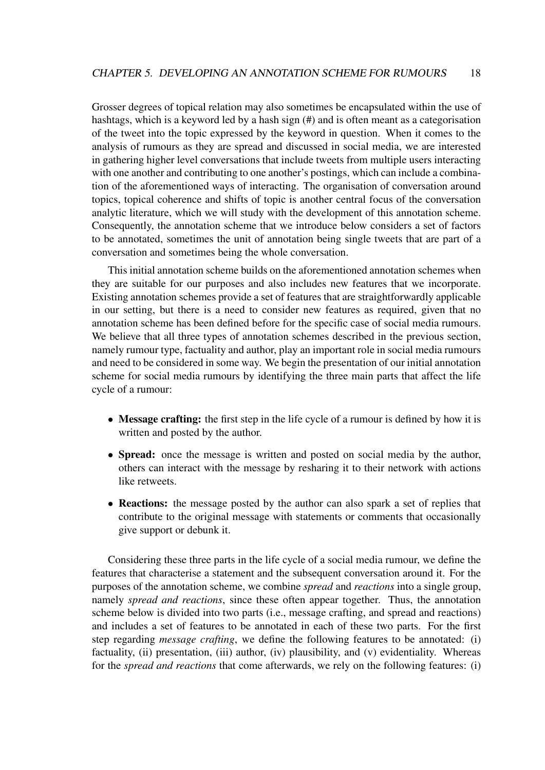Grosser degrees of topical relation may also sometimes be encapsulated within the use of hashtags, which is a keyword led by a hash sign (#) and is often meant as a categorisation of the tweet into the topic expressed by the keyword in question. When it comes to the analysis of rumours as they are spread and discussed in social media, we are interested in gathering higher level conversations that include tweets from multiple users interacting with one another and contributing to one another's postings, which can include a combination of the aforementioned ways of interacting. The organisation of conversation around topics, topical coherence and shifts of topic is another central focus of the conversation analytic literature, which we will study with the development of this annotation scheme. Consequently, the annotation scheme that we introduce below considers a set of factors to be annotated, sometimes the unit of annotation being single tweets that are part of a conversation and sometimes being the whole conversation.

This initial annotation scheme builds on the aforementioned annotation schemes when they are suitable for our purposes and also includes new features that we incorporate. Existing annotation schemes provide a set of features that are straightforwardly applicable in our setting, but there is a need to consider new features as required, given that no annotation scheme has been defined before for the specific case of social media rumours. We believe that all three types of annotation schemes described in the previous section, namely rumour type, factuality and author, play an important role in social media rumours and need to be considered in some way. We begin the presentation of our initial annotation scheme for social media rumours by identifying the three main parts that affect the life cycle of a rumour:

- Message crafting: the first step in the life cycle of a rumour is defined by how it is written and posted by the author.
- Spread: once the message is written and posted on social media by the author, others can interact with the message by resharing it to their network with actions like retweets.
- Reactions: the message posted by the author can also spark a set of replies that contribute to the original message with statements or comments that occasionally give support or debunk it.

Considering these three parts in the life cycle of a social media rumour, we define the features that characterise a statement and the subsequent conversation around it. For the purposes of the annotation scheme, we combine *spread* and *reactions* into a single group, namely *spread and reactions*, since these often appear together. Thus, the annotation scheme below is divided into two parts (i.e., message crafting, and spread and reactions) and includes a set of features to be annotated in each of these two parts. For the first step regarding *message crafting*, we define the following features to be annotated: (i) factuality, (ii) presentation, (iii) author, (iv) plausibility, and (v) evidentiality. Whereas for the *spread and reactions* that come afterwards, we rely on the following features: (i)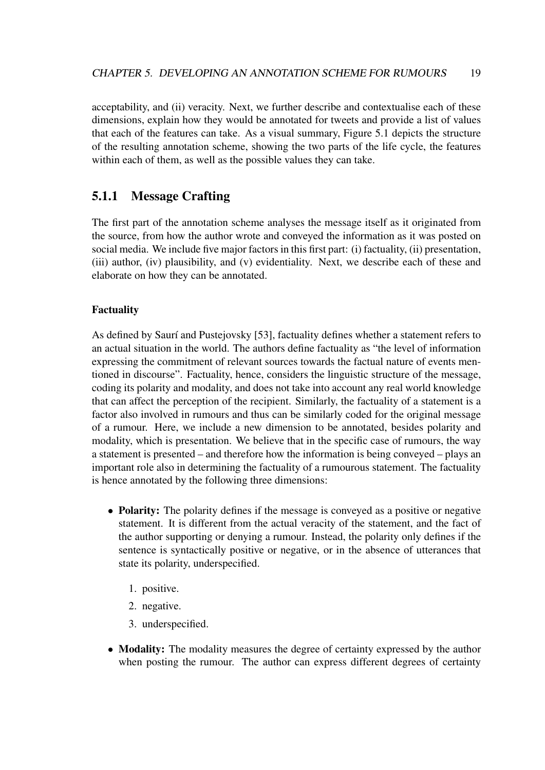acceptability, and (ii) veracity. Next, we further describe and contextualise each of these dimensions, explain how they would be annotated for tweets and provide a list of values that each of the features can take. As a visual summary, Figure 5.1 depicts the structure of the resulting annotation scheme, showing the two parts of the life cycle, the features within each of them, as well as the possible values they can take.

### 5.1.1 Message Crafting

The first part of the annotation scheme analyses the message itself as it originated from the source, from how the author wrote and conveyed the information as it was posted on social media. We include five major factors in this first part: (i) factuality, (ii) presentation, (iii) author, (iv) plausibility, and (v) evidentiality. Next, we describe each of these and elaborate on how they can be annotated.

### Factuality

As defined by Saurí and Pustejovsky [53], factuality defines whether a statement refers to an actual situation in the world. The authors define factuality as "the level of information expressing the commitment of relevant sources towards the factual nature of events mentioned in discourse". Factuality, hence, considers the linguistic structure of the message, coding its polarity and modality, and does not take into account any real world knowledge that can affect the perception of the recipient. Similarly, the factuality of a statement is a factor also involved in rumours and thus can be similarly coded for the original message of a rumour. Here, we include a new dimension to be annotated, besides polarity and modality, which is presentation. We believe that in the specific case of rumours, the way a statement is presented – and therefore how the information is being conveyed – plays an important role also in determining the factuality of a rumourous statement. The factuality is hence annotated by the following three dimensions:

- Polarity: The polarity defines if the message is conveyed as a positive or negative statement. It is different from the actual veracity of the statement, and the fact of the author supporting or denying a rumour. Instead, the polarity only defines if the sentence is syntactically positive or negative, or in the absence of utterances that state its polarity, underspecified.
	- 1. positive.
	- 2. negative.
	- 3. underspecified.
- Modality: The modality measures the degree of certainty expressed by the author when posting the rumour. The author can express different degrees of certainty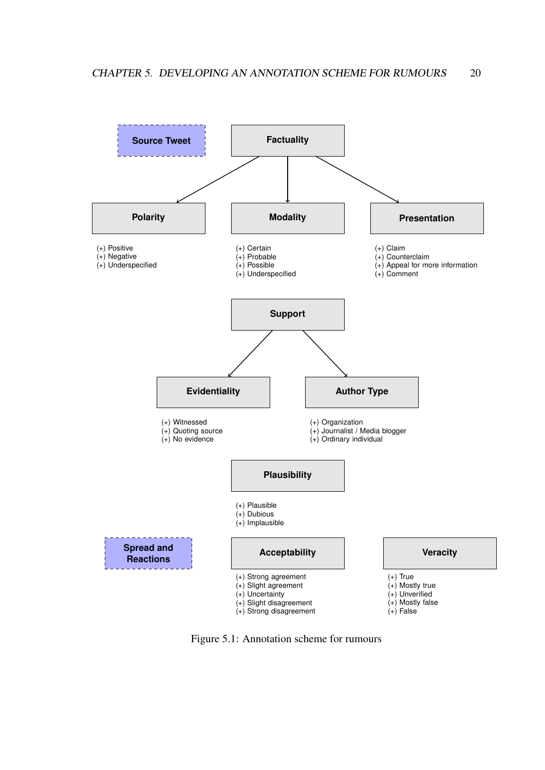

Figure 5.1: Annotation scheme for rumours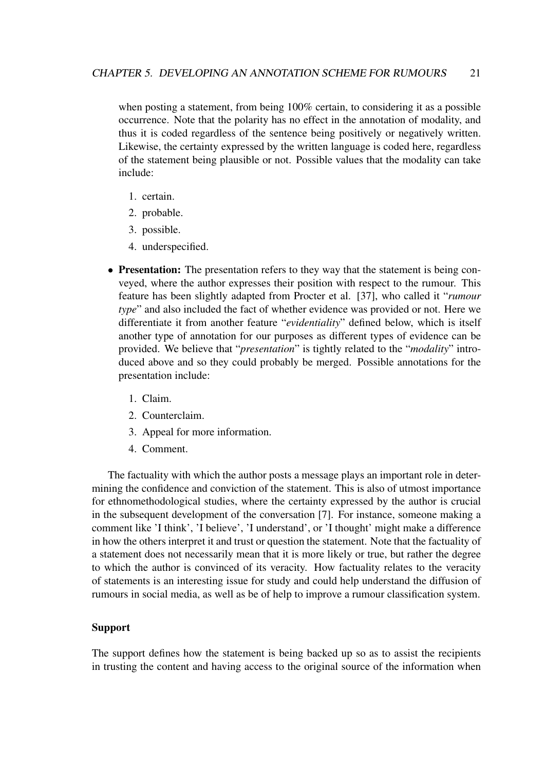when posting a statement, from being 100% certain, to considering it as a possible occurrence. Note that the polarity has no effect in the annotation of modality, and thus it is coded regardless of the sentence being positively or negatively written. Likewise, the certainty expressed by the written language is coded here, regardless of the statement being plausible or not. Possible values that the modality can take include:

- 1. certain.
- 2. probable.
- 3. possible.
- 4. underspecified.
- Presentation: The presentation refers to they way that the statement is being conveyed, where the author expresses their position with respect to the rumour. This feature has been slightly adapted from Procter et al. [37], who called it "*rumour type*" and also included the fact of whether evidence was provided or not. Here we differentiate it from another feature "*evidentiality*" defined below, which is itself another type of annotation for our purposes as different types of evidence can be provided. We believe that "*presentation*" is tightly related to the "*modality*" introduced above and so they could probably be merged. Possible annotations for the presentation include:
	- 1. Claim.
	- 2. Counterclaim.
	- 3. Appeal for more information.
	- 4. Comment.

The factuality with which the author posts a message plays an important role in determining the confidence and conviction of the statement. This is also of utmost importance for ethnomethodological studies, where the certainty expressed by the author is crucial in the subsequent development of the conversation [7]. For instance, someone making a comment like 'I think', 'I believe', 'I understand', or 'I thought' might make a difference in how the others interpret it and trust or question the statement. Note that the factuality of a statement does not necessarily mean that it is more likely or true, but rather the degree to which the author is convinced of its veracity. How factuality relates to the veracity of statements is an interesting issue for study and could help understand the diffusion of rumours in social media, as well as be of help to improve a rumour classification system.

### Support

The support defines how the statement is being backed up so as to assist the recipients in trusting the content and having access to the original source of the information when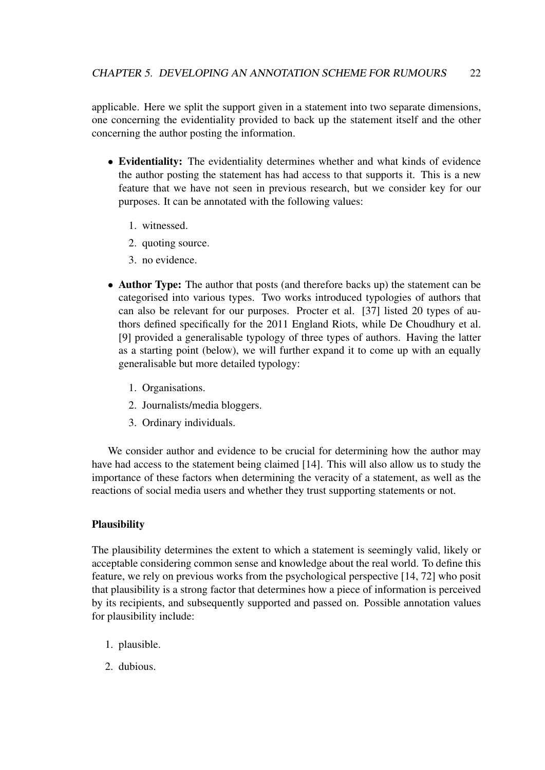applicable. Here we split the support given in a statement into two separate dimensions, one concerning the evidentiality provided to back up the statement itself and the other concerning the author posting the information.

- Evidentiality: The evidentiality determines whether and what kinds of evidence the author posting the statement has had access to that supports it. This is a new feature that we have not seen in previous research, but we consider key for our purposes. It can be annotated with the following values:
	- 1. witnessed.
	- 2. quoting source.
	- 3. no evidence.
- Author Type: The author that posts (and therefore backs up) the statement can be categorised into various types. Two works introduced typologies of authors that can also be relevant for our purposes. Procter et al. [37] listed 20 types of authors defined specifically for the 2011 England Riots, while De Choudhury et al. [9] provided a generalisable typology of three types of authors. Having the latter as a starting point (below), we will further expand it to come up with an equally generalisable but more detailed typology:
	- 1. Organisations.
	- 2. Journalists/media bloggers.
	- 3. Ordinary individuals.

We consider author and evidence to be crucial for determining how the author may have had access to the statement being claimed [14]. This will also allow us to study the importance of these factors when determining the veracity of a statement, as well as the reactions of social media users and whether they trust supporting statements or not.

#### **Plausibility**

The plausibility determines the extent to which a statement is seemingly valid, likely or acceptable considering common sense and knowledge about the real world. To define this feature, we rely on previous works from the psychological perspective [14, 72] who posit that plausibility is a strong factor that determines how a piece of information is perceived by its recipients, and subsequently supported and passed on. Possible annotation values for plausibility include:

- 1. plausible.
- 2. dubious.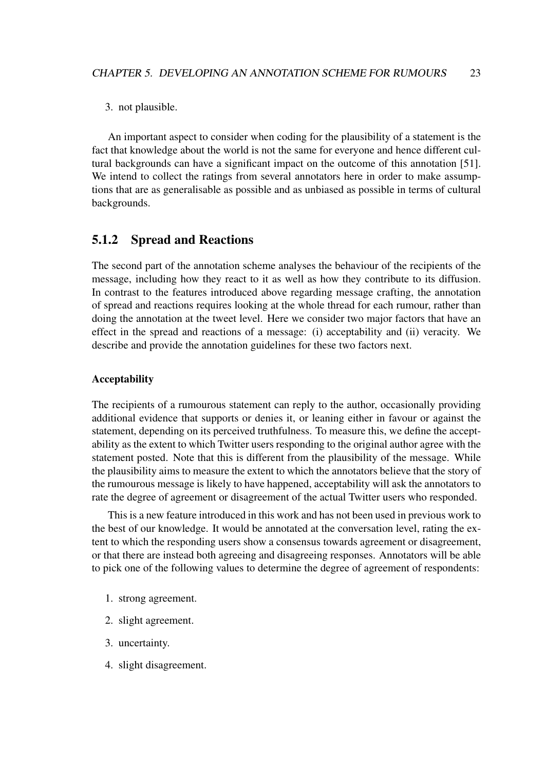3. not plausible.

An important aspect to consider when coding for the plausibility of a statement is the fact that knowledge about the world is not the same for everyone and hence different cultural backgrounds can have a significant impact on the outcome of this annotation [51]. We intend to collect the ratings from several annotators here in order to make assumptions that are as generalisable as possible and as unbiased as possible in terms of cultural backgrounds.

### 5.1.2 Spread and Reactions

The second part of the annotation scheme analyses the behaviour of the recipients of the message, including how they react to it as well as how they contribute to its diffusion. In contrast to the features introduced above regarding message crafting, the annotation of spread and reactions requires looking at the whole thread for each rumour, rather than doing the annotation at the tweet level. Here we consider two major factors that have an effect in the spread and reactions of a message: (i) acceptability and (ii) veracity. We describe and provide the annotation guidelines for these two factors next.

### Acceptability

The recipients of a rumourous statement can reply to the author, occasionally providing additional evidence that supports or denies it, or leaning either in favour or against the statement, depending on its perceived truthfulness. To measure this, we define the acceptability as the extent to which Twitter users responding to the original author agree with the statement posted. Note that this is different from the plausibility of the message. While the plausibility aims to measure the extent to which the annotators believe that the story of the rumourous message is likely to have happened, acceptability will ask the annotators to rate the degree of agreement or disagreement of the actual Twitter users who responded.

This is a new feature introduced in this work and has not been used in previous work to the best of our knowledge. It would be annotated at the conversation level, rating the extent to which the responding users show a consensus towards agreement or disagreement, or that there are instead both agreeing and disagreeing responses. Annotators will be able to pick one of the following values to determine the degree of agreement of respondents:

- 1. strong agreement.
- 2. slight agreement.
- 3. uncertainty.
- 4. slight disagreement.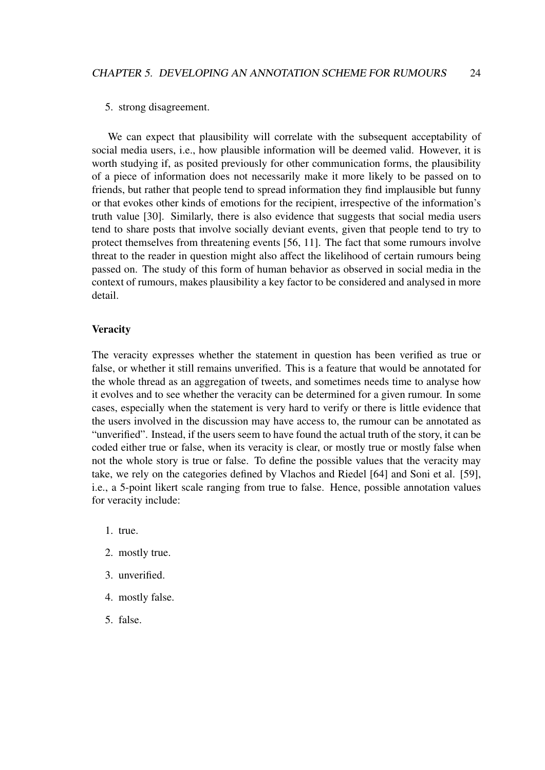5. strong disagreement.

We can expect that plausibility will correlate with the subsequent acceptability of social media users, i.e., how plausible information will be deemed valid. However, it is worth studying if, as posited previously for other communication forms, the plausibility of a piece of information does not necessarily make it more likely to be passed on to friends, but rather that people tend to spread information they find implausible but funny or that evokes other kinds of emotions for the recipient, irrespective of the information's truth value [30]. Similarly, there is also evidence that suggests that social media users tend to share posts that involve socially deviant events, given that people tend to try to protect themselves from threatening events [56, 11]. The fact that some rumours involve threat to the reader in question might also affect the likelihood of certain rumours being passed on. The study of this form of human behavior as observed in social media in the context of rumours, makes plausibility a key factor to be considered and analysed in more detail.

#### **Veracity**

The veracity expresses whether the statement in question has been verified as true or false, or whether it still remains unverified. This is a feature that would be annotated for the whole thread as an aggregation of tweets, and sometimes needs time to analyse how it evolves and to see whether the veracity can be determined for a given rumour. In some cases, especially when the statement is very hard to verify or there is little evidence that the users involved in the discussion may have access to, the rumour can be annotated as "unverified". Instead, if the users seem to have found the actual truth of the story, it can be coded either true or false, when its veracity is clear, or mostly true or mostly false when not the whole story is true or false. To define the possible values that the veracity may take, we rely on the categories defined by Vlachos and Riedel [64] and Soni et al. [59], i.e., a 5-point likert scale ranging from true to false. Hence, possible annotation values for veracity include:

- 1. true.
- 2. mostly true.
- 3. unverified.
- 4. mostly false.
- 5. false.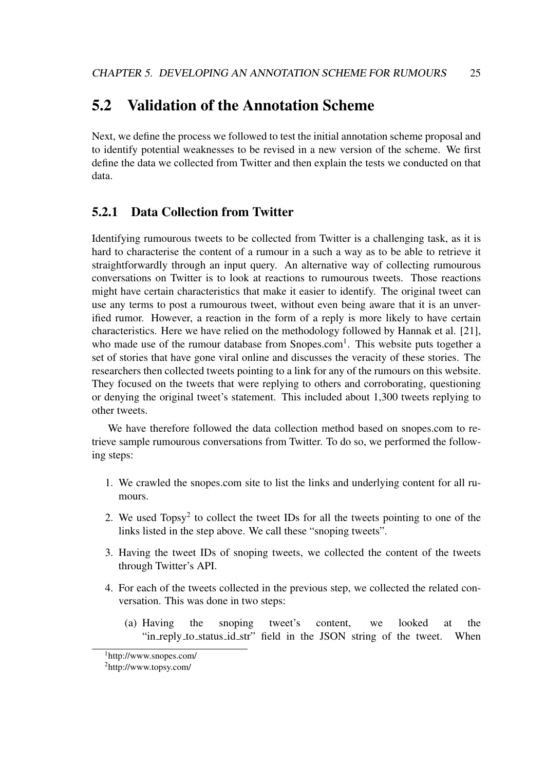# 5.2 Validation of the Annotation Scheme

Next, we define the process we followed to test the initial annotation scheme proposal and to identify potential weaknesses to be revised in a new version of the scheme. We first define the data we collected from Twitter and then explain the tests we conducted on that data.

### 5.2.1 Data Collection from Twitter

Identifying rumourous tweets to be collected from Twitter is a challenging task, as it is hard to characterise the content of a rumour in a such a way as to be able to retrieve it straightforwardly through an input query. An alternative way of collecting rumourous conversations on Twitter is to look at reactions to rumourous tweets. Those reactions might have certain characteristics that make it easier to identify. The original tweet can use any terms to post a rumourous tweet, without even being aware that it is an unverified rumor. However, a reaction in the form of a reply is more likely to have certain characteristics. Here we have relied on the methodology followed by Hannak et al. [21], who made use of the rumour database from Snopes.com<sup>1</sup>. This website puts together a set of stories that have gone viral online and discusses the veracity of these stories. The researchers then collected tweets pointing to a link for any of the rumours on this website. They focused on the tweets that were replying to others and corroborating, questioning or denying the original tweet's statement. This included about 1,300 tweets replying to other tweets.

We have therefore followed the data collection method based on snopes.com to retrieve sample rumourous conversations from Twitter. To do so, we performed the following steps:

- 1. We crawled the snopes.com site to list the links and underlying content for all rumours.
- 2. We used  $T$ opsy<sup>2</sup> to collect the tweet IDs for all the tweets pointing to one of the links listed in the step above. We call these "snoping tweets".
- 3. Having the tweet IDs of snoping tweets, we collected the content of the tweets through Twitter's API.
- 4. For each of the tweets collected in the previous step, we collected the related conversation. This was done in two steps:
	- (a) Having the snoping tweet's content, we looked at the "in reply to status id str" field in the JSON string of the tweet. When

<sup>1</sup>http://www.snopes.com/

<sup>2</sup>http://www.topsy.com/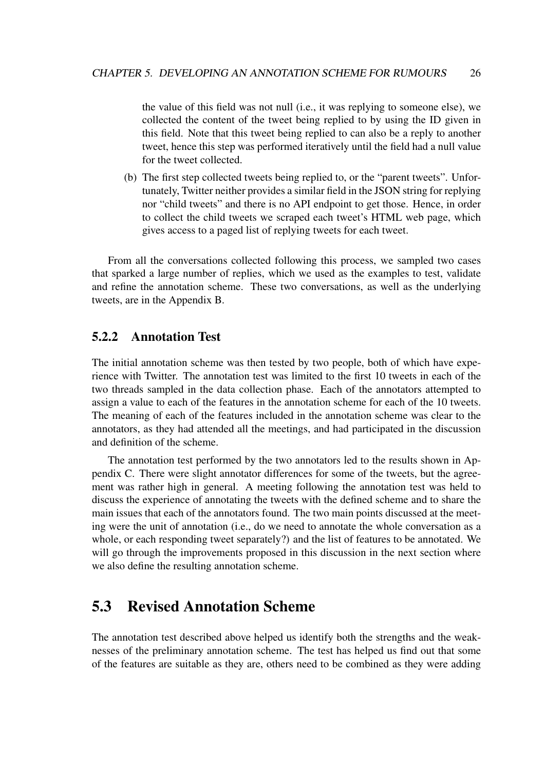the value of this field was not null (i.e., it was replying to someone else), we collected the content of the tweet being replied to by using the ID given in this field. Note that this tweet being replied to can also be a reply to another tweet, hence this step was performed iteratively until the field had a null value for the tweet collected.

(b) The first step collected tweets being replied to, or the "parent tweets". Unfortunately, Twitter neither provides a similar field in the JSON string for replying nor "child tweets" and there is no API endpoint to get those. Hence, in order to collect the child tweets we scraped each tweet's HTML web page, which gives access to a paged list of replying tweets for each tweet.

From all the conversations collected following this process, we sampled two cases that sparked a large number of replies, which we used as the examples to test, validate and refine the annotation scheme. These two conversations, as well as the underlying tweets, are in the Appendix B.

### 5.2.2 Annotation Test

The initial annotation scheme was then tested by two people, both of which have experience with Twitter. The annotation test was limited to the first 10 tweets in each of the two threads sampled in the data collection phase. Each of the annotators attempted to assign a value to each of the features in the annotation scheme for each of the 10 tweets. The meaning of each of the features included in the annotation scheme was clear to the annotators, as they had attended all the meetings, and had participated in the discussion and definition of the scheme.

The annotation test performed by the two annotators led to the results shown in Appendix C. There were slight annotator differences for some of the tweets, but the agreement was rather high in general. A meeting following the annotation test was held to discuss the experience of annotating the tweets with the defined scheme and to share the main issues that each of the annotators found. The two main points discussed at the meeting were the unit of annotation (i.e., do we need to annotate the whole conversation as a whole, or each responding tweet separately?) and the list of features to be annotated. We will go through the improvements proposed in this discussion in the next section where we also define the resulting annotation scheme.

# 5.3 Revised Annotation Scheme

The annotation test described above helped us identify both the strengths and the weaknesses of the preliminary annotation scheme. The test has helped us find out that some of the features are suitable as they are, others need to be combined as they were adding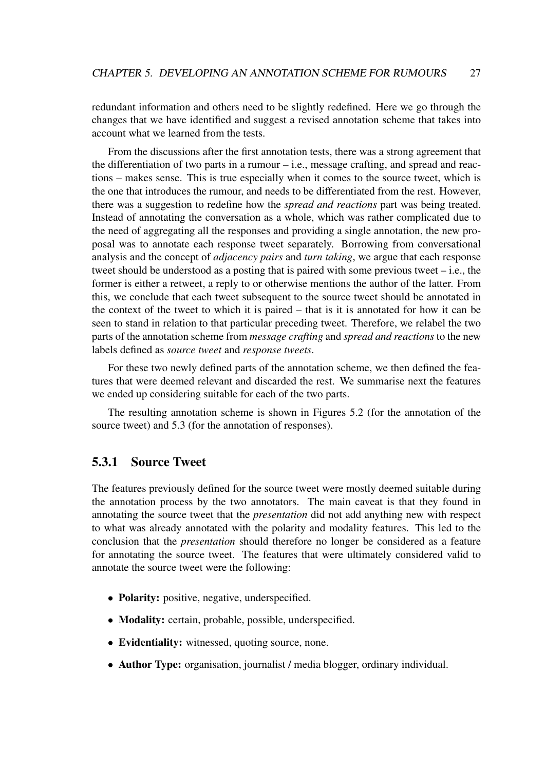redundant information and others need to be slightly redefined. Here we go through the changes that we have identified and suggest a revised annotation scheme that takes into account what we learned from the tests.

From the discussions after the first annotation tests, there was a strong agreement that the differentiation of two parts in a rumour  $-i.e.,$  message crafting, and spread and reactions – makes sense. This is true especially when it comes to the source tweet, which is the one that introduces the rumour, and needs to be differentiated from the rest. However, there was a suggestion to redefine how the *spread and reactions* part was being treated. Instead of annotating the conversation as a whole, which was rather complicated due to the need of aggregating all the responses and providing a single annotation, the new proposal was to annotate each response tweet separately. Borrowing from conversational analysis and the concept of *adjacency pairs* and *turn taking*, we argue that each response tweet should be understood as a posting that is paired with some previous tweet – i.e., the former is either a retweet, a reply to or otherwise mentions the author of the latter. From this, we conclude that each tweet subsequent to the source tweet should be annotated in the context of the tweet to which it is paired – that is it is annotated for how it can be seen to stand in relation to that particular preceding tweet. Therefore, we relabel the two parts of the annotation scheme from *message crafting* and *spread and reactions* to the new labels defined as *source tweet* and *response tweets*.

For these two newly defined parts of the annotation scheme, we then defined the features that were deemed relevant and discarded the rest. We summarise next the features we ended up considering suitable for each of the two parts.

The resulting annotation scheme is shown in Figures 5.2 (for the annotation of the source tweet) and 5.3 (for the annotation of responses).

### 5.3.1 Source Tweet

The features previously defined for the source tweet were mostly deemed suitable during the annotation process by the two annotators. The main caveat is that they found in annotating the source tweet that the *presentation* did not add anything new with respect to what was already annotated with the polarity and modality features. This led to the conclusion that the *presentation* should therefore no longer be considered as a feature for annotating the source tweet. The features that were ultimately considered valid to annotate the source tweet were the following:

- Polarity: positive, negative, underspecified.
- Modality: certain, probable, possible, underspecified.
- Evidentiality: witnessed, quoting source, none.
- Author Type: organisation, journalist / media blogger, ordinary individual.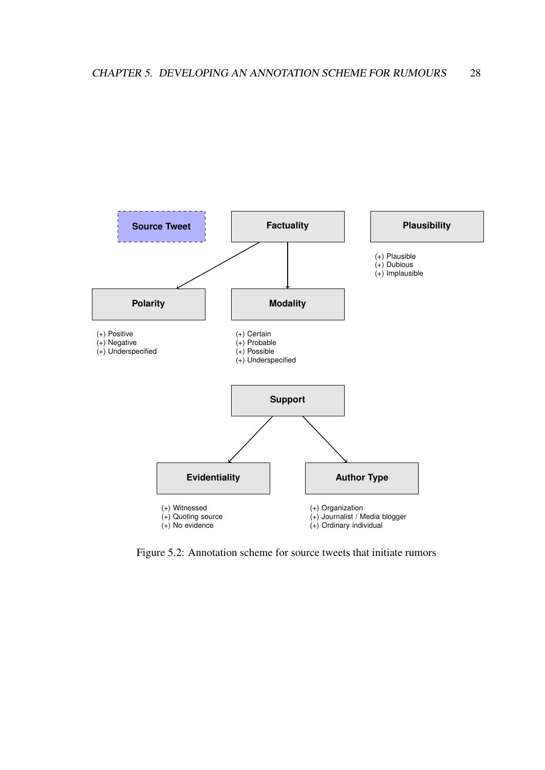

Figure 5.2: Annotation scheme for source tweets that initiate rumors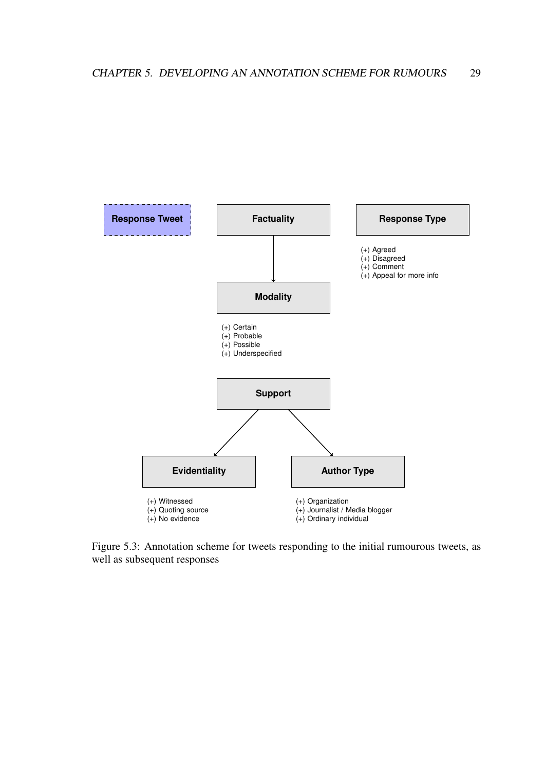

Figure 5.3: Annotation scheme for tweets responding to the initial rumourous tweets, as well as subsequent responses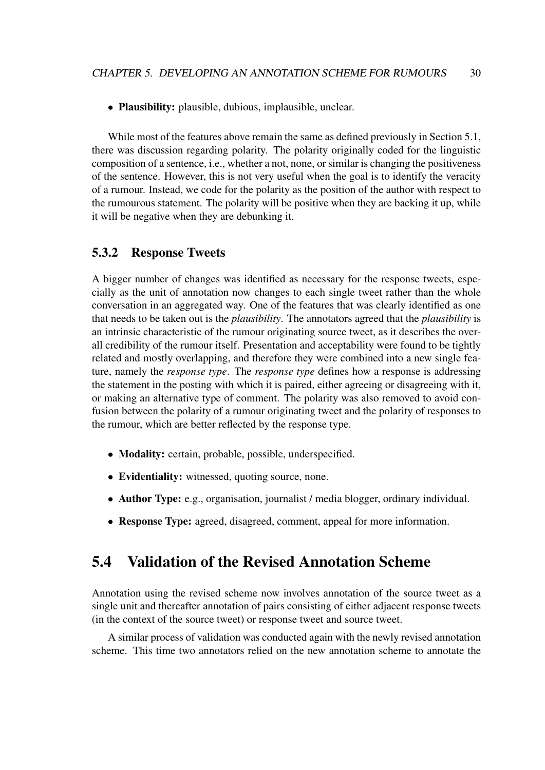• Plausibility: plausible, dubious, implausible, unclear.

While most of the features above remain the same as defined previously in Section 5.1, there was discussion regarding polarity. The polarity originally coded for the linguistic composition of a sentence, i.e., whether a not, none, or similar is changing the positiveness of the sentence. However, this is not very useful when the goal is to identify the veracity of a rumour. Instead, we code for the polarity as the position of the author with respect to the rumourous statement. The polarity will be positive when they are backing it up, while it will be negative when they are debunking it.

### 5.3.2 Response Tweets

A bigger number of changes was identified as necessary for the response tweets, especially as the unit of annotation now changes to each single tweet rather than the whole conversation in an aggregated way. One of the features that was clearly identified as one that needs to be taken out is the *plausibility*. The annotators agreed that the *plausibility* is an intrinsic characteristic of the rumour originating source tweet, as it describes the overall credibility of the rumour itself. Presentation and acceptability were found to be tightly related and mostly overlapping, and therefore they were combined into a new single feature, namely the *response type*. The *response type* defines how a response is addressing the statement in the posting with which it is paired, either agreeing or disagreeing with it, or making an alternative type of comment. The polarity was also removed to avoid confusion between the polarity of a rumour originating tweet and the polarity of responses to the rumour, which are better reflected by the response type.

- Modality: certain, probable, possible, underspecified.
- Evidentiality: witnessed, quoting source, none.
- Author Type: e.g., organisation, journalist / media blogger, ordinary individual.
- Response Type: agreed, disagreed, comment, appeal for more information.

# 5.4 Validation of the Revised Annotation Scheme

Annotation using the revised scheme now involves annotation of the source tweet as a single unit and thereafter annotation of pairs consisting of either adjacent response tweets (in the context of the source tweet) or response tweet and source tweet.

A similar process of validation was conducted again with the newly revised annotation scheme. This time two annotators relied on the new annotation scheme to annotate the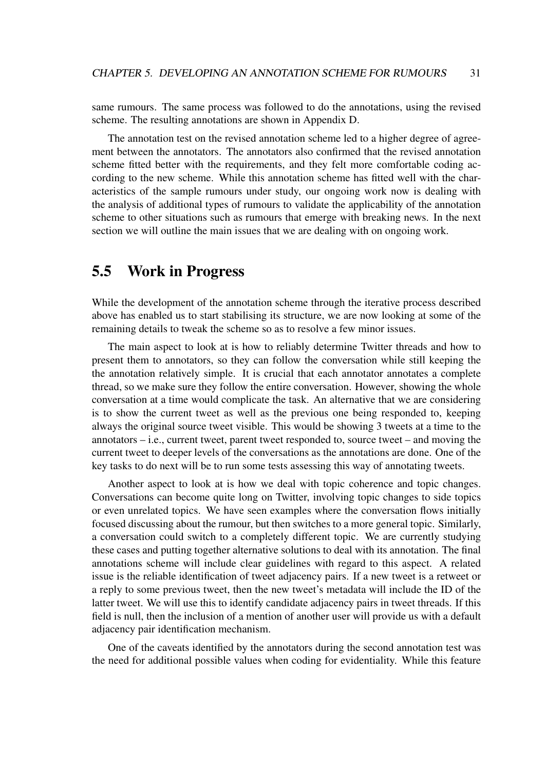same rumours. The same process was followed to do the annotations, using the revised scheme. The resulting annotations are shown in Appendix D.

The annotation test on the revised annotation scheme led to a higher degree of agreement between the annotators. The annotators also confirmed that the revised annotation scheme fitted better with the requirements, and they felt more comfortable coding according to the new scheme. While this annotation scheme has fitted well with the characteristics of the sample rumours under study, our ongoing work now is dealing with the analysis of additional types of rumours to validate the applicability of the annotation scheme to other situations such as rumours that emerge with breaking news. In the next section we will outline the main issues that we are dealing with on ongoing work.

## 5.5 Work in Progress

While the development of the annotation scheme through the iterative process described above has enabled us to start stabilising its structure, we are now looking at some of the remaining details to tweak the scheme so as to resolve a few minor issues.

The main aspect to look at is how to reliably determine Twitter threads and how to present them to annotators, so they can follow the conversation while still keeping the the annotation relatively simple. It is crucial that each annotator annotates a complete thread, so we make sure they follow the entire conversation. However, showing the whole conversation at a time would complicate the task. An alternative that we are considering is to show the current tweet as well as the previous one being responded to, keeping always the original source tweet visible. This would be showing 3 tweets at a time to the annotators – i.e., current tweet, parent tweet responded to, source tweet – and moving the current tweet to deeper levels of the conversations as the annotations are done. One of the key tasks to do next will be to run some tests assessing this way of annotating tweets.

Another aspect to look at is how we deal with topic coherence and topic changes. Conversations can become quite long on Twitter, involving topic changes to side topics or even unrelated topics. We have seen examples where the conversation flows initially focused discussing about the rumour, but then switches to a more general topic. Similarly, a conversation could switch to a completely different topic. We are currently studying these cases and putting together alternative solutions to deal with its annotation. The final annotations scheme will include clear guidelines with regard to this aspect. A related issue is the reliable identification of tweet adjacency pairs. If a new tweet is a retweet or a reply to some previous tweet, then the new tweet's metadata will include the ID of the latter tweet. We will use this to identify candidate adjacency pairs in tweet threads. If this field is null, then the inclusion of a mention of another user will provide us with a default adjacency pair identification mechanism.

One of the caveats identified by the annotators during the second annotation test was the need for additional possible values when coding for evidentiality. While this feature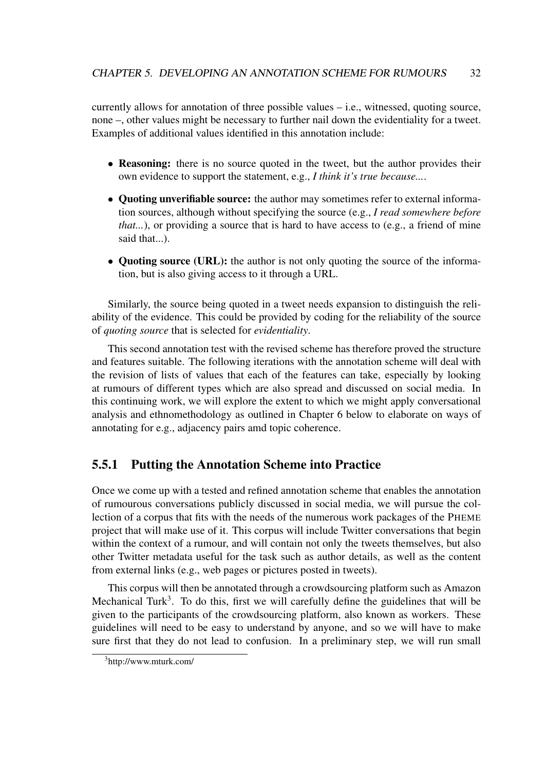currently allows for annotation of three possible values  $-$  i.e., witnessed, quoting source, none –, other values might be necessary to further nail down the evidentiality for a tweet. Examples of additional values identified in this annotation include:

- Reasoning: there is no source quoted in the tweet, but the author provides their own evidence to support the statement, e.g., *I think it's true because...*.
- Quoting unverifiable source: the author may sometimes refer to external information sources, although without specifying the source (e.g., *I read somewhere before that...*), or providing a source that is hard to have access to (e.g., a friend of mine said that...).
- Quoting source (URL): the author is not only quoting the source of the information, but is also giving access to it through a URL.

Similarly, the source being quoted in a tweet needs expansion to distinguish the reliability of the evidence. This could be provided by coding for the reliability of the source of *quoting source* that is selected for *evidentiality*.

This second annotation test with the revised scheme has therefore proved the structure and features suitable. The following iterations with the annotation scheme will deal with the revision of lists of values that each of the features can take, especially by looking at rumours of different types which are also spread and discussed on social media. In this continuing work, we will explore the extent to which we might apply conversational analysis and ethnomethodology as outlined in Chapter 6 below to elaborate on ways of annotating for e.g., adjacency pairs amd topic coherence.

### 5.5.1 Putting the Annotation Scheme into Practice

Once we come up with a tested and refined annotation scheme that enables the annotation of rumourous conversations publicly discussed in social media, we will pursue the collection of a corpus that fits with the needs of the numerous work packages of the PHEME project that will make use of it. This corpus will include Twitter conversations that begin within the context of a rumour, and will contain not only the tweets themselves, but also other Twitter metadata useful for the task such as author details, as well as the content from external links (e.g., web pages or pictures posted in tweets).

This corpus will then be annotated through a crowdsourcing platform such as Amazon Mechanical Turk<sup>3</sup>. To do this, first we will carefully define the guidelines that will be given to the participants of the crowdsourcing platform, also known as workers. These guidelines will need to be easy to understand by anyone, and so we will have to make sure first that they do not lead to confusion. In a preliminary step, we will run small

<sup>3</sup>http://www.mturk.com/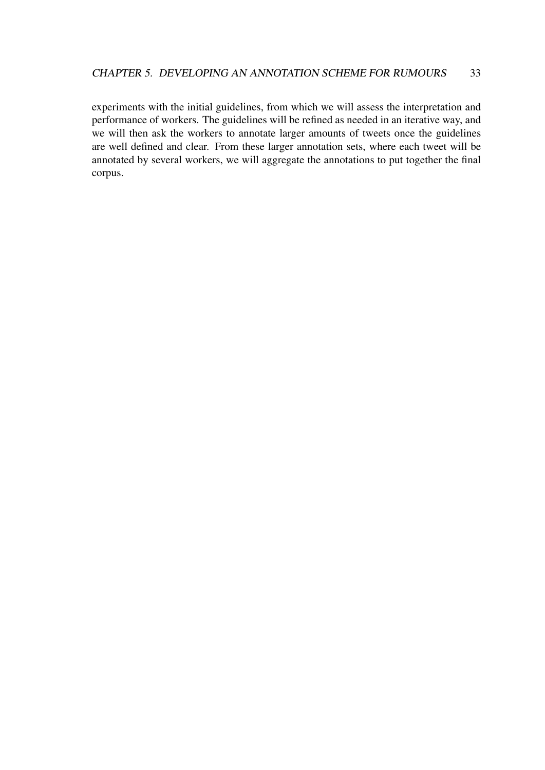experiments with the initial guidelines, from which we will assess the interpretation and performance of workers. The guidelines will be refined as needed in an iterative way, and we will then ask the workers to annotate larger amounts of tweets once the guidelines are well defined and clear. From these larger annotation sets, where each tweet will be annotated by several workers, we will aggregate the annotations to put together the final corpus.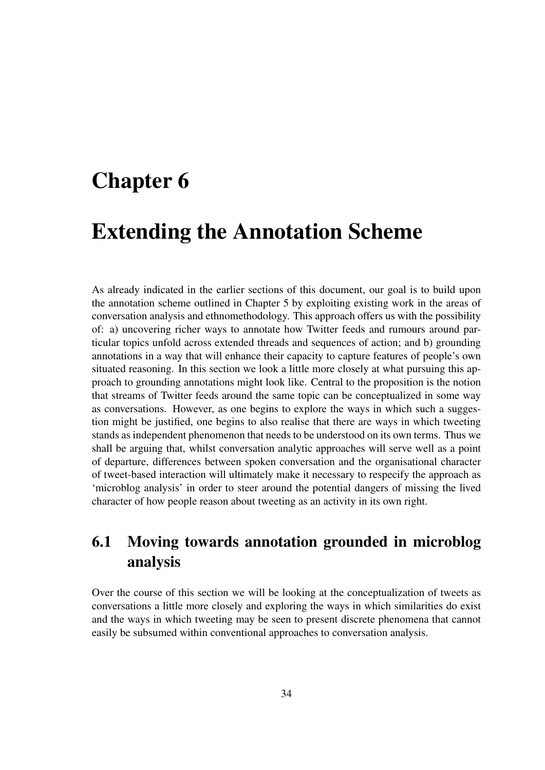### Chapter 6

### Extending the Annotation Scheme

As already indicated in the earlier sections of this document, our goal is to build upon the annotation scheme outlined in Chapter 5 by exploiting existing work in the areas of conversation analysis and ethnomethodology. This approach offers us with the possibility of: a) uncovering richer ways to annotate how Twitter feeds and rumours around particular topics unfold across extended threads and sequences of action; and b) grounding annotations in a way that will enhance their capacity to capture features of people's own situated reasoning. In this section we look a little more closely at what pursuing this approach to grounding annotations might look like. Central to the proposition is the notion that streams of Twitter feeds around the same topic can be conceptualized in some way as conversations. However, as one begins to explore the ways in which such a suggestion might be justified, one begins to also realise that there are ways in which tweeting stands as independent phenomenon that needs to be understood on its own terms. Thus we shall be arguing that, whilst conversation analytic approaches will serve well as a point of departure, differences between spoken conversation and the organisational character of tweet-based interaction will ultimately make it necessary to respecify the approach as 'microblog analysis' in order to steer around the potential dangers of missing the lived character of how people reason about tweeting as an activity in its own right.

### 6.1 Moving towards annotation grounded in microblog analysis

Over the course of this section we will be looking at the conceptualization of tweets as conversations a little more closely and exploring the ways in which similarities do exist and the ways in which tweeting may be seen to present discrete phenomena that cannot easily be subsumed within conventional approaches to conversation analysis.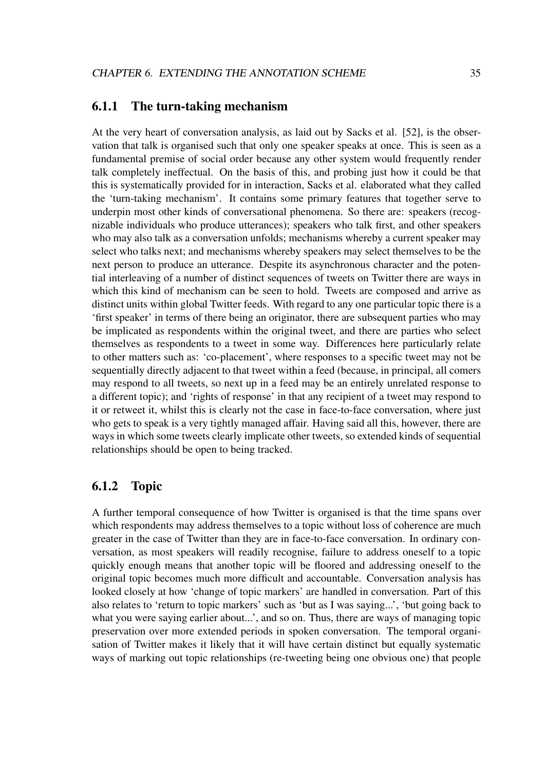#### 6.1.1 The turn-taking mechanism

At the very heart of conversation analysis, as laid out by Sacks et al. [52], is the observation that talk is organised such that only one speaker speaks at once. This is seen as a fundamental premise of social order because any other system would frequently render talk completely ineffectual. On the basis of this, and probing just how it could be that this is systematically provided for in interaction, Sacks et al. elaborated what they called the 'turn-taking mechanism'. It contains some primary features that together serve to underpin most other kinds of conversational phenomena. So there are: speakers (recognizable individuals who produce utterances); speakers who talk first, and other speakers who may also talk as a conversation unfolds; mechanisms whereby a current speaker may select who talks next; and mechanisms whereby speakers may select themselves to be the next person to produce an utterance. Despite its asynchronous character and the potential interleaving of a number of distinct sequences of tweets on Twitter there are ways in which this kind of mechanism can be seen to hold. Tweets are composed and arrive as distinct units within global Twitter feeds. With regard to any one particular topic there is a 'first speaker' in terms of there being an originator, there are subsequent parties who may be implicated as respondents within the original tweet, and there are parties who select themselves as respondents to a tweet in some way. Differences here particularly relate to other matters such as: 'co-placement', where responses to a specific tweet may not be sequentially directly adjacent to that tweet within a feed (because, in principal, all comers may respond to all tweets, so next up in a feed may be an entirely unrelated response to a different topic); and 'rights of response' in that any recipient of a tweet may respond to it or retweet it, whilst this is clearly not the case in face-to-face conversation, where just who gets to speak is a very tightly managed affair. Having said all this, however, there are ways in which some tweets clearly implicate other tweets, so extended kinds of sequential relationships should be open to being tracked.

#### 6.1.2 Topic

A further temporal consequence of how Twitter is organised is that the time spans over which respondents may address themselves to a topic without loss of coherence are much greater in the case of Twitter than they are in face-to-face conversation. In ordinary conversation, as most speakers will readily recognise, failure to address oneself to a topic quickly enough means that another topic will be floored and addressing oneself to the original topic becomes much more difficult and accountable. Conversation analysis has looked closely at how 'change of topic markers' are handled in conversation. Part of this also relates to 'return to topic markers' such as 'but as I was saying...', 'but going back to what you were saying earlier about...', and so on. Thus, there are ways of managing topic preservation over more extended periods in spoken conversation. The temporal organisation of Twitter makes it likely that it will have certain distinct but equally systematic ways of marking out topic relationships (re-tweeting being one obvious one) that people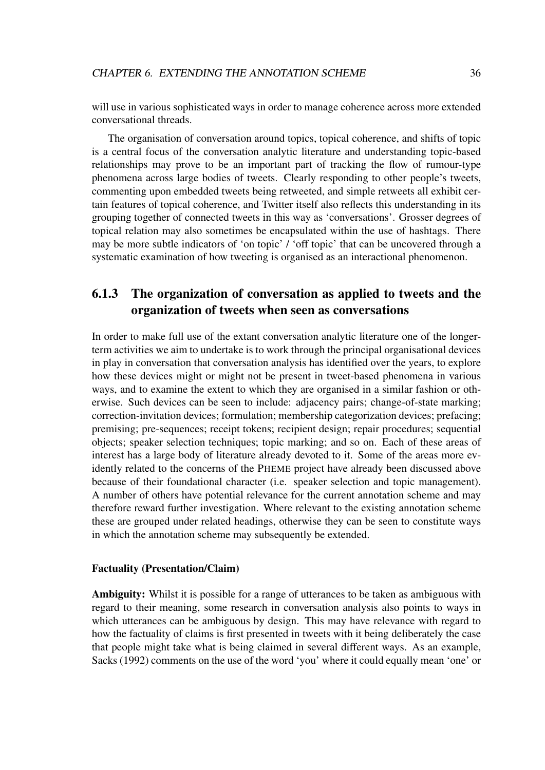will use in various sophisticated ways in order to manage coherence across more extended conversational threads.

The organisation of conversation around topics, topical coherence, and shifts of topic is a central focus of the conversation analytic literature and understanding topic-based relationships may prove to be an important part of tracking the flow of rumour-type phenomena across large bodies of tweets. Clearly responding to other people's tweets, commenting upon embedded tweets being retweeted, and simple retweets all exhibit certain features of topical coherence, and Twitter itself also reflects this understanding in its grouping together of connected tweets in this way as 'conversations'. Grosser degrees of topical relation may also sometimes be encapsulated within the use of hashtags. There may be more subtle indicators of 'on topic' / 'off topic' that can be uncovered through a systematic examination of how tweeting is organised as an interactional phenomenon.

#### 6.1.3 The organization of conversation as applied to tweets and the organization of tweets when seen as conversations

In order to make full use of the extant conversation analytic literature one of the longerterm activities we aim to undertake is to work through the principal organisational devices in play in conversation that conversation analysis has identified over the years, to explore how these devices might or might not be present in tweet-based phenomena in various ways, and to examine the extent to which they are organised in a similar fashion or otherwise. Such devices can be seen to include: adjacency pairs; change-of-state marking; correction-invitation devices; formulation; membership categorization devices; prefacing; premising; pre-sequences; receipt tokens; recipient design; repair procedures; sequential objects; speaker selection techniques; topic marking; and so on. Each of these areas of interest has a large body of literature already devoted to it. Some of the areas more evidently related to the concerns of the PHEME project have already been discussed above because of their foundational character (i.e. speaker selection and topic management). A number of others have potential relevance for the current annotation scheme and may therefore reward further investigation. Where relevant to the existing annotation scheme these are grouped under related headings, otherwise they can be seen to constitute ways in which the annotation scheme may subsequently be extended.

#### Factuality (Presentation/Claim)

Ambiguity: Whilst it is possible for a range of utterances to be taken as ambiguous with regard to their meaning, some research in conversation analysis also points to ways in which utterances can be ambiguous by design. This may have relevance with regard to how the factuality of claims is first presented in tweets with it being deliberately the case that people might take what is being claimed in several different ways. As an example, Sacks (1992) comments on the use of the word 'you' where it could equally mean 'one' or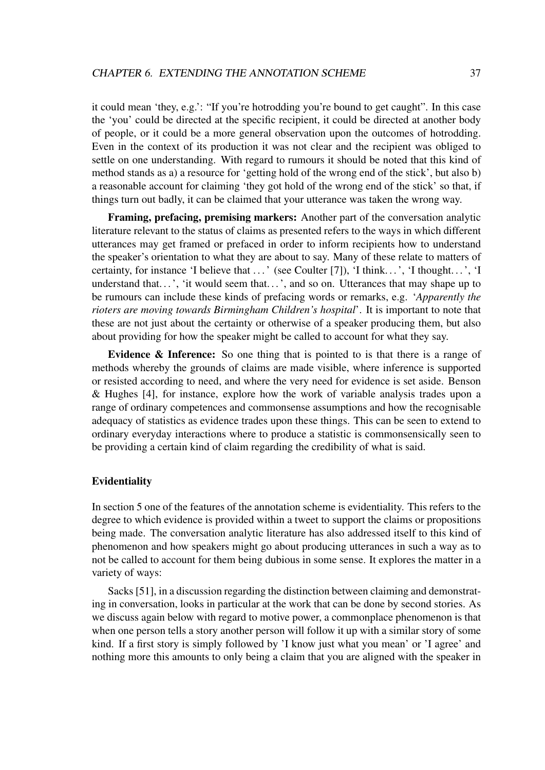it could mean 'they, e.g.': "If you're hotrodding you're bound to get caught". In this case the 'you' could be directed at the specific recipient, it could be directed at another body of people, or it could be a more general observation upon the outcomes of hotrodding. Even in the context of its production it was not clear and the recipient was obliged to settle on one understanding. With regard to rumours it should be noted that this kind of method stands as a) a resource for 'getting hold of the wrong end of the stick', but also b) a reasonable account for claiming 'they got hold of the wrong end of the stick' so that, if things turn out badly, it can be claimed that your utterance was taken the wrong way.

Framing, prefacing, premising markers: Another part of the conversation analytic literature relevant to the status of claims as presented refers to the ways in which different utterances may get framed or prefaced in order to inform recipients how to understand the speaker's orientation to what they are about to say. Many of these relate to matters of certainty, for instance 'I believe that ...' (see Coulter [7]), 'I think...', 'I thought...', 'I understand that...', 'it would seem that...', and so on. Utterances that may shape up to be rumours can include these kinds of prefacing words or remarks, e.g. '*Apparently the rioters are moving towards Birmingham Children's hospital*'. It is important to note that these are not just about the certainty or otherwise of a speaker producing them, but also about providing for how the speaker might be called to account for what they say.

Evidence & Inference: So one thing that is pointed to is that there is a range of methods whereby the grounds of claims are made visible, where inference is supported or resisted according to need, and where the very need for evidence is set aside. Benson & Hughes [4], for instance, explore how the work of variable analysis trades upon a range of ordinary competences and commonsense assumptions and how the recognisable adequacy of statistics as evidence trades upon these things. This can be seen to extend to ordinary everyday interactions where to produce a statistic is commonsensically seen to be providing a certain kind of claim regarding the credibility of what is said.

#### Evidentiality

In section 5 one of the features of the annotation scheme is evidentiality. This refers to the degree to which evidence is provided within a tweet to support the claims or propositions being made. The conversation analytic literature has also addressed itself to this kind of phenomenon and how speakers might go about producing utterances in such a way as to not be called to account for them being dubious in some sense. It explores the matter in a variety of ways:

Sacks [51], in a discussion regarding the distinction between claiming and demonstrating in conversation, looks in particular at the work that can be done by second stories. As we discuss again below with regard to motive power, a commonplace phenomenon is that when one person tells a story another person will follow it up with a similar story of some kind. If a first story is simply followed by 'I know just what you mean' or 'I agree' and nothing more this amounts to only being a claim that you are aligned with the speaker in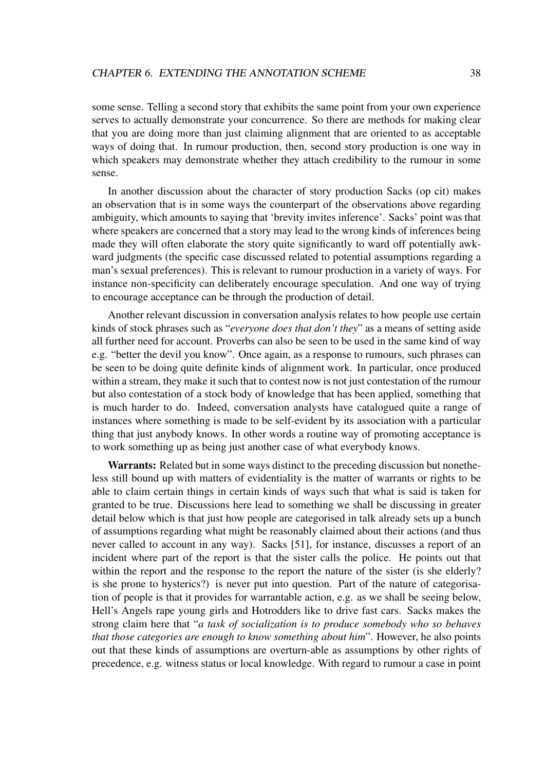some sense. Telling a second story that exhibits the same point from your own experience serves to actually demonstrate your concurrence. So there are methods for making clear that you are doing more than just claiming alignment that are oriented to as acceptable ways of doing that. In rumour production, then, second story production is one way in which speakers may demonstrate whether they attach credibility to the rumour in some sense.

In another discussion about the character of story production Sacks (op cit) makes an observation that is in some ways the counterpart of the observations above regarding ambiguity, which amounts to saying that 'brevity invites inference'. Sacks' point was that where speakers are concerned that a story may lead to the wrong kinds of inferences being made they will often elaborate the story quite significantly to ward off potentially awkward judgments (the specific case discussed related to potential assumptions regarding a man's sexual preferences). This is relevant to rumour production in a variety of ways. For instance non-specificity can deliberately encourage speculation. And one way of trying to encourage acceptance can be through the production of detail.

Another relevant discussion in conversation analysis relates to how people use certain kinds of stock phrases such as "*everyone does that don't they*" as a means of setting aside all further need for account. Proverbs can also be seen to be used in the same kind of way e.g. "better the devil you know". Once again, as a response to rumours, such phrases can be seen to be doing quite definite kinds of alignment work. In particular, once produced within a stream, they make it such that to contest now is not just contestation of the rumour but also contestation of a stock body of knowledge that has been applied, something that is much harder to do. Indeed, conversation analysts have catalogued quite a range of instances where something is made to be self-evident by its association with a particular thing that just anybody knows. In other words a routine way of promoting acceptance is to work something up as being just another case of what everybody knows.

Warrants: Related but in some ways distinct to the preceding discussion but nonetheless still bound up with matters of evidentiality is the matter of warrants or rights to be able to claim certain things in certain kinds of ways such that what is said is taken for granted to be true. Discussions here lead to something we shall be discussing in greater detail below which is that just how people are categorised in talk already sets up a bunch of assumptions regarding what might be reasonably claimed about their actions (and thus never called to account in any way). Sacks [51], for instance, discusses a report of an incident where part of the report is that the sister calls the police. He points out that within the report and the response to the report the nature of the sister (is she elderly? is she prone to hysterics?) is never put into question. Part of the nature of categorisation of people is that it provides for warrantable action, e.g. as we shall be seeing below, Hell's Angels rape young girls and Hotrodders like to drive fast cars. Sacks makes the strong claim here that "*a task of socialization is to produce somebody who so behaves that those categories are enough to know something about him*". However, he also points out that these kinds of assumptions are overturn-able as assumptions by other rights of precedence, e.g. witness status or local knowledge. With regard to rumour a case in point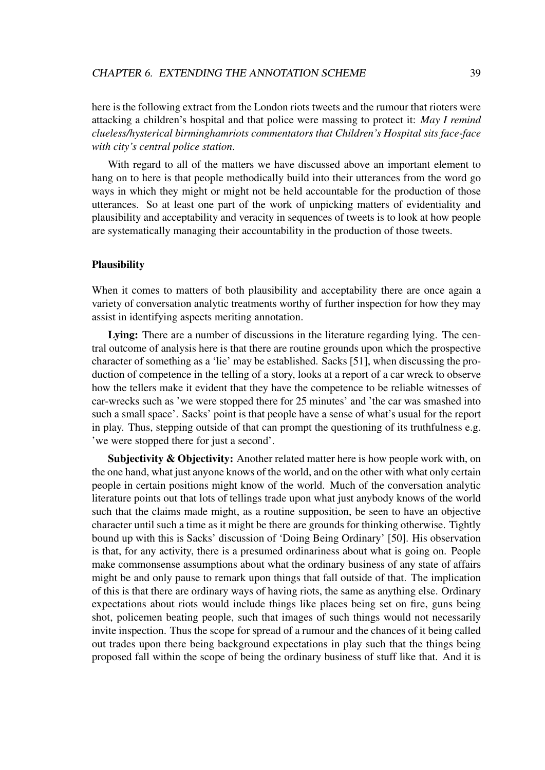here is the following extract from the London riots tweets and the rumour that rioters were attacking a children's hospital and that police were massing to protect it: *May I remind clueless/hysterical birminghamriots commentators that Children's Hospital sits face-face with city's central police station*.

With regard to all of the matters we have discussed above an important element to hang on to here is that people methodically build into their utterances from the word go ways in which they might or might not be held accountable for the production of those utterances. So at least one part of the work of unpicking matters of evidentiality and plausibility and acceptability and veracity in sequences of tweets is to look at how people are systematically managing their accountability in the production of those tweets.

#### Plausibility

When it comes to matters of both plausibility and acceptability there are once again a variety of conversation analytic treatments worthy of further inspection for how they may assist in identifying aspects meriting annotation.

Lying: There are a number of discussions in the literature regarding lying. The central outcome of analysis here is that there are routine grounds upon which the prospective character of something as a 'lie' may be established. Sacks [51], when discussing the production of competence in the telling of a story, looks at a report of a car wreck to observe how the tellers make it evident that they have the competence to be reliable witnesses of car-wrecks such as 'we were stopped there for 25 minutes' and 'the car was smashed into such a small space'. Sacks' point is that people have a sense of what's usual for the report in play. Thus, stepping outside of that can prompt the questioning of its truthfulness e.g. 'we were stopped there for just a second'.

Subjectivity & Objectivity: Another related matter here is how people work with, on the one hand, what just anyone knows of the world, and on the other with what only certain people in certain positions might know of the world. Much of the conversation analytic literature points out that lots of tellings trade upon what just anybody knows of the world such that the claims made might, as a routine supposition, be seen to have an objective character until such a time as it might be there are grounds for thinking otherwise. Tightly bound up with this is Sacks' discussion of 'Doing Being Ordinary' [50]. His observation is that, for any activity, there is a presumed ordinariness about what is going on. People make commonsense assumptions about what the ordinary business of any state of affairs might be and only pause to remark upon things that fall outside of that. The implication of this is that there are ordinary ways of having riots, the same as anything else. Ordinary expectations about riots would include things like places being set on fire, guns being shot, policemen beating people, such that images of such things would not necessarily invite inspection. Thus the scope for spread of a rumour and the chances of it being called out trades upon there being background expectations in play such that the things being proposed fall within the scope of being the ordinary business of stuff like that. And it is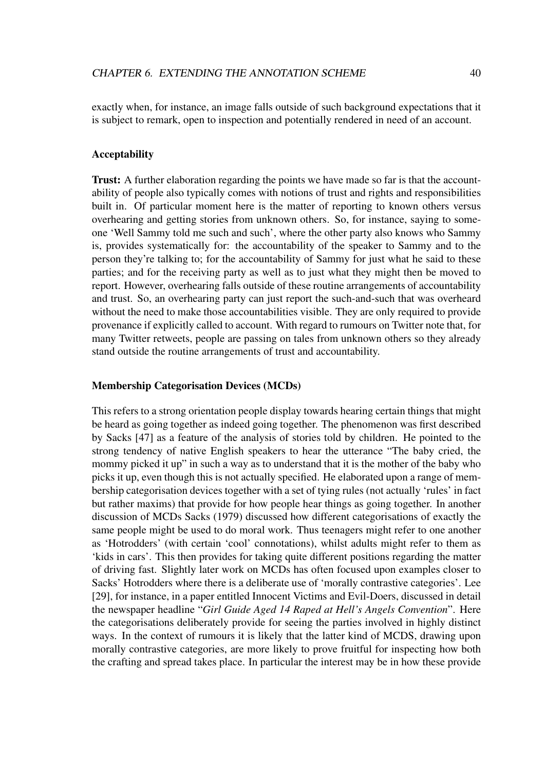exactly when, for instance, an image falls outside of such background expectations that it is subject to remark, open to inspection and potentially rendered in need of an account.

#### Acceptability

Trust: A further elaboration regarding the points we have made so far is that the accountability of people also typically comes with notions of trust and rights and responsibilities built in. Of particular moment here is the matter of reporting to known others versus overhearing and getting stories from unknown others. So, for instance, saying to someone 'Well Sammy told me such and such', where the other party also knows who Sammy is, provides systematically for: the accountability of the speaker to Sammy and to the person they're talking to; for the accountability of Sammy for just what he said to these parties; and for the receiving party as well as to just what they might then be moved to report. However, overhearing falls outside of these routine arrangements of accountability and trust. So, an overhearing party can just report the such-and-such that was overheard without the need to make those accountabilities visible. They are only required to provide provenance if explicitly called to account. With regard to rumours on Twitter note that, for many Twitter retweets, people are passing on tales from unknown others so they already stand outside the routine arrangements of trust and accountability.

#### Membership Categorisation Devices (MCDs)

This refers to a strong orientation people display towards hearing certain things that might be heard as going together as indeed going together. The phenomenon was first described by Sacks [47] as a feature of the analysis of stories told by children. He pointed to the strong tendency of native English speakers to hear the utterance "The baby cried, the mommy picked it up" in such a way as to understand that it is the mother of the baby who picks it up, even though this is not actually specified. He elaborated upon a range of membership categorisation devices together with a set of tying rules (not actually 'rules' in fact but rather maxims) that provide for how people hear things as going together. In another discussion of MCDs Sacks (1979) discussed how different categorisations of exactly the same people might be used to do moral work. Thus teenagers might refer to one another as 'Hotrodders' (with certain 'cool' connotations), whilst adults might refer to them as 'kids in cars'. This then provides for taking quite different positions regarding the matter of driving fast. Slightly later work on MCDs has often focused upon examples closer to Sacks' Hotrodders where there is a deliberate use of 'morally contrastive categories'. Lee [29], for instance, in a paper entitled Innocent Victims and Evil-Doers, discussed in detail the newspaper headline "*Girl Guide Aged 14 Raped at Hell's Angels Convention*". Here the categorisations deliberately provide for seeing the parties involved in highly distinct ways. In the context of rumours it is likely that the latter kind of MCDS, drawing upon morally contrastive categories, are more likely to prove fruitful for inspecting how both the crafting and spread takes place. In particular the interest may be in how these provide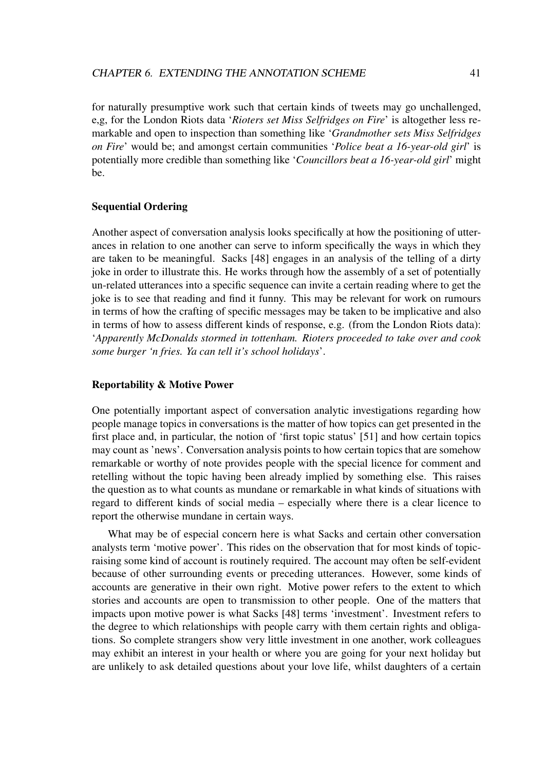for naturally presumptive work such that certain kinds of tweets may go unchallenged, e,g, for the London Riots data '*Rioters set Miss Selfridges on Fire*' is altogether less remarkable and open to inspection than something like '*Grandmother sets Miss Selfridges on Fire*' would be; and amongst certain communities '*Police beat a 16-year-old girl*' is potentially more credible than something like '*Councillors beat a 16-year-old girl*' might be.

#### Sequential Ordering

Another aspect of conversation analysis looks specifically at how the positioning of utterances in relation to one another can serve to inform specifically the ways in which they are taken to be meaningful. Sacks [48] engages in an analysis of the telling of a dirty joke in order to illustrate this. He works through how the assembly of a set of potentially un-related utterances into a specific sequence can invite a certain reading where to get the joke is to see that reading and find it funny. This may be relevant for work on rumours in terms of how the crafting of specific messages may be taken to be implicative and also in terms of how to assess different kinds of response, e.g. (from the London Riots data): '*Apparently McDonalds stormed in tottenham. Rioters proceeded to take over and cook some burger 'n fries. Ya can tell it's school holidays*'.

#### Reportability & Motive Power

One potentially important aspect of conversation analytic investigations regarding how people manage topics in conversations is the matter of how topics can get presented in the first place and, in particular, the notion of 'first topic status' [51] and how certain topics may count as 'news'. Conversation analysis points to how certain topics that are somehow remarkable or worthy of note provides people with the special licence for comment and retelling without the topic having been already implied by something else. This raises the question as to what counts as mundane or remarkable in what kinds of situations with regard to different kinds of social media – especially where there is a clear licence to report the otherwise mundane in certain ways.

What may be of especial concern here is what Sacks and certain other conversation analysts term 'motive power'. This rides on the observation that for most kinds of topicraising some kind of account is routinely required. The account may often be self-evident because of other surrounding events or preceding utterances. However, some kinds of accounts are generative in their own right. Motive power refers to the extent to which stories and accounts are open to transmission to other people. One of the matters that impacts upon motive power is what Sacks [48] terms 'investment'. Investment refers to the degree to which relationships with people carry with them certain rights and obligations. So complete strangers show very little investment in one another, work colleagues may exhibit an interest in your health or where you are going for your next holiday but are unlikely to ask detailed questions about your love life, whilst daughters of a certain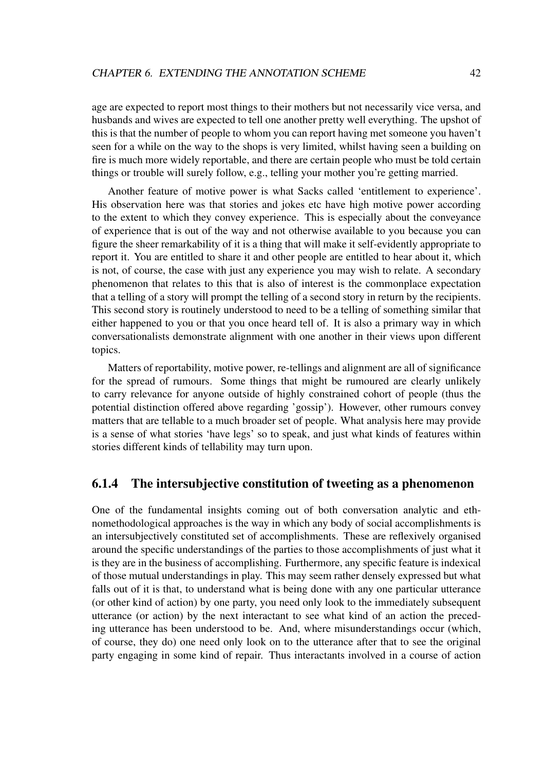age are expected to report most things to their mothers but not necessarily vice versa, and husbands and wives are expected to tell one another pretty well everything. The upshot of this is that the number of people to whom you can report having met someone you haven't seen for a while on the way to the shops is very limited, whilst having seen a building on fire is much more widely reportable, and there are certain people who must be told certain things or trouble will surely follow, e.g., telling your mother you're getting married.

Another feature of motive power is what Sacks called 'entitlement to experience'. His observation here was that stories and jokes etc have high motive power according to the extent to which they convey experience. This is especially about the conveyance of experience that is out of the way and not otherwise available to you because you can figure the sheer remarkability of it is a thing that will make it self-evidently appropriate to report it. You are entitled to share it and other people are entitled to hear about it, which is not, of course, the case with just any experience you may wish to relate. A secondary phenomenon that relates to this that is also of interest is the commonplace expectation that a telling of a story will prompt the telling of a second story in return by the recipients. This second story is routinely understood to need to be a telling of something similar that either happened to you or that you once heard tell of. It is also a primary way in which conversationalists demonstrate alignment with one another in their views upon different topics.

Matters of reportability, motive power, re-tellings and alignment are all of significance for the spread of rumours. Some things that might be rumoured are clearly unlikely to carry relevance for anyone outside of highly constrained cohort of people (thus the potential distinction offered above regarding 'gossip'). However, other rumours convey matters that are tellable to a much broader set of people. What analysis here may provide is a sense of what stories 'have legs' so to speak, and just what kinds of features within stories different kinds of tellability may turn upon.

#### 6.1.4 The intersubjective constitution of tweeting as a phenomenon

One of the fundamental insights coming out of both conversation analytic and ethnomethodological approaches is the way in which any body of social accomplishments is an intersubjectively constituted set of accomplishments. These are reflexively organised around the specific understandings of the parties to those accomplishments of just what it is they are in the business of accomplishing. Furthermore, any specific feature is indexical of those mutual understandings in play. This may seem rather densely expressed but what falls out of it is that, to understand what is being done with any one particular utterance (or other kind of action) by one party, you need only look to the immediately subsequent utterance (or action) by the next interactant to see what kind of an action the preceding utterance has been understood to be. And, where misunderstandings occur (which, of course, they do) one need only look on to the utterance after that to see the original party engaging in some kind of repair. Thus interactants involved in a course of action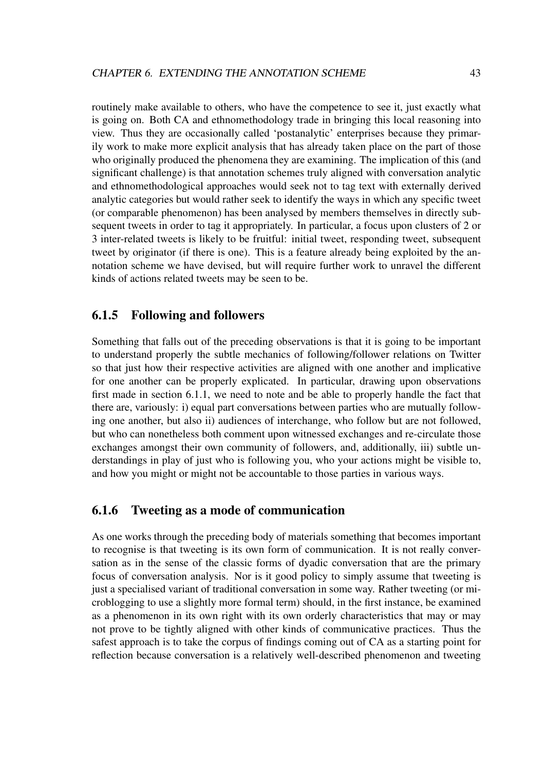routinely make available to others, who have the competence to see it, just exactly what is going on. Both CA and ethnomethodology trade in bringing this local reasoning into view. Thus they are occasionally called 'postanalytic' enterprises because they primarily work to make more explicit analysis that has already taken place on the part of those who originally produced the phenomena they are examining. The implication of this (and significant challenge) is that annotation schemes truly aligned with conversation analytic and ethnomethodological approaches would seek not to tag text with externally derived analytic categories but would rather seek to identify the ways in which any specific tweet (or comparable phenomenon) has been analysed by members themselves in directly subsequent tweets in order to tag it appropriately. In particular, a focus upon clusters of 2 or 3 inter-related tweets is likely to be fruitful: initial tweet, responding tweet, subsequent tweet by originator (if there is one). This is a feature already being exploited by the annotation scheme we have devised, but will require further work to unravel the different kinds of actions related tweets may be seen to be.

#### 6.1.5 Following and followers

Something that falls out of the preceding observations is that it is going to be important to understand properly the subtle mechanics of following/follower relations on Twitter so that just how their respective activities are aligned with one another and implicative for one another can be properly explicated. In particular, drawing upon observations first made in section 6.1.1, we need to note and be able to properly handle the fact that there are, variously: i) equal part conversations between parties who are mutually following one another, but also ii) audiences of interchange, who follow but are not followed, but who can nonetheless both comment upon witnessed exchanges and re-circulate those exchanges amongst their own community of followers, and, additionally, iii) subtle understandings in play of just who is following you, who your actions might be visible to, and how you might or might not be accountable to those parties in various ways.

#### 6.1.6 Tweeting as a mode of communication

As one works through the preceding body of materials something that becomes important to recognise is that tweeting is its own form of communication. It is not really conversation as in the sense of the classic forms of dyadic conversation that are the primary focus of conversation analysis. Nor is it good policy to simply assume that tweeting is just a specialised variant of traditional conversation in some way. Rather tweeting (or microblogging to use a slightly more formal term) should, in the first instance, be examined as a phenomenon in its own right with its own orderly characteristics that may or may not prove to be tightly aligned with other kinds of communicative practices. Thus the safest approach is to take the corpus of findings coming out of CA as a starting point for reflection because conversation is a relatively well-described phenomenon and tweeting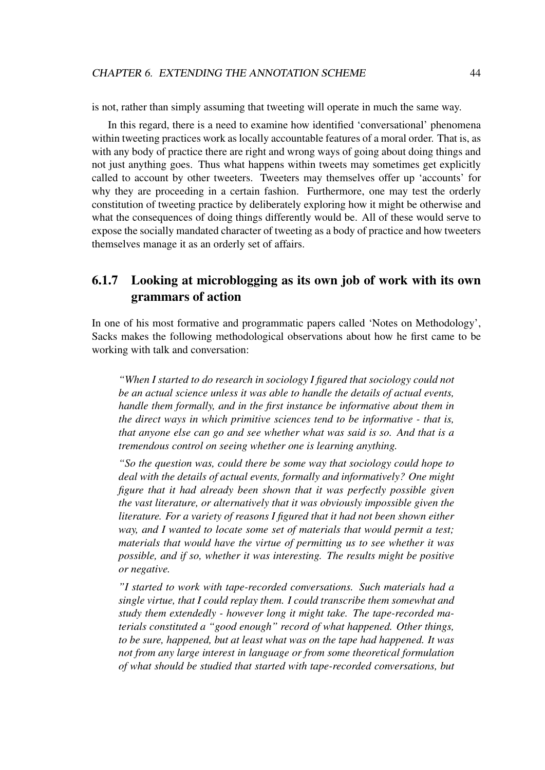is not, rather than simply assuming that tweeting will operate in much the same way.

In this regard, there is a need to examine how identified 'conversational' phenomena within tweeting practices work as locally accountable features of a moral order. That is, as with any body of practice there are right and wrong ways of going about doing things and not just anything goes. Thus what happens within tweets may sometimes get explicitly called to account by other tweeters. Tweeters may themselves offer up 'accounts' for why they are proceeding in a certain fashion. Furthermore, one may test the orderly constitution of tweeting practice by deliberately exploring how it might be otherwise and what the consequences of doing things differently would be. All of these would serve to expose the socially mandated character of tweeting as a body of practice and how tweeters themselves manage it as an orderly set of affairs.

#### 6.1.7 Looking at microblogging as its own job of work with its own grammars of action

In one of his most formative and programmatic papers called 'Notes on Methodology', Sacks makes the following methodological observations about how he first came to be working with talk and conversation:

*"When I started to do research in sociology I figured that sociology could not be an actual science unless it was able to handle the details of actual events, handle them formally, and in the first instance be informative about them in the direct ways in which primitive sciences tend to be informative - that is, that anyone else can go and see whether what was said is so. And that is a tremendous control on seeing whether one is learning anything.*

*"So the question was, could there be some way that sociology could hope to deal with the details of actual events, formally and informatively? One might figure that it had already been shown that it was perfectly possible given the vast literature, or alternatively that it was obviously impossible given the literature. For a variety of reasons I figured that it had not been shown either way, and I wanted to locate some set of materials that would permit a test; materials that would have the virtue of permitting us to see whether it was possible, and if so, whether it was interesting. The results might be positive or negative.*

*"I started to work with tape-recorded conversations. Such materials had a single virtue, that I could replay them. I could transcribe them somewhat and study them extendedly - however long it might take. The tape-recorded materials constituted a "good enough" record of what happened. Other things, to be sure, happened, but at least what was on the tape had happened. It was not from any large interest in language or from some theoretical formulation of what should be studied that started with tape-recorded conversations, but*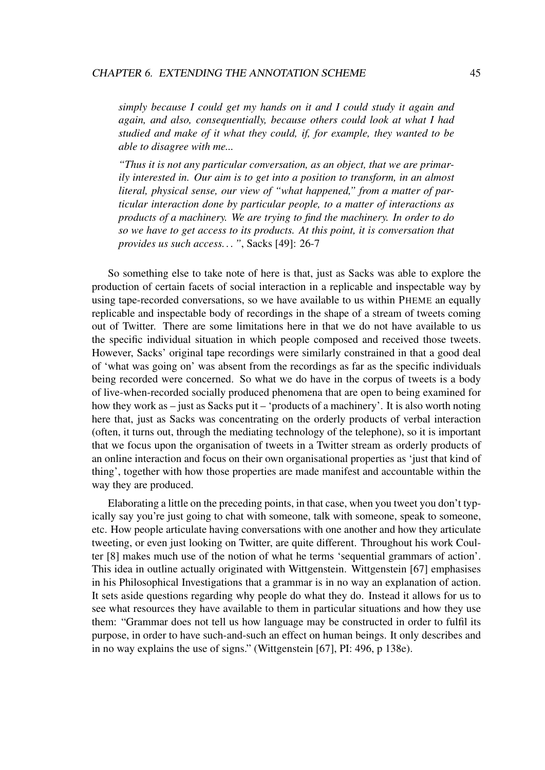*simply because I could get my hands on it and I could study it again and again, and also, consequentially, because others could look at what I had studied and make of it what they could, if, for example, they wanted to be able to disagree with me...*

*"Thus it is not any particular conversation, as an object, that we are primarily interested in. Our aim is to get into a position to transform, in an almost literal, physical sense, our view of "what happened," from a matter of particular interaction done by particular people, to a matter of interactions as products of a machinery. We are trying to find the machinery. In order to do so we have to get access to its products. At this point, it is conversation that provides us such access. . . "*, Sacks [49]: 26-7

So something else to take note of here is that, just as Sacks was able to explore the production of certain facets of social interaction in a replicable and inspectable way by using tape-recorded conversations, so we have available to us within PHEME an equally replicable and inspectable body of recordings in the shape of a stream of tweets coming out of Twitter. There are some limitations here in that we do not have available to us the specific individual situation in which people composed and received those tweets. However, Sacks' original tape recordings were similarly constrained in that a good deal of 'what was going on' was absent from the recordings as far as the specific individuals being recorded were concerned. So what we do have in the corpus of tweets is a body of live-when-recorded socially produced phenomena that are open to being examined for how they work as – just as Sacks put it – 'products of a machinery'. It is also worth noting here that, just as Sacks was concentrating on the orderly products of verbal interaction (often, it turns out, through the mediating technology of the telephone), so it is important that we focus upon the organisation of tweets in a Twitter stream as orderly products of an online interaction and focus on their own organisational properties as 'just that kind of thing', together with how those properties are made manifest and accountable within the way they are produced.

Elaborating a little on the preceding points, in that case, when you tweet you don't typically say you're just going to chat with someone, talk with someone, speak to someone, etc. How people articulate having conversations with one another and how they articulate tweeting, or even just looking on Twitter, are quite different. Throughout his work Coulter [8] makes much use of the notion of what he terms 'sequential grammars of action'. This idea in outline actually originated with Wittgenstein. Wittgenstein [67] emphasises in his Philosophical Investigations that a grammar is in no way an explanation of action. It sets aside questions regarding why people do what they do. Instead it allows for us to see what resources they have available to them in particular situations and how they use them: "Grammar does not tell us how language may be constructed in order to fulfil its purpose, in order to have such-and-such an effect on human beings. It only describes and in no way explains the use of signs." (Wittgenstein [67], PI: 496, p 138e).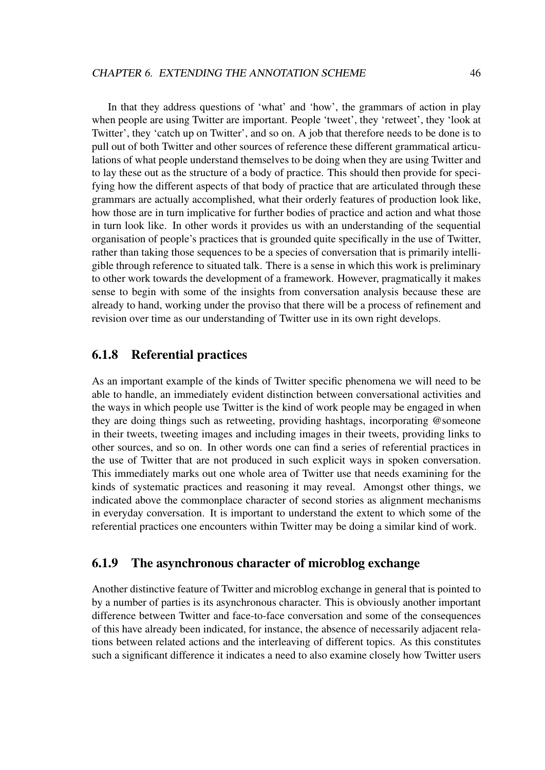In that they address questions of 'what' and 'how', the grammars of action in play when people are using Twitter are important. People 'tweet', they 'retweet', they 'look at Twitter', they 'catch up on Twitter', and so on. A job that therefore needs to be done is to pull out of both Twitter and other sources of reference these different grammatical articulations of what people understand themselves to be doing when they are using Twitter and to lay these out as the structure of a body of practice. This should then provide for specifying how the different aspects of that body of practice that are articulated through these grammars are actually accomplished, what their orderly features of production look like, how those are in turn implicative for further bodies of practice and action and what those in turn look like. In other words it provides us with an understanding of the sequential organisation of people's practices that is grounded quite specifically in the use of Twitter, rather than taking those sequences to be a species of conversation that is primarily intelligible through reference to situated talk. There is a sense in which this work is preliminary to other work towards the development of a framework. However, pragmatically it makes sense to begin with some of the insights from conversation analysis because these are already to hand, working under the proviso that there will be a process of refinement and revision over time as our understanding of Twitter use in its own right develops.

#### 6.1.8 Referential practices

As an important example of the kinds of Twitter specific phenomena we will need to be able to handle, an immediately evident distinction between conversational activities and the ways in which people use Twitter is the kind of work people may be engaged in when they are doing things such as retweeting, providing hashtags, incorporating @someone in their tweets, tweeting images and including images in their tweets, providing links to other sources, and so on. In other words one can find a series of referential practices in the use of Twitter that are not produced in such explicit ways in spoken conversation. This immediately marks out one whole area of Twitter use that needs examining for the kinds of systematic practices and reasoning it may reveal. Amongst other things, we indicated above the commonplace character of second stories as alignment mechanisms in everyday conversation. It is important to understand the extent to which some of the referential practices one encounters within Twitter may be doing a similar kind of work.

#### 6.1.9 The asynchronous character of microblog exchange

Another distinctive feature of Twitter and microblog exchange in general that is pointed to by a number of parties is its asynchronous character. This is obviously another important difference between Twitter and face-to-face conversation and some of the consequences of this have already been indicated, for instance, the absence of necessarily adjacent relations between related actions and the interleaving of different topics. As this constitutes such a significant difference it indicates a need to also examine closely how Twitter users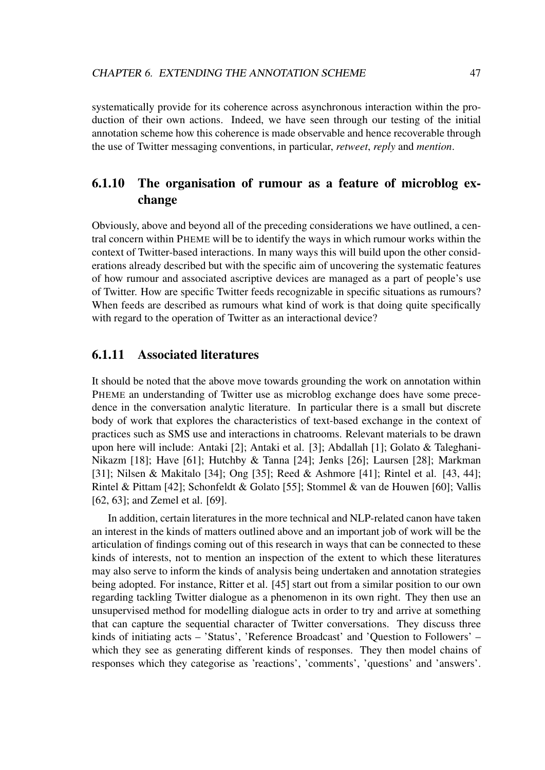systematically provide for its coherence across asynchronous interaction within the production of their own actions. Indeed, we have seen through our testing of the initial annotation scheme how this coherence is made observable and hence recoverable through the use of Twitter messaging conventions, in particular, *retweet*, *reply* and *mention*.

#### 6.1.10 The organisation of rumour as a feature of microblog exchange

Obviously, above and beyond all of the preceding considerations we have outlined, a central concern within PHEME will be to identify the ways in which rumour works within the context of Twitter-based interactions. In many ways this will build upon the other considerations already described but with the specific aim of uncovering the systematic features of how rumour and associated ascriptive devices are managed as a part of people's use of Twitter. How are specific Twitter feeds recognizable in specific situations as rumours? When feeds are described as rumours what kind of work is that doing quite specifically with regard to the operation of Twitter as an interactional device?

#### 6.1.11 Associated literatures

It should be noted that the above move towards grounding the work on annotation within PHEME an understanding of Twitter use as microblog exchange does have some precedence in the conversation analytic literature. In particular there is a small but discrete body of work that explores the characteristics of text-based exchange in the context of practices such as SMS use and interactions in chatrooms. Relevant materials to be drawn upon here will include: Antaki [2]; Antaki et al. [3]; Abdallah [1]; Golato & Taleghani-Nikazm [18]; Have [61]; Hutchby & Tanna [24]; Jenks [26]; Laursen [28]; Markman [31]; Nilsen & Makitalo [34]; Ong [35]; Reed & Ashmore [41]; Rintel et al. [43, 44]; Rintel & Pittam [42]; Schonfeldt & Golato [55]; Stommel & van de Houwen [60]; Vallis [62, 63]; and Zemel et al. [69].

In addition, certain literatures in the more technical and NLP-related canon have taken an interest in the kinds of matters outlined above and an important job of work will be the articulation of findings coming out of this research in ways that can be connected to these kinds of interests, not to mention an inspection of the extent to which these literatures may also serve to inform the kinds of analysis being undertaken and annotation strategies being adopted. For instance, Ritter et al. [45] start out from a similar position to our own regarding tackling Twitter dialogue as a phenomenon in its own right. They then use an unsupervised method for modelling dialogue acts in order to try and arrive at something that can capture the sequential character of Twitter conversations. They discuss three kinds of initiating acts – 'Status', 'Reference Broadcast' and 'Question to Followers' – which they see as generating different kinds of responses. They then model chains of responses which they categorise as 'reactions', 'comments', 'questions' and 'answers'.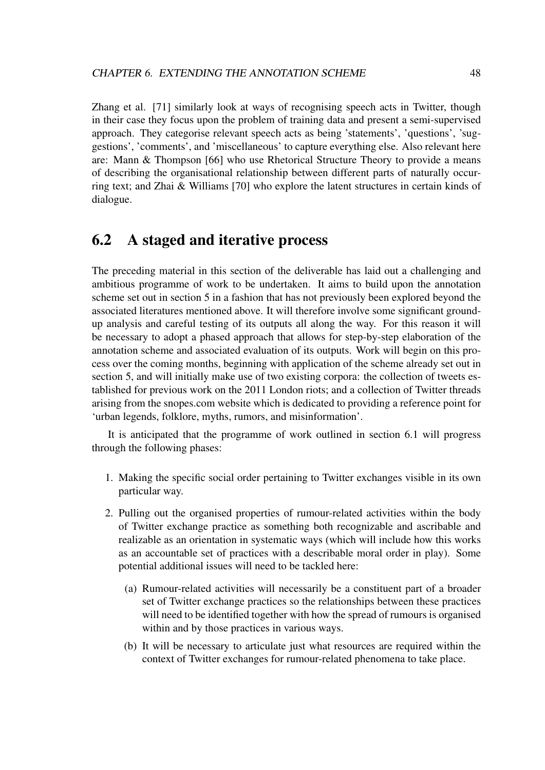Zhang et al. [71] similarly look at ways of recognising speech acts in Twitter, though in their case they focus upon the problem of training data and present a semi-supervised approach. They categorise relevant speech acts as being 'statements', 'questions', 'suggestions', 'comments', and 'miscellaneous' to capture everything else. Also relevant here are: Mann & Thompson [66] who use Rhetorical Structure Theory to provide a means of describing the organisational relationship between different parts of naturally occurring text; and Zhai & Williams [70] who explore the latent structures in certain kinds of dialogue.

#### 6.2 A staged and iterative process

The preceding material in this section of the deliverable has laid out a challenging and ambitious programme of work to be undertaken. It aims to build upon the annotation scheme set out in section 5 in a fashion that has not previously been explored beyond the associated literatures mentioned above. It will therefore involve some significant groundup analysis and careful testing of its outputs all along the way. For this reason it will be necessary to adopt a phased approach that allows for step-by-step elaboration of the annotation scheme and associated evaluation of its outputs. Work will begin on this process over the coming months, beginning with application of the scheme already set out in section 5, and will initially make use of two existing corpora: the collection of tweets established for previous work on the 2011 London riots; and a collection of Twitter threads arising from the snopes.com website which is dedicated to providing a reference point for 'urban legends, folklore, myths, rumors, and misinformation'.

It is anticipated that the programme of work outlined in section 6.1 will progress through the following phases:

- 1. Making the specific social order pertaining to Twitter exchanges visible in its own particular way.
- 2. Pulling out the organised properties of rumour-related activities within the body of Twitter exchange practice as something both recognizable and ascribable and realizable as an orientation in systematic ways (which will include how this works as an accountable set of practices with a describable moral order in play). Some potential additional issues will need to be tackled here:
	- (a) Rumour-related activities will necessarily be a constituent part of a broader set of Twitter exchange practices so the relationships between these practices will need to be identified together with how the spread of rumours is organised within and by those practices in various ways.
	- (b) It will be necessary to articulate just what resources are required within the context of Twitter exchanges for rumour-related phenomena to take place.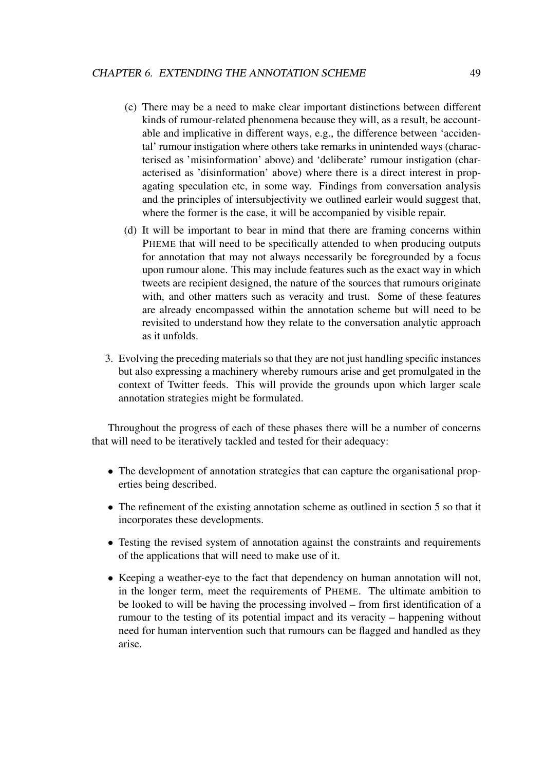- (c) There may be a need to make clear important distinctions between different kinds of rumour-related phenomena because they will, as a result, be accountable and implicative in different ways, e.g., the difference between 'accidental' rumour instigation where others take remarks in unintended ways (characterised as 'misinformation' above) and 'deliberate' rumour instigation (characterised as 'disinformation' above) where there is a direct interest in propagating speculation etc, in some way. Findings from conversation analysis and the principles of intersubjectivity we outlined earleir would suggest that, where the former is the case, it will be accompanied by visible repair.
- (d) It will be important to bear in mind that there are framing concerns within PHEME that will need to be specifically attended to when producing outputs for annotation that may not always necessarily be foregrounded by a focus upon rumour alone. This may include features such as the exact way in which tweets are recipient designed, the nature of the sources that rumours originate with, and other matters such as veracity and trust. Some of these features are already encompassed within the annotation scheme but will need to be revisited to understand how they relate to the conversation analytic approach as it unfolds.
- 3. Evolving the preceding materials so that they are not just handling specific instances but also expressing a machinery whereby rumours arise and get promulgated in the context of Twitter feeds. This will provide the grounds upon which larger scale annotation strategies might be formulated.

Throughout the progress of each of these phases there will be a number of concerns that will need to be iteratively tackled and tested for their adequacy:

- The development of annotation strategies that can capture the organisational properties being described.
- The refinement of the existing annotation scheme as outlined in section 5 so that it incorporates these developments.
- Testing the revised system of annotation against the constraints and requirements of the applications that will need to make use of it.
- Keeping a weather-eye to the fact that dependency on human annotation will not, in the longer term, meet the requirements of PHEME. The ultimate ambition to be looked to will be having the processing involved – from first identification of a rumour to the testing of its potential impact and its veracity – happening without need for human intervention such that rumours can be flagged and handled as they arise.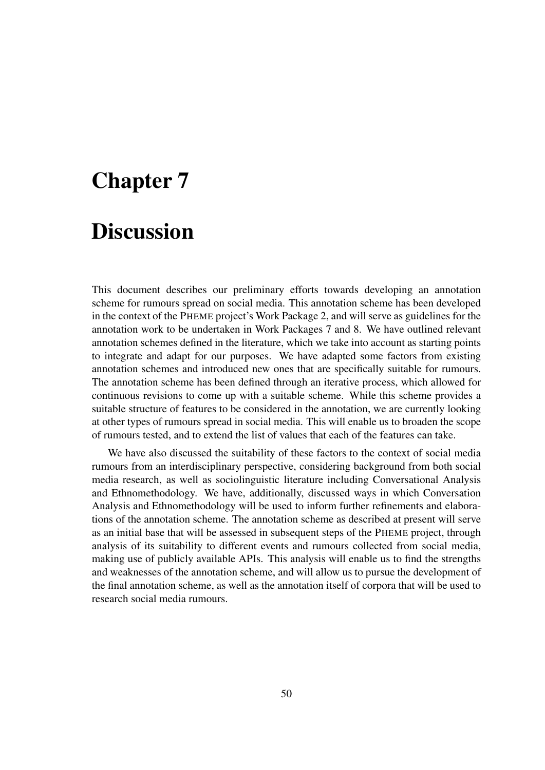### Chapter 7

## **Discussion**

This document describes our preliminary efforts towards developing an annotation scheme for rumours spread on social media. This annotation scheme has been developed in the context of the PHEME project's Work Package 2, and will serve as guidelines for the annotation work to be undertaken in Work Packages 7 and 8. We have outlined relevant annotation schemes defined in the literature, which we take into account as starting points to integrate and adapt for our purposes. We have adapted some factors from existing annotation schemes and introduced new ones that are specifically suitable for rumours. The annotation scheme has been defined through an iterative process, which allowed for continuous revisions to come up with a suitable scheme. While this scheme provides a suitable structure of features to be considered in the annotation, we are currently looking at other types of rumours spread in social media. This will enable us to broaden the scope of rumours tested, and to extend the list of values that each of the features can take.

We have also discussed the suitability of these factors to the context of social media rumours from an interdisciplinary perspective, considering background from both social media research, as well as sociolinguistic literature including Conversational Analysis and Ethnomethodology. We have, additionally, discussed ways in which Conversation Analysis and Ethnomethodology will be used to inform further refinements and elaborations of the annotation scheme. The annotation scheme as described at present will serve as an initial base that will be assessed in subsequent steps of the PHEME project, through analysis of its suitability to different events and rumours collected from social media, making use of publicly available APIs. This analysis will enable us to find the strengths and weaknesses of the annotation scheme, and will allow us to pursue the development of the final annotation scheme, as well as the annotation itself of corpora that will be used to research social media rumours.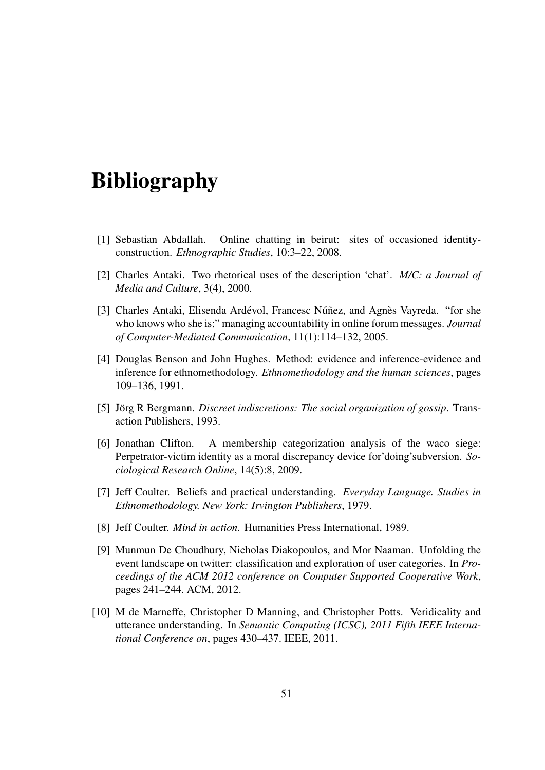## Bibliography

- [1] Sebastian Abdallah. Online chatting in beirut: sites of occasioned identityconstruction. *Ethnographic Studies*, 10:3–22, 2008.
- [2] Charles Antaki. Two rhetorical uses of the description 'chat'. *M/C: a Journal of Media and Culture*, 3(4), 2000.
- [3] Charles Antaki, Elisenda Ardévol, Francesc Núñez, and Agnès Vayreda. "for she who knows who she is:" managing accountability in online forum messages. *Journal of Computer-Mediated Communication*, 11(1):114–132, 2005.
- [4] Douglas Benson and John Hughes. Method: evidence and inference-evidence and inference for ethnomethodology. *Ethnomethodology and the human sciences*, pages 109–136, 1991.
- [5] Jörg R Bergmann. *Discreet indiscretions: The social organization of gossip*. Transaction Publishers, 1993.
- [6] Jonathan Clifton. A membership categorization analysis of the waco siege: Perpetrator-victim identity as a moral discrepancy device for'doing'subversion. *Sociological Research Online*, 14(5):8, 2009.
- [7] Jeff Coulter. Beliefs and practical understanding. *Everyday Language. Studies in Ethnomethodology. New York: Irvington Publishers*, 1979.
- [8] Jeff Coulter. *Mind in action.* Humanities Press International, 1989.
- [9] Munmun De Choudhury, Nicholas Diakopoulos, and Mor Naaman. Unfolding the event landscape on twitter: classification and exploration of user categories. In *Proceedings of the ACM 2012 conference on Computer Supported Cooperative Work*, pages 241–244. ACM, 2012.
- [10] M de Marneffe, Christopher D Manning, and Christopher Potts. Veridicality and utterance understanding. In *Semantic Computing (ICSC), 2011 Fifth IEEE International Conference on*, pages 430–437. IEEE, 2011.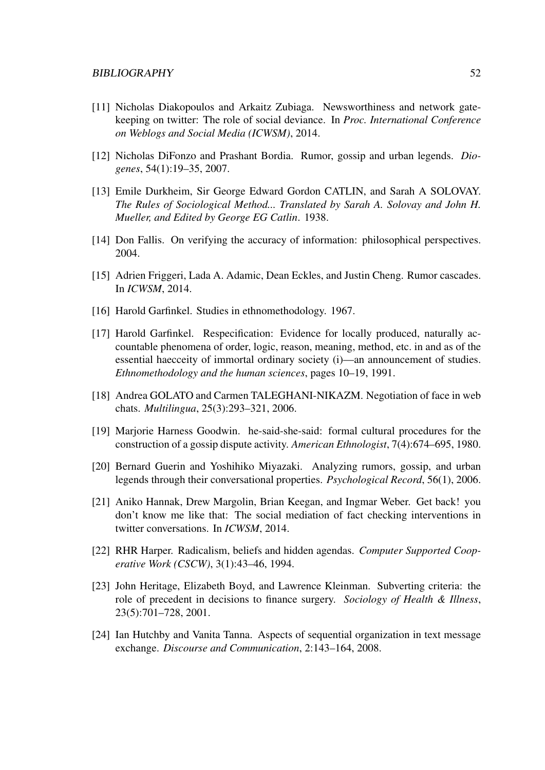- [11] Nicholas Diakopoulos and Arkaitz Zubiaga. Newsworthiness and network gatekeeping on twitter: The role of social deviance. In *Proc. International Conference on Weblogs and Social Media (ICWSM)*, 2014.
- [12] Nicholas DiFonzo and Prashant Bordia. Rumor, gossip and urban legends. *Diogenes*, 54(1):19–35, 2007.
- [13] Emile Durkheim, Sir George Edward Gordon CATLIN, and Sarah A SOLOVAY. *The Rules of Sociological Method... Translated by Sarah A. Solovay and John H. Mueller, and Edited by George EG Catlin*. 1938.
- [14] Don Fallis. On verifying the accuracy of information: philosophical perspectives. 2004.
- [15] Adrien Friggeri, Lada A. Adamic, Dean Eckles, and Justin Cheng. Rumor cascades. In *ICWSM*, 2014.
- [16] Harold Garfinkel. Studies in ethnomethodology. 1967.
- [17] Harold Garfinkel. Respecification: Evidence for locally produced, naturally accountable phenomena of order, logic, reason, meaning, method, etc. in and as of the essential haecceity of immortal ordinary society (i)—an announcement of studies. *Ethnomethodology and the human sciences*, pages 10–19, 1991.
- [18] Andrea GOLATO and Carmen TALEGHANI-NIKAZM. Negotiation of face in web chats. *Multilingua*, 25(3):293–321, 2006.
- [19] Marjorie Harness Goodwin. he-said-she-said: formal cultural procedures for the construction of a gossip dispute activity. *American Ethnologist*, 7(4):674–695, 1980.
- [20] Bernard Guerin and Yoshihiko Miyazaki. Analyzing rumors, gossip, and urban legends through their conversational properties. *Psychological Record*, 56(1), 2006.
- [21] Aniko Hannak, Drew Margolin, Brian Keegan, and Ingmar Weber. Get back! you don't know me like that: The social mediation of fact checking interventions in twitter conversations. In *ICWSM*, 2014.
- [22] RHR Harper. Radicalism, beliefs and hidden agendas. *Computer Supported Cooperative Work (CSCW)*, 3(1):43–46, 1994.
- [23] John Heritage, Elizabeth Boyd, and Lawrence Kleinman. Subverting criteria: the role of precedent in decisions to finance surgery. *Sociology of Health & Illness*, 23(5):701–728, 2001.
- [24] Ian Hutchby and Vanita Tanna. Aspects of sequential organization in text message exchange. *Discourse and Communication*, 2:143–164, 2008.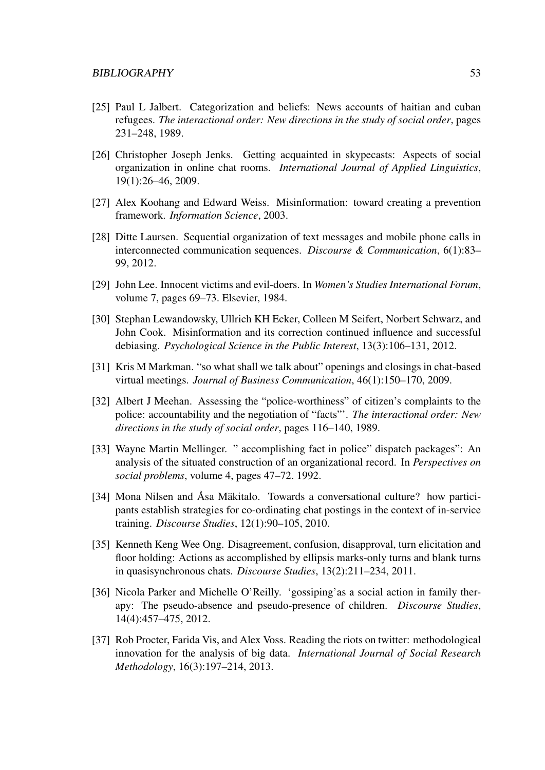- [25] Paul L Jalbert. Categorization and beliefs: News accounts of haitian and cuban refugees. *The interactional order: New directions in the study of social order*, pages 231–248, 1989.
- [26] Christopher Joseph Jenks. Getting acquainted in skypecasts: Aspects of social organization in online chat rooms. *International Journal of Applied Linguistics*, 19(1):26–46, 2009.
- [27] Alex Koohang and Edward Weiss. Misinformation: toward creating a prevention framework. *Information Science*, 2003.
- [28] Ditte Laursen. Sequential organization of text messages and mobile phone calls in interconnected communication sequences. *Discourse & Communication*, 6(1):83– 99, 2012.
- [29] John Lee. Innocent victims and evil-doers. In *Women's Studies International Forum*, volume 7, pages 69–73. Elsevier, 1984.
- [30] Stephan Lewandowsky, Ullrich KH Ecker, Colleen M Seifert, Norbert Schwarz, and John Cook. Misinformation and its correction continued influence and successful debiasing. *Psychological Science in the Public Interest*, 13(3):106–131, 2012.
- [31] Kris M Markman. "so what shall we talk about" openings and closings in chat-based virtual meetings. *Journal of Business Communication*, 46(1):150–170, 2009.
- [32] Albert J Meehan. Assessing the "police-worthiness" of citizen's complaints to the police: accountability and the negotiation of "facts"'. *The interactional order: New directions in the study of social order*, pages 116–140, 1989.
- [33] Wayne Martin Mellinger. " accomplishing fact in police" dispatch packages": An analysis of the situated construction of an organizational record. In *Perspectives on social problems*, volume 4, pages 47–72. 1992.
- [34] Mona Nilsen and Åsa Mäkitalo. Towards a conversational culture? how participants establish strategies for co-ordinating chat postings in the context of in-service training. *Discourse Studies*, 12(1):90–105, 2010.
- [35] Kenneth Keng Wee Ong. Disagreement, confusion, disapproval, turn elicitation and floor holding: Actions as accomplished by ellipsis marks-only turns and blank turns in quasisynchronous chats. *Discourse Studies*, 13(2):211–234, 2011.
- [36] Nicola Parker and Michelle O'Reilly. 'gossiping'as a social action in family therapy: The pseudo-absence and pseudo-presence of children. *Discourse Studies*, 14(4):457–475, 2012.
- [37] Rob Procter, Farida Vis, and Alex Voss. Reading the riots on twitter: methodological innovation for the analysis of big data. *International Journal of Social Research Methodology*, 16(3):197–214, 2013.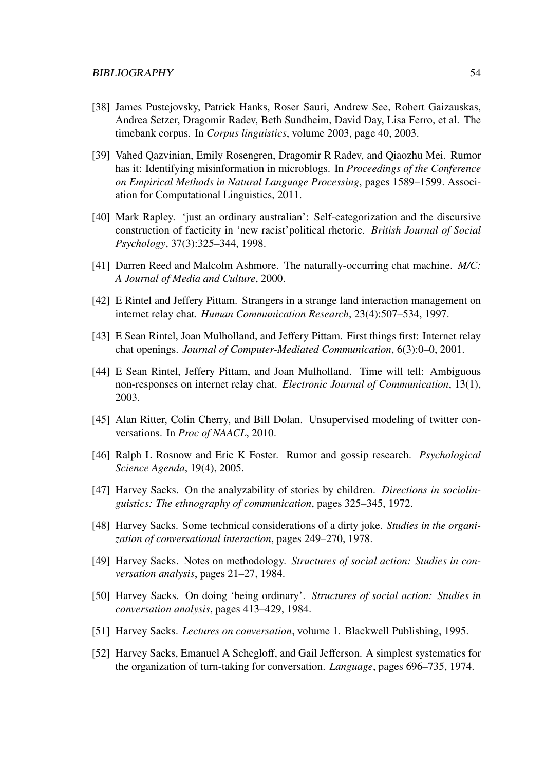- [38] James Pustejovsky, Patrick Hanks, Roser Sauri, Andrew See, Robert Gaizauskas, Andrea Setzer, Dragomir Radev, Beth Sundheim, David Day, Lisa Ferro, et al. The timebank corpus. In *Corpus linguistics*, volume 2003, page 40, 2003.
- [39] Vahed Qazvinian, Emily Rosengren, Dragomir R Radev, and Qiaozhu Mei. Rumor has it: Identifying misinformation in microblogs. In *Proceedings of the Conference on Empirical Methods in Natural Language Processing*, pages 1589–1599. Association for Computational Linguistics, 2011.
- [40] Mark Rapley. 'just an ordinary australian': Self-categorization and the discursive construction of facticity in 'new racist'political rhetoric. *British Journal of Social Psychology*, 37(3):325–344, 1998.
- [41] Darren Reed and Malcolm Ashmore. The naturally-occurring chat machine. *M/C: A Journal of Media and Culture*, 2000.
- [42] E Rintel and Jeffery Pittam. Strangers in a strange land interaction management on internet relay chat. *Human Communication Research*, 23(4):507–534, 1997.
- [43] E Sean Rintel, Joan Mulholland, and Jeffery Pittam. First things first: Internet relay chat openings. *Journal of Computer-Mediated Communication*, 6(3):0–0, 2001.
- [44] E Sean Rintel, Jeffery Pittam, and Joan Mulholland. Time will tell: Ambiguous non-responses on internet relay chat. *Electronic Journal of Communication*, 13(1), 2003.
- [45] Alan Ritter, Colin Cherry, and Bill Dolan. Unsupervised modeling of twitter conversations. In *Proc of NAACL*, 2010.
- [46] Ralph L Rosnow and Eric K Foster. Rumor and gossip research. *Psychological Science Agenda*, 19(4), 2005.
- [47] Harvey Sacks. On the analyzability of stories by children. *Directions in sociolinguistics: The ethnography of communication*, pages 325–345, 1972.
- [48] Harvey Sacks. Some technical considerations of a dirty joke. *Studies in the organization of conversational interaction*, pages 249–270, 1978.
- [49] Harvey Sacks. Notes on methodology. *Structures of social action: Studies in conversation analysis*, pages 21–27, 1984.
- [50] Harvey Sacks. On doing 'being ordinary'. *Structures of social action: Studies in conversation analysis*, pages 413–429, 1984.
- [51] Harvey Sacks. *Lectures on conversation*, volume 1. Blackwell Publishing, 1995.
- [52] Harvey Sacks, Emanuel A Schegloff, and Gail Jefferson. A simplest systematics for the organization of turn-taking for conversation. *Language*, pages 696–735, 1974.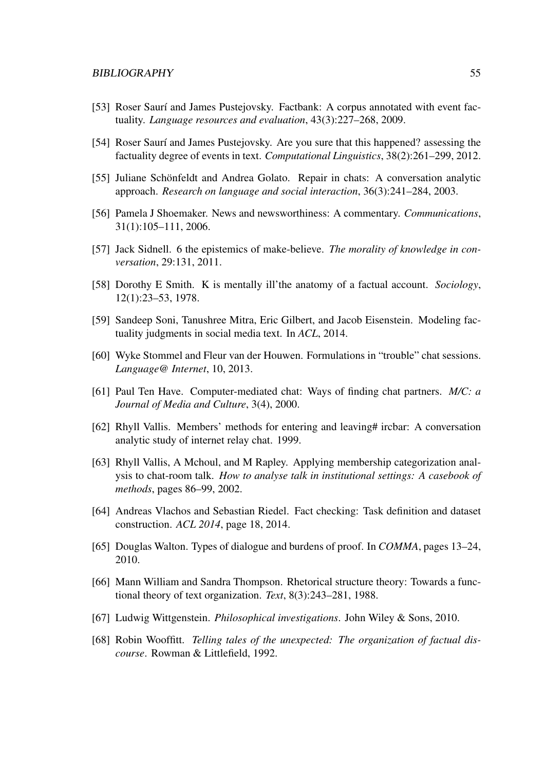- [53] Roser Saurí and James Pustejovsky. Factbank: A corpus annotated with event factuality. *Language resources and evaluation*, 43(3):227–268, 2009.
- [54] Roser Saurí and James Pustejovsky. Are you sure that this happened? assessing the factuality degree of events in text. *Computational Linguistics*, 38(2):261–299, 2012.
- [55] Juliane Schönfeldt and Andrea Golato. Repair in chats: A conversation analytic approach. *Research on language and social interaction*, 36(3):241–284, 2003.
- [56] Pamela J Shoemaker. News and newsworthiness: A commentary. *Communications*, 31(1):105–111, 2006.
- [57] Jack Sidnell. 6 the epistemics of make-believe. *The morality of knowledge in conversation*, 29:131, 2011.
- [58] Dorothy E Smith. K is mentally ill'the anatomy of a factual account. *Sociology*, 12(1):23–53, 1978.
- [59] Sandeep Soni, Tanushree Mitra, Eric Gilbert, and Jacob Eisenstein. Modeling factuality judgments in social media text. In *ACL*, 2014.
- [60] Wyke Stommel and Fleur van der Houwen. Formulations in "trouble" chat sessions. *Language@ Internet*, 10, 2013.
- [61] Paul Ten Have. Computer-mediated chat: Ways of finding chat partners. *M/C: a Journal of Media and Culture*, 3(4), 2000.
- [62] Rhyll Vallis. Members' methods for entering and leaving# ircbar: A conversation analytic study of internet relay chat. 1999.
- [63] Rhyll Vallis, A Mchoul, and M Rapley. Applying membership categorization analysis to chat-room talk. *How to analyse talk in institutional settings: A casebook of methods*, pages 86–99, 2002.
- [64] Andreas Vlachos and Sebastian Riedel. Fact checking: Task definition and dataset construction. *ACL 2014*, page 18, 2014.
- [65] Douglas Walton. Types of dialogue and burdens of proof. In *COMMA*, pages 13–24, 2010.
- [66] Mann William and Sandra Thompson. Rhetorical structure theory: Towards a functional theory of text organization. *Text*, 8(3):243–281, 1988.
- [67] Ludwig Wittgenstein. *Philosophical investigations*. John Wiley & Sons, 2010.
- [68] Robin Wooffitt. *Telling tales of the unexpected: The organization of factual discourse*. Rowman & Littlefield, 1992.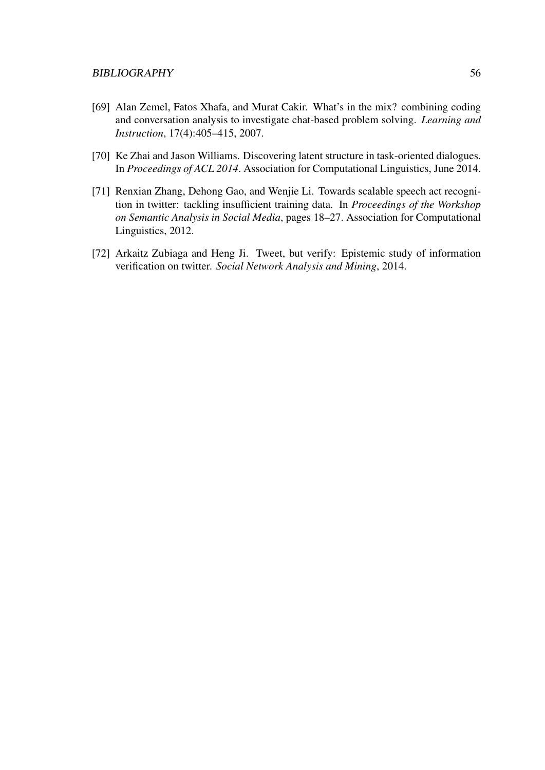- [69] Alan Zemel, Fatos Xhafa, and Murat Cakir. What's in the mix? combining coding and conversation analysis to investigate chat-based problem solving. *Learning and Instruction*, 17(4):405–415, 2007.
- [70] Ke Zhai and Jason Williams. Discovering latent structure in task-oriented dialogues. In *Proceedings of ACL 2014*. Association for Computational Linguistics, June 2014.
- [71] Renxian Zhang, Dehong Gao, and Wenjie Li. Towards scalable speech act recognition in twitter: tackling insufficient training data. In *Proceedings of the Workshop on Semantic Analysis in Social Media*, pages 18–27. Association for Computational Linguistics, 2012.
- [72] Arkaitz Zubiaga and Heng Ji. Tweet, but verify: Epistemic study of information verification on twitter. *Social Network Analysis and Mining*, 2014.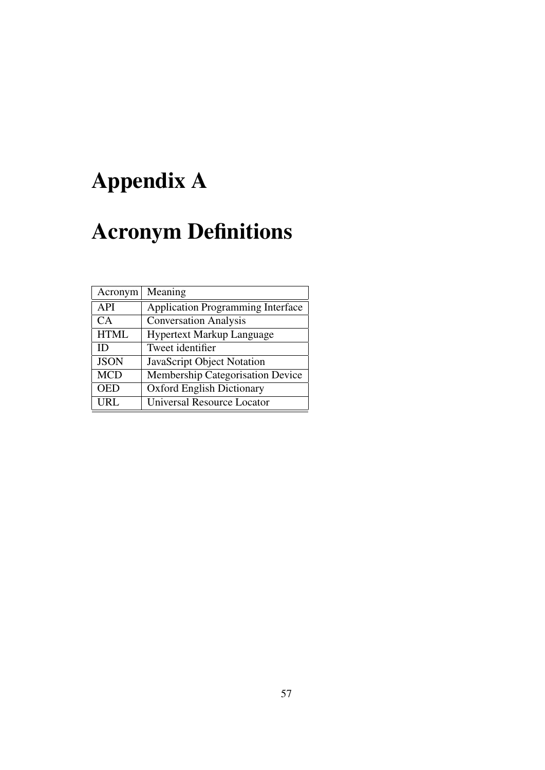# Appendix A

# Acronym Definitions

| Acronym     | Meaning                                  |
|-------------|------------------------------------------|
| API         | <b>Application Programming Interface</b> |
| CA          | <b>Conversation Analysis</b>             |
| <b>HTML</b> | <b>Hypertext Markup Language</b>         |
| ID)         | Tweet identifier                         |
| <b>JSON</b> | JavaScript Object Notation               |
| <b>MCD</b>  | Membership Categorisation Device         |
| <b>OED</b>  | <b>Oxford English Dictionary</b>         |
| URL         | Universal Resource Locator               |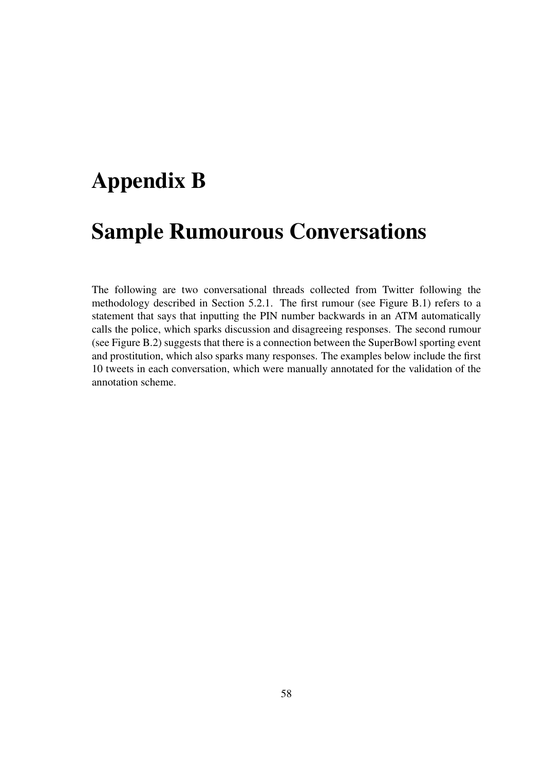### Appendix B

## Sample Rumourous Conversations

The following are two conversational threads collected from Twitter following the methodology described in Section 5.2.1. The first rumour (see Figure B.1) refers to a statement that says that inputting the PIN number backwards in an ATM automatically calls the police, which sparks discussion and disagreeing responses. The second rumour (see Figure B.2) suggests that there is a connection between the SuperBowl sporting event and prostitution, which also sparks many responses. The examples below include the first 10 tweets in each conversation, which were manually annotated for the validation of the annotation scheme.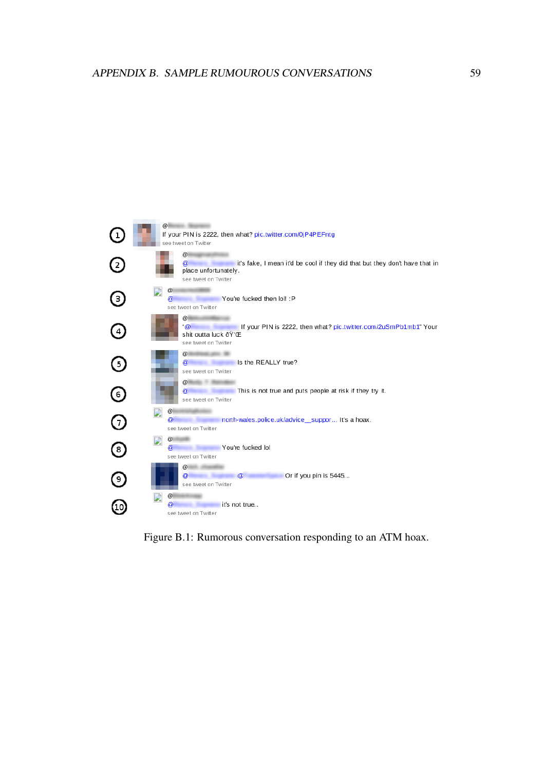

Figure B.1: Rumorous conversation responding to an ATM hoax.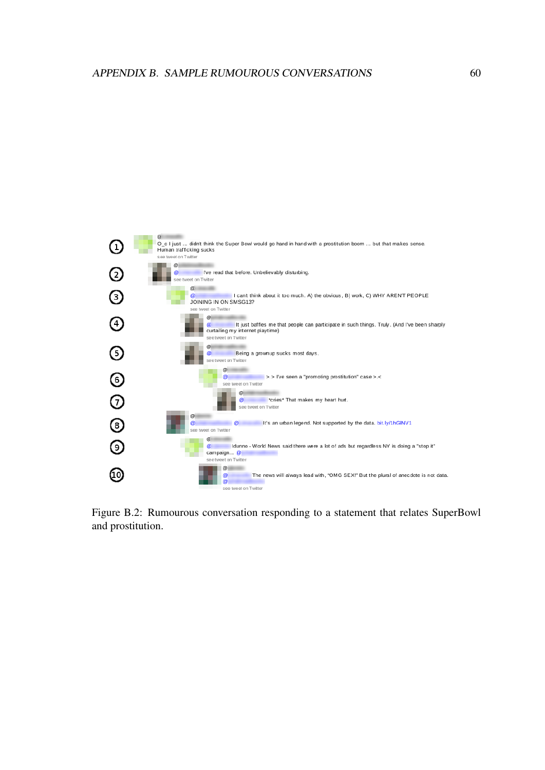

Figure B.2: Rumourous conversation responding to a statement that relates SuperBowl and prostitution.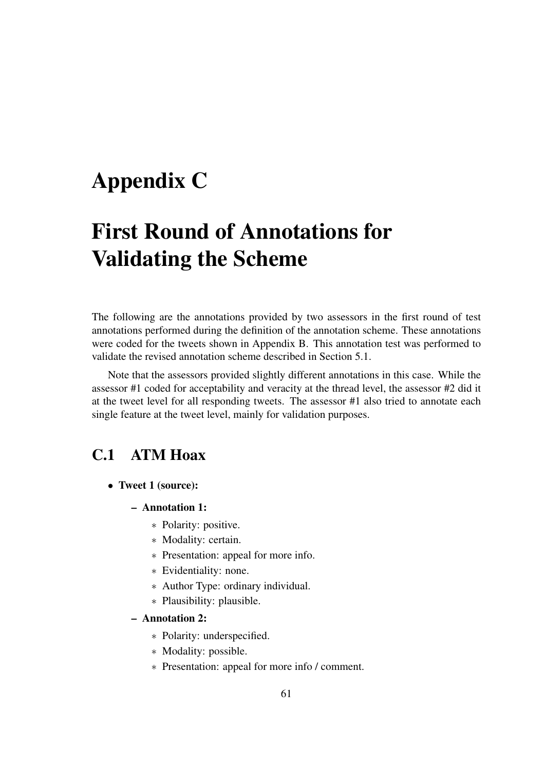## Appendix C

## First Round of Annotations for Validating the Scheme

The following are the annotations provided by two assessors in the first round of test annotations performed during the definition of the annotation scheme. These annotations were coded for the tweets shown in Appendix B. This annotation test was performed to validate the revised annotation scheme described in Section 5.1.

Note that the assessors provided slightly different annotations in this case. While the assessor #1 coded for acceptability and veracity at the thread level, the assessor #2 did it at the tweet level for all responding tweets. The assessor #1 also tried to annotate each single feature at the tweet level, mainly for validation purposes.

#### C.1 ATM Hoax

- Tweet 1 (source):
	- Annotation 1:
		- ∗ Polarity: positive.
		- ∗ Modality: certain.
		- ∗ Presentation: appeal for more info.
		- ∗ Evidentiality: none.
		- ∗ Author Type: ordinary individual.
		- ∗ Plausibility: plausible.
	- Annotation 2:
		- ∗ Polarity: underspecified.
		- ∗ Modality: possible.
		- ∗ Presentation: appeal for more info / comment.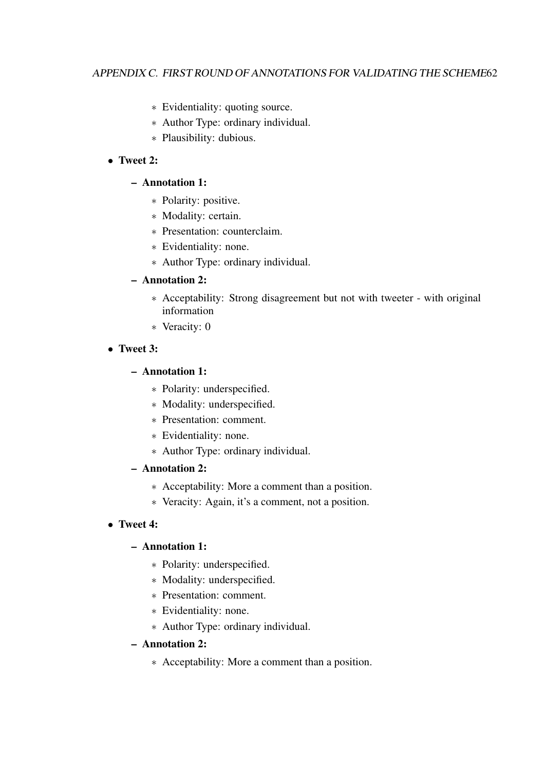- ∗ Evidentiality: quoting source.
- ∗ Author Type: ordinary individual.
- ∗ Plausibility: dubious.

#### • Tweet 2:

- Annotation 1:
	- ∗ Polarity: positive.
	- ∗ Modality: certain.
	- ∗ Presentation: counterclaim.
	- ∗ Evidentiality: none.
	- ∗ Author Type: ordinary individual.
- Annotation 2:
	- ∗ Acceptability: Strong disagreement but not with tweeter with original information
	- ∗ Veracity: 0
- Tweet 3:
	- Annotation 1:
		- ∗ Polarity: underspecified.
		- ∗ Modality: underspecified.
		- ∗ Presentation: comment.
		- ∗ Evidentiality: none.
		- ∗ Author Type: ordinary individual.
	- Annotation 2:
		- ∗ Acceptability: More a comment than a position.
		- ∗ Veracity: Again, it's a comment, not a position.

#### • Tweet 4:

#### – Annotation 1:

- ∗ Polarity: underspecified.
- ∗ Modality: underspecified.
- ∗ Presentation: comment.
- ∗ Evidentiality: none.
- ∗ Author Type: ordinary individual.

#### – Annotation 2:

∗ Acceptability: More a comment than a position.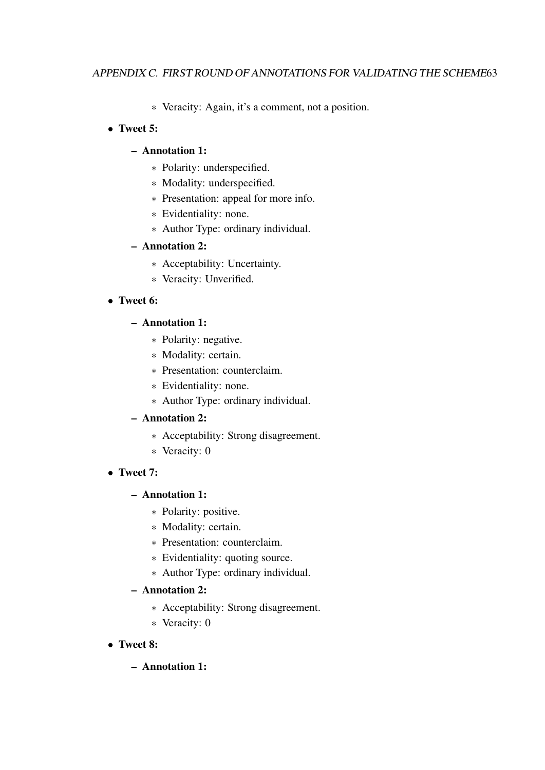- ∗ Veracity: Again, it's a comment, not a position.
- Tweet 5:

#### – Annotation 1:

- ∗ Polarity: underspecified.
- ∗ Modality: underspecified.
- ∗ Presentation: appeal for more info.
- ∗ Evidentiality: none.
- ∗ Author Type: ordinary individual.
- Annotation 2:
	- ∗ Acceptability: Uncertainty.
	- ∗ Veracity: Unverified.
- Tweet 6:
	- Annotation 1:
		- ∗ Polarity: negative.
		- ∗ Modality: certain.
		- ∗ Presentation: counterclaim.
		- ∗ Evidentiality: none.
		- ∗ Author Type: ordinary individual.

#### – Annotation 2:

- ∗ Acceptability: Strong disagreement.
- ∗ Veracity: 0
- Tweet 7:
	- Annotation 1:
		- ∗ Polarity: positive.
		- ∗ Modality: certain.
		- ∗ Presentation: counterclaim.
		- ∗ Evidentiality: quoting source.
		- ∗ Author Type: ordinary individual.
	- Annotation 2:
		- ∗ Acceptability: Strong disagreement.
		- ∗ Veracity: 0
- Tweet 8:
	- Annotation 1: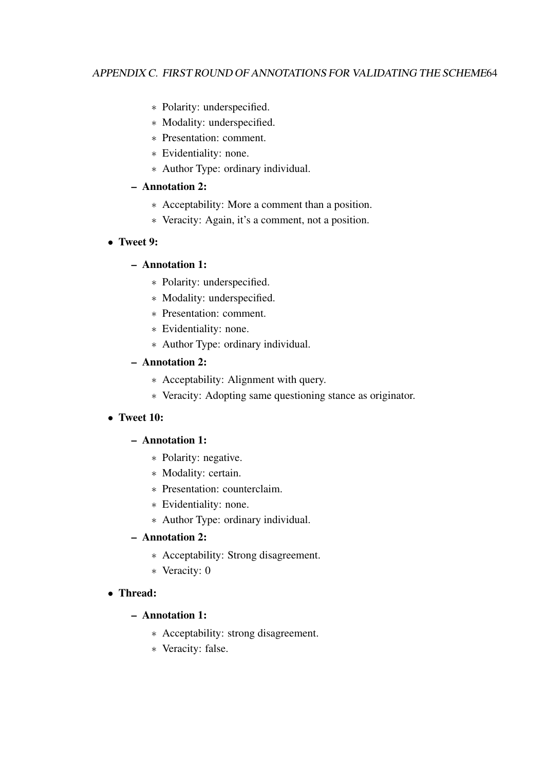- ∗ Polarity: underspecified.
- ∗ Modality: underspecified.
- ∗ Presentation: comment.
- ∗ Evidentiality: none.
- ∗ Author Type: ordinary individual.

#### – Annotation 2:

- ∗ Acceptability: More a comment than a position.
- ∗ Veracity: Again, it's a comment, not a position.

#### • Tweet 9:

#### – Annotation 1:

- ∗ Polarity: underspecified.
- ∗ Modality: underspecified.
- ∗ Presentation: comment.
- ∗ Evidentiality: none.
- ∗ Author Type: ordinary individual.

#### – Annotation 2:

- ∗ Acceptability: Alignment with query.
- ∗ Veracity: Adopting same questioning stance as originator.

#### • Tweet 10:

- Annotation 1:
	- ∗ Polarity: negative.
	- ∗ Modality: certain.
	- ∗ Presentation: counterclaim.
	- ∗ Evidentiality: none.
	- ∗ Author Type: ordinary individual.

#### – Annotation 2:

- ∗ Acceptability: Strong disagreement.
- ∗ Veracity: 0

#### • Thread:

- Annotation 1:
	- ∗ Acceptability: strong disagreement.
	- ∗ Veracity: false.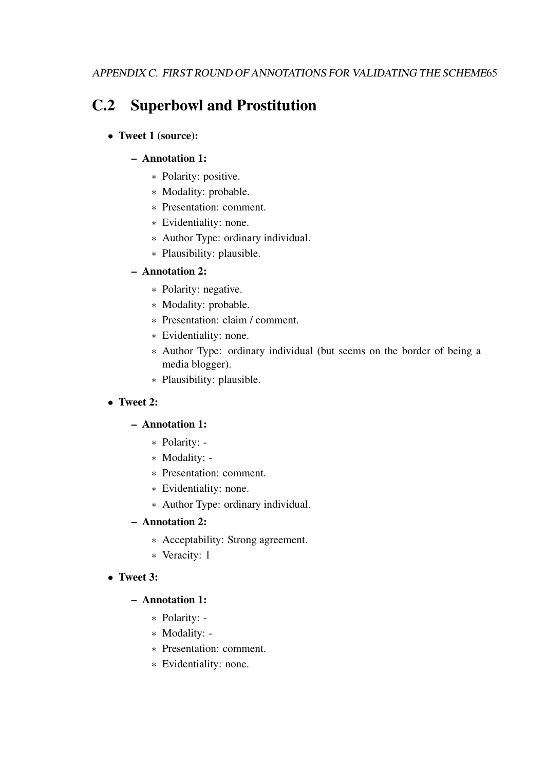### C.2 Superbowl and Prostitution

#### • Tweet 1 (source):

#### – Annotation 1:

- ∗ Polarity: positive.
- ∗ Modality: probable.
- ∗ Presentation: comment.
- ∗ Evidentiality: none.
- ∗ Author Type: ordinary individual.
- ∗ Plausibility: plausible.

#### – Annotation 2:

- ∗ Polarity: negative.
- ∗ Modality: probable.
- ∗ Presentation: claim / comment.
- ∗ Evidentiality: none.
- ∗ Author Type: ordinary individual (but seems on the border of being a media blogger).
- ∗ Plausibility: plausible.

#### • Tweet 2:

#### – Annotation 1:

- ∗ Polarity: -
- ∗ Modality: -
- ∗ Presentation: comment.
- ∗ Evidentiality: none.
- ∗ Author Type: ordinary individual.
- Annotation 2:
	- ∗ Acceptability: Strong agreement.
	- ∗ Veracity: 1

#### • Tweet 3:

#### – Annotation 1:

- ∗ Polarity: -
- ∗ Modality: -
- ∗ Presentation: comment.
- ∗ Evidentiality: none.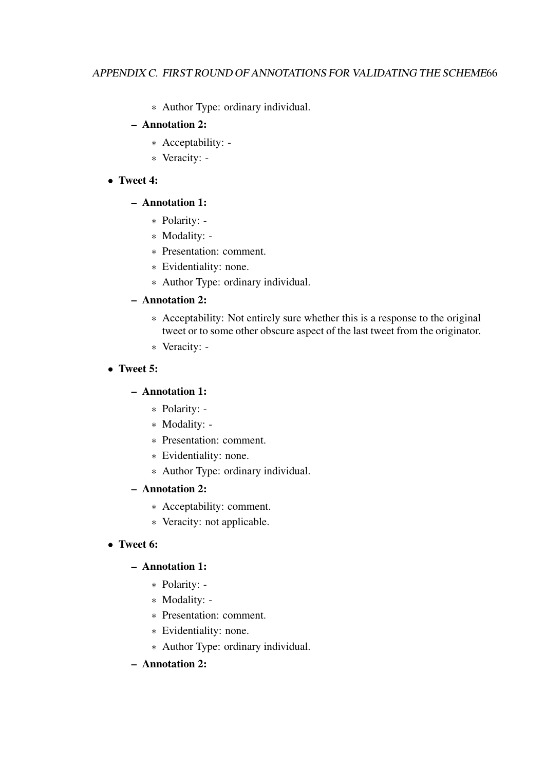- ∗ Author Type: ordinary individual.
- Annotation 2:
	- ∗ Acceptability: -
	- ∗ Veracity: -
- Tweet 4:

#### – Annotation 1:

- ∗ Polarity: -
- ∗ Modality: -
- ∗ Presentation: comment.
- ∗ Evidentiality: none.
- ∗ Author Type: ordinary individual.
- Annotation 2:
	- ∗ Acceptability: Not entirely sure whether this is a response to the original tweet or to some other obscure aspect of the last tweet from the originator.
	- ∗ Veracity: -
- Tweet 5:

#### – Annotation 1:

- ∗ Polarity: -
- ∗ Modality: -
- ∗ Presentation: comment.
- ∗ Evidentiality: none.
- ∗ Author Type: ordinary individual.
- Annotation 2:
	- ∗ Acceptability: comment.
	- ∗ Veracity: not applicable.
- Tweet 6:
	- Annotation 1:
		- ∗ Polarity: -
		- ∗ Modality: -
		- ∗ Presentation: comment.
		- ∗ Evidentiality: none.
		- ∗ Author Type: ordinary individual.
	- Annotation 2: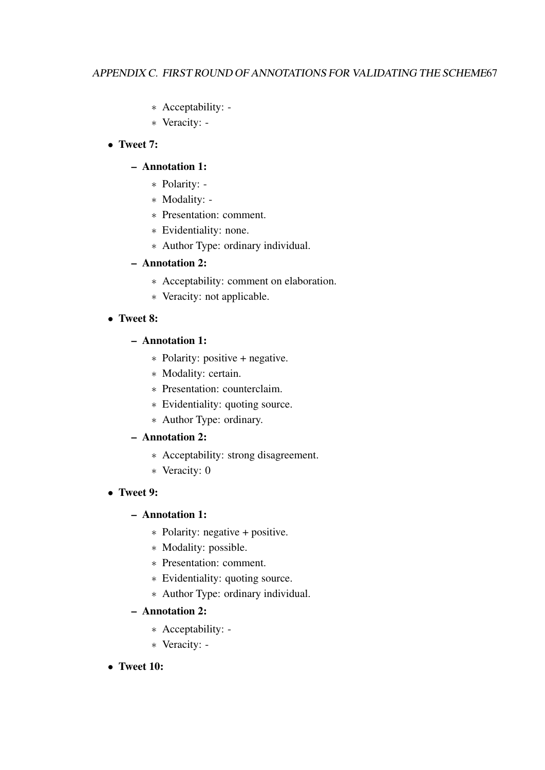- ∗ Acceptability: -
- ∗ Veracity: -
- Tweet 7:
	- Annotation 1:
		- ∗ Polarity: -
		- ∗ Modality: -
		- ∗ Presentation: comment.
		- ∗ Evidentiality: none.
		- ∗ Author Type: ordinary individual.
	- Annotation 2:
		- ∗ Acceptability: comment on elaboration.
		- ∗ Veracity: not applicable.
- Tweet 8:
	- Annotation 1:
		- ∗ Polarity: positive + negative.
		- ∗ Modality: certain.
		- ∗ Presentation: counterclaim.
		- ∗ Evidentiality: quoting source.
		- ∗ Author Type: ordinary.
	- Annotation 2:
		- ∗ Acceptability: strong disagreement.
		- ∗ Veracity: 0
- Tweet 9:

#### – Annotation 1:

- ∗ Polarity: negative + positive.
- ∗ Modality: possible.
- ∗ Presentation: comment.
- ∗ Evidentiality: quoting source.
- ∗ Author Type: ordinary individual.

#### – Annotation 2:

- ∗ Acceptability: -
- ∗ Veracity: -
- Tweet 10: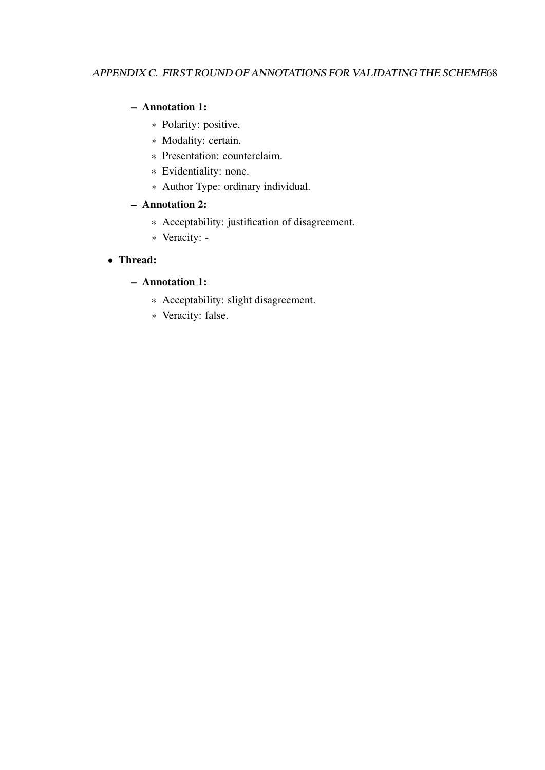#### – Annotation 1:

- ∗ Polarity: positive.
- ∗ Modality: certain.
- ∗ Presentation: counterclaim.
- ∗ Evidentiality: none.
- ∗ Author Type: ordinary individual.

#### – Annotation 2:

- ∗ Acceptability: justification of disagreement.
- ∗ Veracity: -

#### • Thread:

- Annotation 1:
	- ∗ Acceptability: slight disagreement.
	- ∗ Veracity: false.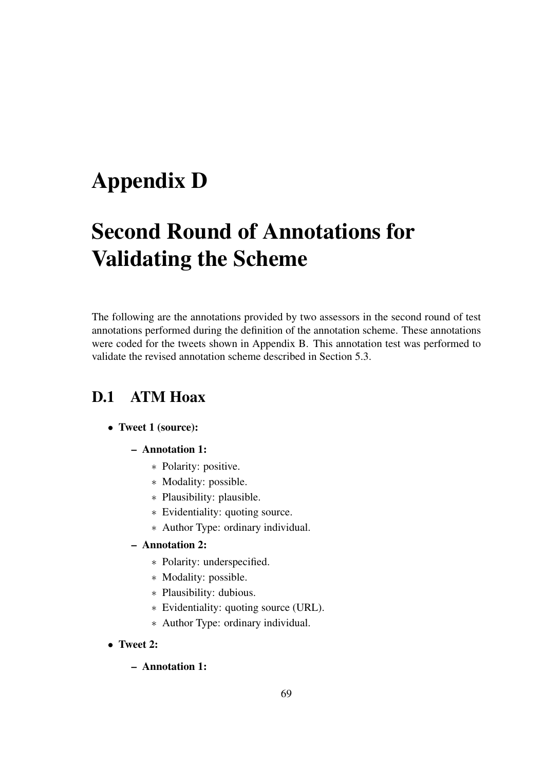# Appendix D

# Second Round of Annotations for Validating the Scheme

The following are the annotations provided by two assessors in the second round of test annotations performed during the definition of the annotation scheme. These annotations were coded for the tweets shown in Appendix B. This annotation test was performed to validate the revised annotation scheme described in Section 5.3.

# D.1 ATM Hoax

- Tweet 1 (source):
	- Annotation 1:
		- ∗ Polarity: positive.
		- ∗ Modality: possible.
		- ∗ Plausibility: plausible.
		- ∗ Evidentiality: quoting source.
		- ∗ Author Type: ordinary individual.

- ∗ Polarity: underspecified.
- ∗ Modality: possible.
- ∗ Plausibility: dubious.
- ∗ Evidentiality: quoting source (URL).
- ∗ Author Type: ordinary individual.
- Tweet 2:
	- Annotation 1: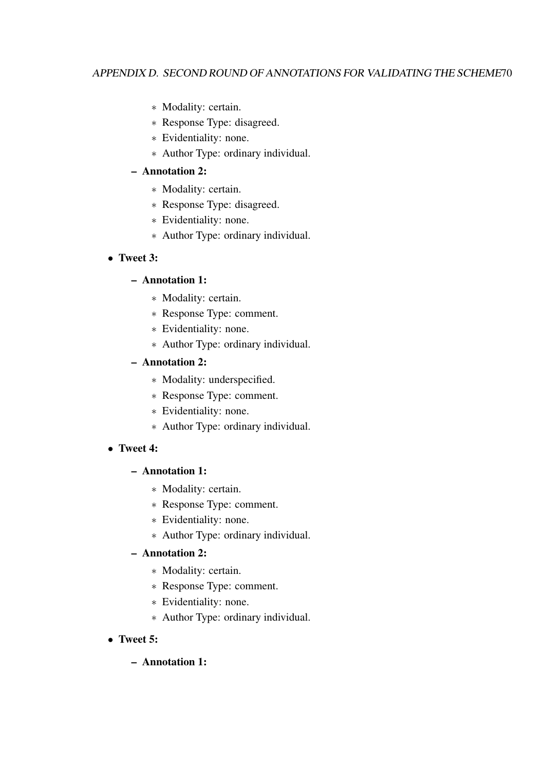- ∗ Modality: certain.
- ∗ Response Type: disagreed.
- ∗ Evidentiality: none.
- ∗ Author Type: ordinary individual.
- Annotation 2:
	- ∗ Modality: certain.
	- ∗ Response Type: disagreed.
	- ∗ Evidentiality: none.
	- ∗ Author Type: ordinary individual.

### • Tweet 3:

### – Annotation 1:

- ∗ Modality: certain.
- ∗ Response Type: comment.
- ∗ Evidentiality: none.
- ∗ Author Type: ordinary individual.

### – Annotation 2:

- ∗ Modality: underspecified.
- ∗ Response Type: comment.
- ∗ Evidentiality: none.
- ∗ Author Type: ordinary individual.

### • Tweet 4:

- Annotation 1:
	- ∗ Modality: certain.
	- ∗ Response Type: comment.
	- ∗ Evidentiality: none.
	- ∗ Author Type: ordinary individual.

- ∗ Modality: certain.
- ∗ Response Type: comment.
- ∗ Evidentiality: none.
- ∗ Author Type: ordinary individual.
- Tweet 5:
	- Annotation 1: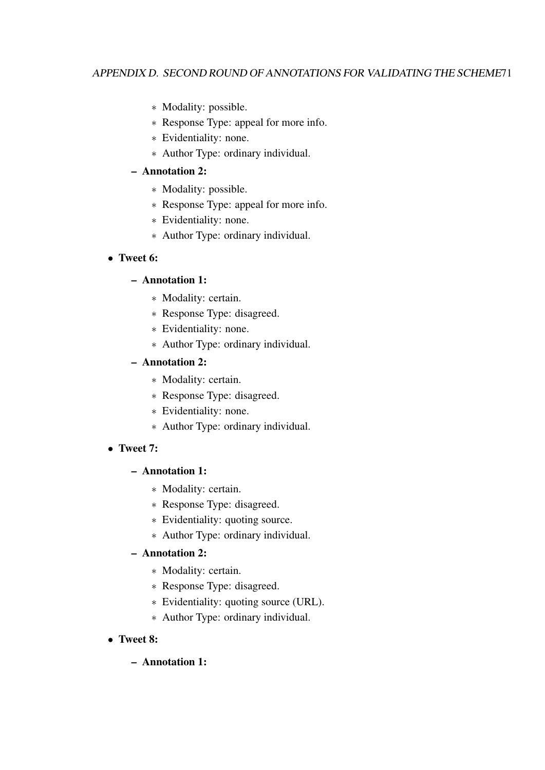- ∗ Modality: possible.
- ∗ Response Type: appeal for more info.
- ∗ Evidentiality: none.
- ∗ Author Type: ordinary individual.
- Annotation 2:
	- ∗ Modality: possible.
	- ∗ Response Type: appeal for more info.
	- ∗ Evidentiality: none.
	- ∗ Author Type: ordinary individual.

### • Tweet 6:

### – Annotation 1:

- ∗ Modality: certain.
- ∗ Response Type: disagreed.
- ∗ Evidentiality: none.
- ∗ Author Type: ordinary individual.

### – Annotation 2:

- ∗ Modality: certain.
- ∗ Response Type: disagreed.
- ∗ Evidentiality: none.
- ∗ Author Type: ordinary individual.

### • Tweet 7:

- Annotation 1:
	- ∗ Modality: certain.
	- ∗ Response Type: disagreed.
	- ∗ Evidentiality: quoting source.
	- ∗ Author Type: ordinary individual.

- ∗ Modality: certain.
- ∗ Response Type: disagreed.
- ∗ Evidentiality: quoting source (URL).
- ∗ Author Type: ordinary individual.
- Tweet 8:
	- Annotation 1: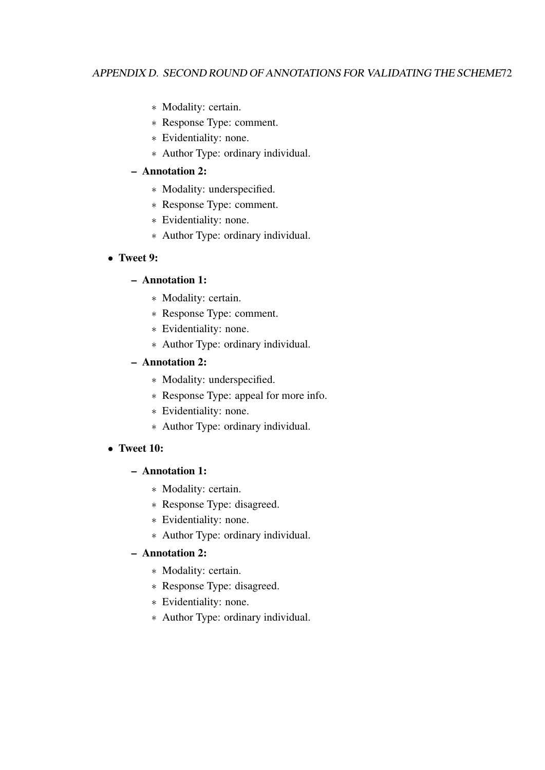- ∗ Modality: certain.
- ∗ Response Type: comment.
- ∗ Evidentiality: none.
- ∗ Author Type: ordinary individual.
- Annotation 2:
	- ∗ Modality: underspecified.
	- ∗ Response Type: comment.
	- ∗ Evidentiality: none.
	- ∗ Author Type: ordinary individual.

### • Tweet 9:

### – Annotation 1:

- ∗ Modality: certain.
- ∗ Response Type: comment.
- ∗ Evidentiality: none.
- ∗ Author Type: ordinary individual.

### – Annotation 2:

- ∗ Modality: underspecified.
- ∗ Response Type: appeal for more info.
- ∗ Evidentiality: none.
- ∗ Author Type: ordinary individual.

### • Tweet 10:

- Annotation 1:
	- ∗ Modality: certain.
	- ∗ Response Type: disagreed.
	- ∗ Evidentiality: none.
	- ∗ Author Type: ordinary individual.

- ∗ Modality: certain.
- ∗ Response Type: disagreed.
- ∗ Evidentiality: none.
- ∗ Author Type: ordinary individual.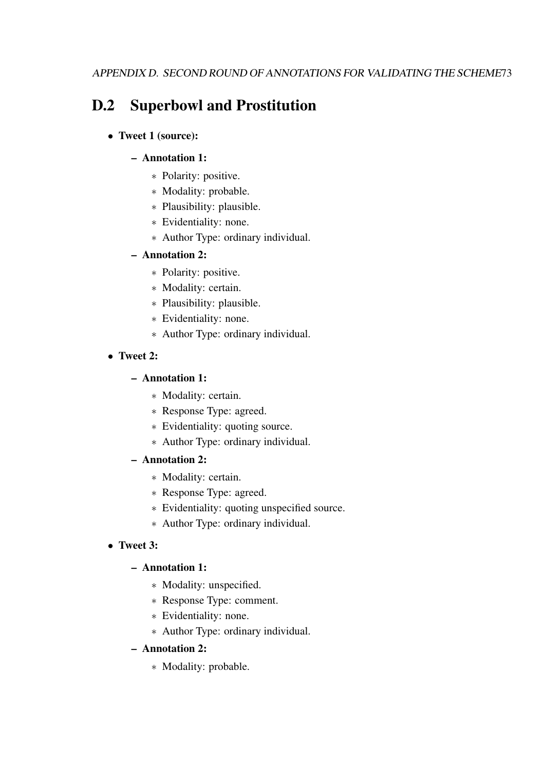# D.2 Superbowl and Prostitution

# • Tweet 1 (source):

# – Annotation 1:

- ∗ Polarity: positive.
- ∗ Modality: probable.
- ∗ Plausibility: plausible.
- ∗ Evidentiality: none.
- ∗ Author Type: ordinary individual.
- Annotation 2:
	- ∗ Polarity: positive.
	- ∗ Modality: certain.
	- ∗ Plausibility: plausible.
	- ∗ Evidentiality: none.
	- ∗ Author Type: ordinary individual.
- Tweet 2:

# – Annotation 1:

- ∗ Modality: certain.
- ∗ Response Type: agreed.
- ∗ Evidentiality: quoting source.
- ∗ Author Type: ordinary individual.
- Annotation 2:
	- ∗ Modality: certain.
	- ∗ Response Type: agreed.
	- ∗ Evidentiality: quoting unspecified source.
	- ∗ Author Type: ordinary individual.

# • Tweet 3:

- ∗ Modality: unspecified.
- ∗ Response Type: comment.
- ∗ Evidentiality: none.
- ∗ Author Type: ordinary individual.
- Annotation 2:
	- ∗ Modality: probable.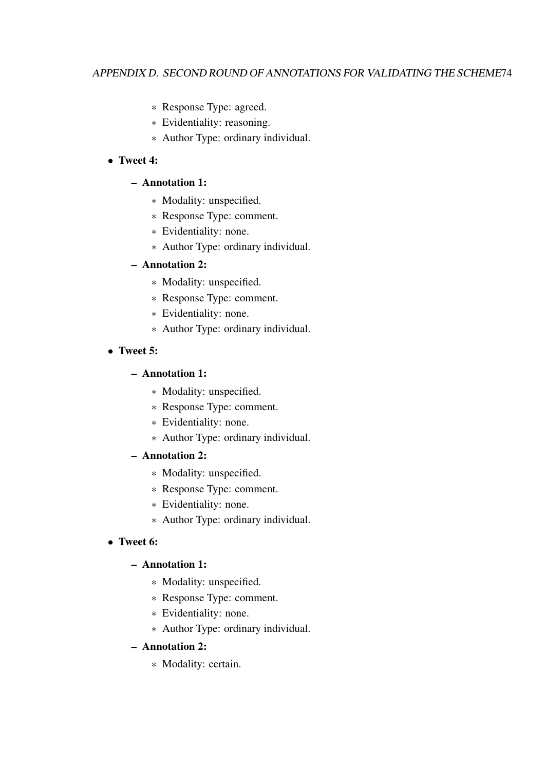# APPENDIX D. SECOND ROUND OF ANNOTATIONS FOR VALIDATING THE SCHEME74

- ∗ Response Type: agreed.
- ∗ Evidentiality: reasoning.
- ∗ Author Type: ordinary individual.

# • Tweet 4:

- Annotation 1:
	- ∗ Modality: unspecified.
	- ∗ Response Type: comment.
	- ∗ Evidentiality: none.
	- ∗ Author Type: ordinary individual.
- Annotation 2:
	- ∗ Modality: unspecified.
	- ∗ Response Type: comment.
	- ∗ Evidentiality: none.
	- ∗ Author Type: ordinary individual.
- Tweet 5:
	- Annotation 1:
		- ∗ Modality: unspecified.
		- ∗ Response Type: comment.
		- ∗ Evidentiality: none.
		- ∗ Author Type: ordinary individual.
	- Annotation 2:
		- ∗ Modality: unspecified.
		- ∗ Response Type: comment.
		- ∗ Evidentiality: none.
		- ∗ Author Type: ordinary individual.

### • Tweet 6:

- ∗ Modality: unspecified.
- ∗ Response Type: comment.
- ∗ Evidentiality: none.
- ∗ Author Type: ordinary individual.
- Annotation 2:
	- ∗ Modality: certain.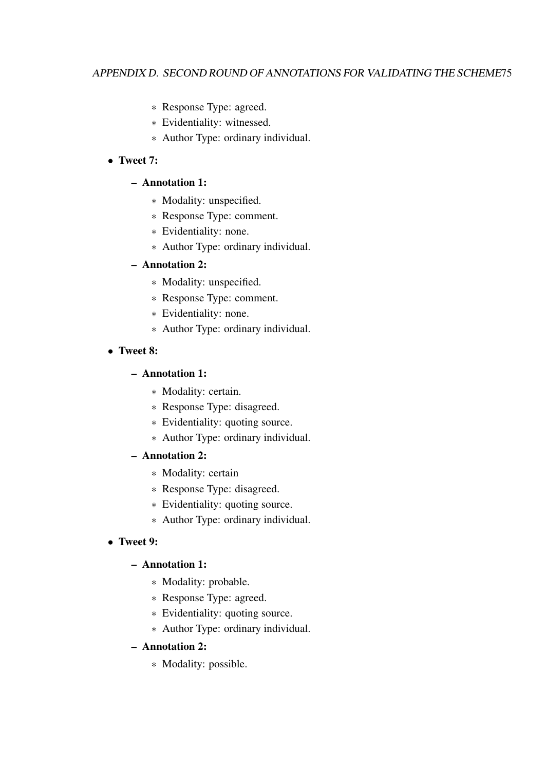# APPENDIX D. SECOND ROUND OF ANNOTATIONS FOR VALIDATING THE SCHEME75

- ∗ Response Type: agreed.
- ∗ Evidentiality: witnessed.
- ∗ Author Type: ordinary individual.

# • Tweet 7:

- Annotation 1:
	- ∗ Modality: unspecified.
	- ∗ Response Type: comment.
	- ∗ Evidentiality: none.
	- ∗ Author Type: ordinary individual.
- Annotation 2:
	- ∗ Modality: unspecified.
	- ∗ Response Type: comment.
	- ∗ Evidentiality: none.
	- ∗ Author Type: ordinary individual.
- Tweet 8:
	- Annotation 1:
		- ∗ Modality: certain.
		- ∗ Response Type: disagreed.
		- ∗ Evidentiality: quoting source.
		- ∗ Author Type: ordinary individual.
	- Annotation 2:
		- ∗ Modality: certain
		- ∗ Response Type: disagreed.
		- ∗ Evidentiality: quoting source.
		- ∗ Author Type: ordinary individual.

### • Tweet 9:

- ∗ Modality: probable.
- ∗ Response Type: agreed.
- ∗ Evidentiality: quoting source.
- ∗ Author Type: ordinary individual.
- Annotation 2:
	- ∗ Modality: possible.